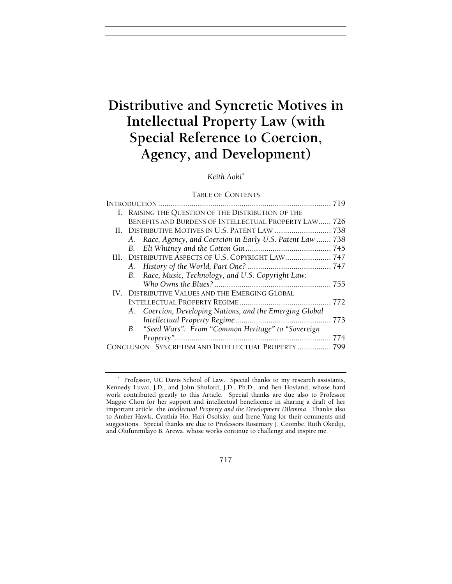# **Distributive and Syncretic Motives in Intellectual Property Law (with Special Reference to Coercion, Agency, and Development)**

# *Keith Aoki\**

#### TABLE OF CONTENTS

|                                                     |                                                             | 719 |  |
|-----------------------------------------------------|-------------------------------------------------------------|-----|--|
| I. RAISING THE QUESTION OF THE DISTRIBUTION OF THE  |                                                             |     |  |
|                                                     | BENEFITS AND BURDENS OF INTELLECTUAL PROPERTY LAW 726       |     |  |
| II. DISTRIBUTIVE MOTIVES IN U.S. PATENT LAW  738    |                                                             |     |  |
|                                                     | A. Race, Agency, and Coercion in Early U.S. Patent Law  738 |     |  |
|                                                     |                                                             |     |  |
| III. DISTRIBUTIVE ASPECTS OF U.S. COPYRIGHT LAW 747 |                                                             |     |  |
|                                                     |                                                             |     |  |
|                                                     | B. Race, Music, Technology, and U.S. Copyright Law:         |     |  |
|                                                     |                                                             |     |  |
| IV. DISTRIBUTIVE VALUES AND THE EMERGING GLOBAL     |                                                             |     |  |
|                                                     |                                                             |     |  |
|                                                     | A. Coercion, Developing Nations, and the Emerging Global    |     |  |
|                                                     |                                                             |     |  |
|                                                     | B. "Seed Wars": From "Common Heritage" to "Sovereign        |     |  |
|                                                     |                                                             |     |  |
|                                                     | CONCLUSION: SYNCRETISM AND INTELLECTUAL PROPERTY  799       |     |  |
|                                                     |                                                             |     |  |

717

<sup>\*</sup> Professor, UC Davis School of Law. Special thanks to my research assistants, Kennedy Luvai, J.D., and John Shuford, J.D., Ph.D., and Ben Hovland, whose hard work contributed greatly to this Article. Special thanks are due also to Professor Maggie Chon for her support and intellectual beneficence in sharing a draft of her important article, the *Intellectual Property and the Development Dilemma*. Thanks also to Amber Hawk, Cynthia Ho, Hari Osofsky, and Irene Yang for their comments and suggestions. Special thanks are due to Professors Rosemary J. Coombe, Ruth Okediji, and Olufunmilayo B. Arewa, whose works continue to challenge and inspire me.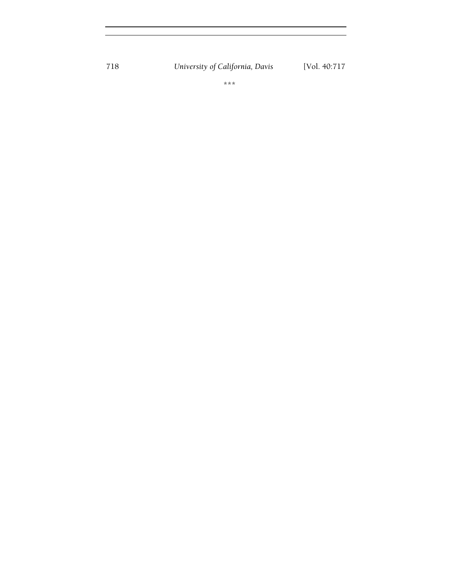| 718 | University of California, Davis | [Vol. 40:717] |
|-----|---------------------------------|---------------|
|     |                                 |               |

\*\*\*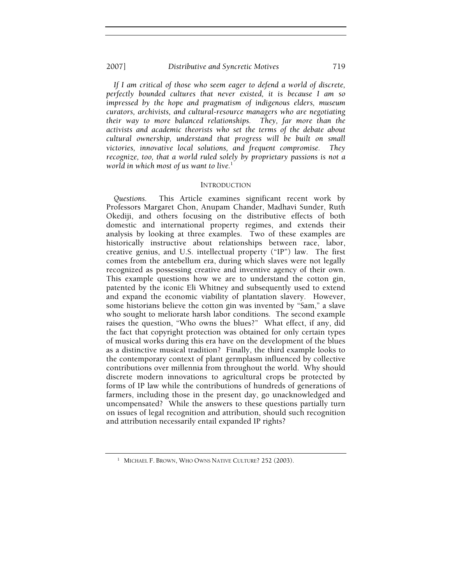*If I am critical of those who seem eager to defend a world of discrete, perfectly bounded cultures that never existed, it is because I am so impressed by the hope and pragmatism of indigenous elders, museum curators, archivists, and cultural-resource managers who are negotiating their way to more balanced relationships. They, far more than the activists and academic theorists who set the terms of the debate about cultural ownership, understand that progress will be built on small victories, innovative local solutions, and frequent compromise. They recognize, too, that a world ruled solely by proprietary passions is not a world in which most of us want to live.*<sup>1</sup>

#### INTRODUCTION

*Questions.* This Article examines significant recent work by Professors Margaret Chon, Anupam Chander, Madhavi Sunder, Ruth Okediji, and others focusing on the distributive effects of both domestic and international property regimes, and extends their analysis by looking at three examples. Two of these examples are historically instructive about relationships between race, labor, creative genius, and U.S. intellectual property ("IP") law. The first comes from the antebellum era, during which slaves were not legally recognized as possessing creative and inventive agency of their own. This example questions how we are to understand the cotton gin, patented by the iconic Eli Whitney and subsequently used to extend and expand the economic viability of plantation slavery. However, some historians believe the cotton gin was invented by "Sam," a slave who sought to meliorate harsh labor conditions. The second example raises the question, "Who owns the blues?" What effect, if any, did the fact that copyright protection was obtained for only certain types of musical works during this era have on the development of the blues as a distinctive musical tradition? Finally, the third example looks to the contemporary context of plant germplasm influenced by collective contributions over millennia from throughout the world. Why should discrete modern innovations to agricultural crops be protected by forms of IP law while the contributions of hundreds of generations of farmers, including those in the present day, go unacknowledged and uncompensated? While the answers to these questions partially turn on issues of legal recognition and attribution, should such recognition and attribution necessarily entail expanded IP rights?

<sup>&</sup>lt;sup>1</sup> MICHAEL F. BROWN, WHO OWNS NATIVE CULTURE? 252 (2003).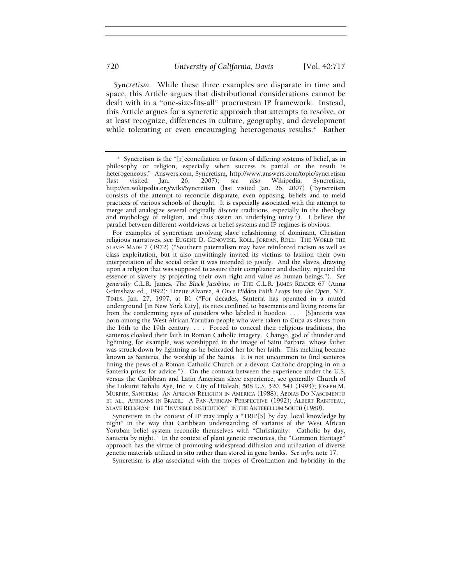*Syncretism.* While these three examples are disparate in time and space, this Article argues that distributional considerations cannot be dealt with in a "one-size-fits-all" procrustean IP framework. Instead, this Article argues for a syncretic approach that attempts to resolve, or at least recognize, differences in culture, geography, and development while tolerating or even encouraging heterogenous results.<sup>2</sup> Rather

Syncretism in the context of IP may imply a "TRIP[S] by day, local knowledge by night" in the way that Caribbean understanding of variants of the West African Yoruban belief system reconcile themselves with "Christianity: Catholic by day, Santeria by night." In the context of plant genetic resources, the "Common Heritage" approach has the virtue of promoting widespread diffusion and utilization of diverse genetic materials utilized in situ rather than stored in gene banks. *See infra* note 17.

Syncretism is also associated with the tropes of Creolization and hybridity in the

<sup>&</sup>lt;sup>2</sup> Syncretism is the "[r]econciliation or fusion of differing systems of belief, as in philosophy or religion, especially when success is partial or the result is heterogeneous." Answers.com, Syncretism, http://www.answers.com/topic/syncretism (last visited Jan. 26, 2007); *see also* Wikipedia, Syncretism, http://en.wikipedia.org/wiki/Syncretism (last visited Jan. 26, 2007) ("Syncretism consists of the attempt to reconcile disparate, even opposing, beliefs and to meld practices of various schools of thought. It is especially associated with the attempt to merge and analogize several originally *discrete* traditions, especially in the theology and mythology of religion, and thus assert an underlying unity."). I believe the parallel between different worldviews or belief systems and IP regimes is obvious.

For examples of syncretism involving slave refashioning of dominant, Christian religious narratives, see EUGENE D. GENOVESE, ROLL, JORDAN, ROLL: THE WORLD THE SLAVES MADE 7 (1972) ("Southern paternalism may have reinforced racism as well as class exploitation, but it also unwittingly invited its victims to fashion their own interpretation of the social order it was intended to justify. And the slaves, drawing upon a religion that was supposed to assure their compliance and docility, rejected the essence of slavery by projecting their own right and value as human beings."). *See generally* C.L.R. James, *The Black Jacobins*, *in* THE C.L.R. JAMES READER 67 (Anna Grimshaw ed., 1992); Lizette Alvarez, *A Once Hidden Faith Leaps into the Open*, N.Y. TIMES, Jan. 27, 1997, at B1 ("For decades, Santeria has operated in a muted underground [in New York City], its rites confined to basements and living rooms far from the condemning eyes of outsiders who labeled it hoodoo. . . . [S]anteria was born among the West African Yoruban people who were taken to Cuba as slaves from the 16th to the 19th century. . . . Forced to conceal their religious traditions, the santeros cloaked their faith in Roman Catholic imagery. Chango, god of thunder and lightning, for example, was worshipped in the image of Saint Barbara, whose father was struck down by lightning as he beheaded her for her faith. This melding became known as Santeria, the worship of the Saints. It is not uncommon to find santeros lining the pews of a Roman Catholic Church or a devout Catholic dropping in on a Santeria priest for advice."). On the contrast between the experience under the U.S. versus the Caribbean and Latin American slave experience, see generally Church of the Lukumi Babalu Aye, Inc. v. City of Hialeah, 508 U.S. 520, 541 (1993); JOSEPH M. MURPHY, SANTERIA: AN AFRICAN RELIGION IN AMERICA (1988); ABDIAS DO NASCIMENTO ET AL., AFRICANS IN BRAZIL: A PAN-AFRICAN PERSPECTIVE (1992); ALBERT RABOTEAU, SLAVE RELIGION: THE "INVISIBLE INSTITUTION" IN THE ANTEBELLUM SOUTH (1980).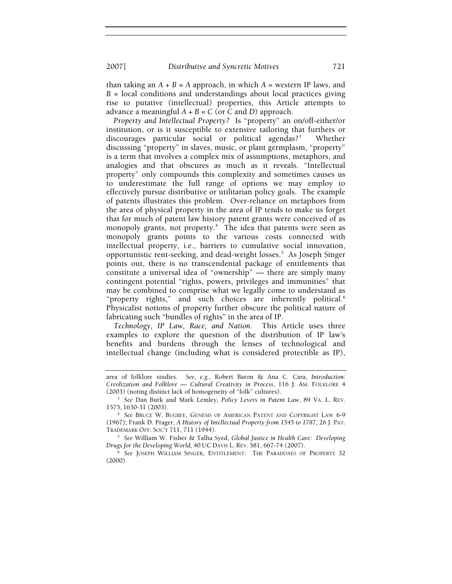than taking an *A + B = A* approach, in which *A =* western IP laws, and *B =* local conditions and understandings about local practices giving rise to putative (intellectual) properties, this Article attempts to advance a meaningful  $A + B = C$  (or  $C$  and  $D$ ) approach.

*Property and Intellectual Property?* Is "property" an on/off-either/or institution, or is it susceptible to extensive tailoring that furthers or discourages particular social or political agendas?<sup>3</sup> Whether discussing "property" in slaves, music, or plant germplasm, "property" is a term that involves a complex mix of assumptions, metaphors, and analogies and that obscures as much as it reveals. "Intellectual property" only compounds this complexity and sometimes causes us to underestimate the full range of options we may employ to effectively pursue distributive or utilitarian policy goals. The example of patents illustrates this problem. Over-reliance on metaphors from the area of physical property in the area of IP tends to make us forget that for much of patent law history patent grants were conceived of as monopoly grants, not property.<sup>4</sup> The idea that patents were seen as monopoly grants points to the various costs connected with intellectual property, i.e., barriers to cumulative social innovation, opportunistic rent-seeking, and dead-weight losses.<sup>5</sup> As Joseph Singer points out, there is no transcendental package of entitlements that constitute a universal idea of "ownership" — there are simply many contingent potential "rights, powers, privileges and immunities" that may be combined to comprise what we legally come to understand as "property rights," and such choices are inherently political.<sup>6</sup> Physicalist notions of property further obscure the political nature of fabricating such "bundles of rights" in the area of IP.

*Technology, IP Law, Race, and Nation.* This Article uses three examples to explore the question of the distribution of IP law's benefits and burdens through the lenses of technological and intellectual change (including what is considered protectible as IP),

area of folklore studies. *See, e.g.*, Robert Baron & Ana C. Cara, *Introduction: Creolization and Folklore — Cultural Creativity in Process*, 116 J. AM. FOLKLORE 4 (2003) (noting distinct lack of homogeneity of "folk" cultures). 3

*See* Dan Burk and Mark Lemley, *Policy Levers in Patent Law*, 89 VA. L. REV. 1575, 1630-31 (2003).

<sup>4</sup>  *See* BRUCE W. BUGBEE, GENESIS OF AMERICAN PATENT AND COPYRIGHT LAW 6-9 (1967); Frank D. Prager, *A History of Intellectual Property from 1545 to 1787*, 26 J. PAT. TRADEMARK OFF. SOC'Y 711, 711 (1944). 5

*See* William W. Fisher & Talha Syed, *Global Justice in Health Care: Developing Drugs for the Developing World*, 40 UC DAVIS L. REV. 581, 667-74 (2007). 6

*See* JOSEPH WILLIAM SINGER, ENTITLEMENT: THE PARADOXES OF PROPERTY 32 (2000).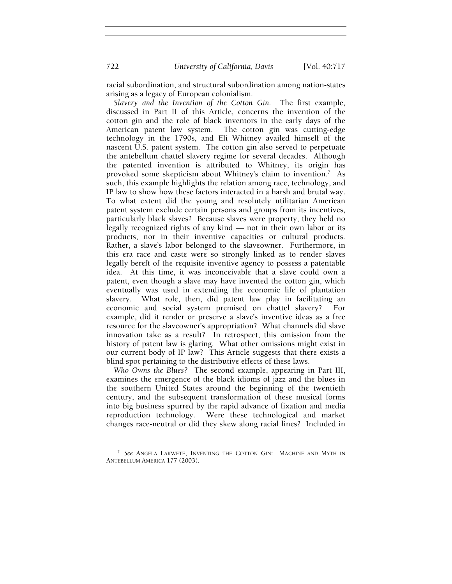racial subordination, and structural subordination among nation-states arising as a legacy of European colonialism.

*Slavery and the Invention of the Cotton Gin.* The first example, discussed in Part II of this Article, concerns the invention of the cotton gin and the role of black inventors in the early days of the American patent law system. The cotton gin was cutting-edge technology in the 1790s, and Eli Whitney availed himself of the nascent U.S. patent system. The cotton gin also served to perpetuate the antebellum chattel slavery regime for several decades. Although the patented invention is attributed to Whitney, its origin has provoked some skepticism about Whitney's claim to invention.7 As such, this example highlights the relation among race, technology, and IP law to show how these factors interacted in a harsh and brutal way. To what extent did the young and resolutely utilitarian American patent system exclude certain persons and groups from its incentives, particularly black slaves? Because slaves were property, they held no legally recognized rights of any kind — not in their own labor or its products, nor in their inventive capacities or cultural products. Rather, a slave's labor belonged to the slaveowner. Furthermore, in this era race and caste were so strongly linked as to render slaves legally bereft of the requisite inventive agency to possess a patentable idea. At this time, it was inconceivable that a slave could own a patent, even though a slave may have invented the cotton gin, which eventually was used in extending the economic life of plantation slavery. What role, then, did patent law play in facilitating an economic and social system premised on chattel slavery? For example, did it render or preserve a slave's inventive ideas as a free resource for the slaveowner's appropriation? What channels did slave innovation take as a result? In retrospect, this omission from the history of patent law is glaring. What other omissions might exist in our current body of IP law? This Article suggests that there exists a blind spot pertaining to the distributive effects of these laws.

*Who Owns the Blues?* The second example, appearing in Part III, examines the emergence of the black idioms of jazz and the blues in the southern United States around the beginning of the twentieth century, and the subsequent transformation of these musical forms into big business spurred by the rapid advance of fixation and media reproduction technology. Were these technological and market changes race-neutral or did they skew along racial lines? Included in

<sup>7</sup>  *See* ANGELA LAKWETE, INVENTING THE COTTON GIN: MACHINE AND MYTH IN ANTEBELLUM AMERICA 177 (2003).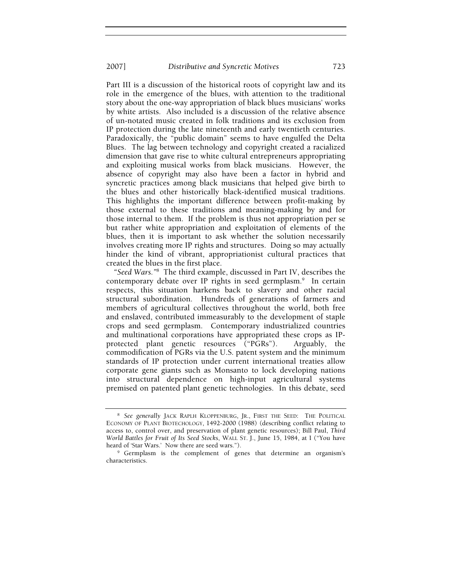Part III is a discussion of the historical roots of copyright law and its role in the emergence of the blues, with attention to the traditional story about the one-way appropriation of black blues musicians' works by white artists. Also included is a discussion of the relative absence of un-notated music created in folk traditions and its exclusion from IP protection during the late nineteenth and early twentieth centuries. Paradoxically, the "public domain" seems to have engulfed the Delta Blues. The lag between technology and copyright created a racialized dimension that gave rise to white cultural entrepreneurs appropriating and exploiting musical works from black musicians. However, the absence of copyright may also have been a factor in hybrid and syncretic practices among black musicians that helped give birth to the blues and other historically black-identified musical traditions. This highlights the important difference between profit-making by those external to these traditions and meaning-making by and for those internal to them. If the problem is thus not appropriation per se but rather white appropriation and exploitation of elements of the blues, then it is important to ask whether the solution necessarily involves creating more IP rights and structures. Doing so may actually hinder the kind of vibrant, appropriationist cultural practices that created the blues in the first place.

*"Seed Wars."*<sup>8</sup> The third example, discussed in Part IV, describes the contemporary debate over IP rights in seed germplasm.<sup>9</sup> In certain respects, this situation harkens back to slavery and other racial structural subordination. Hundreds of generations of farmers and members of agricultural collectives throughout the world, both free and enslaved, contributed immeasurably to the development of staple crops and seed germplasm. Contemporary industrialized countries and multinational corporations have appropriated these crops as IPprotected plant genetic resources ("PGRs"). Arguably, the commodification of PGRs via the U.S. patent system and the minimum standards of IP protection under current international treaties allow corporate gene giants such as Monsanto to lock developing nations into structural dependence on high-input agricultural systems premised on patented plant genetic technologies. In this debate, seed

<sup>8</sup>  *See generally* JACK RAPLH KLOPPENBURG, JR., FIRST THE SEED: THE POLITICAL ECONOMY OF PLANT BIOTECHOLOGY, 1492-2000 (1988) (describing conflict relating to access to, control over, and preservation of plant genetic resources); Bill Paul, *Third World Battles for Fruit of Its Seed Stocks*, WALL ST. J., June 15, 1984, at I ("You have heard of 'Star Wars.' Now there are seed wars.").

<sup>&</sup>lt;sup>9</sup> Germplasm is the complement of genes that determine an organism's characteristics.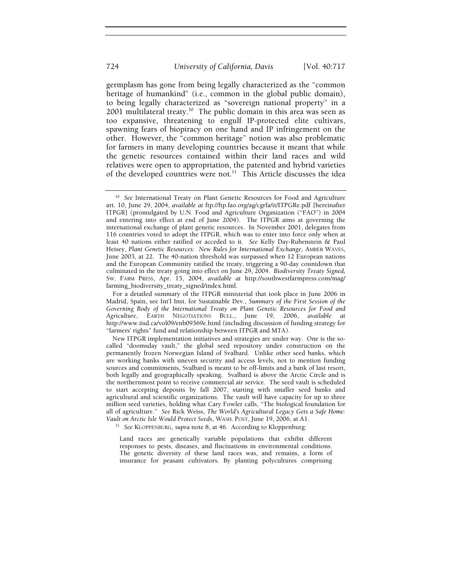germplasm has gone from being legally characterized as the "common heritage of humankind" (i.e., common in the global public domain), to being legally characterized as "sovereign national property" in a 2001 multilateral treaty.<sup>10</sup> The public domain in this area was seen as too expansive, threatening to engulf IP-protected elite cultivars, spawning fears of biopiracy on one hand and IP infringement on the other. However, the "common heritage" notion was also problematic for farmers in many developing countries because it meant that while the genetic resources contained within their land races and wild relatives were open to appropriation, the patented and hybrid varieties of the developed countries were not.<sup>11</sup> This Article discusses the idea

Land races are genetically variable populations that exhibit different responses to pests, diseases, and fluctuations in environmental conditions. The genetic diversity of these land races was, and remains, a form of insurance for peasant cultivators. By planting polycultures comprising

<sup>&</sup>lt;sup>10</sup> See International Treaty on Plant Genetic Resources for Food and Agriculture art. 10, June 29, 2004, *available at* ftp://ftp.fao.org/ag/cgrfa/it/ITPGRe.pdf [hereinafter ITPGR] (promulgated by U.N. Food and Agriculture Organization ("FAO") in 2004 and entering into effect at end of June 2004). The ITPGR aims at governing the international exchange of plant genetic resources. In November 2001, delegates from 116 countries voted to adopt the ITPGR, which was to enter into force only when at least 40 nations either ratified or acceded to it. *See* Kelly Day-Rubenstein & Paul Heisey, *Plant Genetic Resources: New Rules for International Exchange*, AMBER WAVES, June 2003, at 22. The 40-nation threshold was surpassed when 12 European nations and the European Community ratified the treaty, triggering a 90-day countdown that culminated in the treaty going into effect on June 29, 2004. *Biodiversity Treaty Signed,*  SW. FARM PRESS, Apr. 15, 2004, *available at* http://southwestfarmpress.com/mag/ farming\_biodiversity\_treaty\_signed/index.html.

For a detailed summary of the ITPGR ministerial that took place in June 2006 in Madrid, Spain, see Int'l Inst. for Sustainable Dev., *Summary of the First Session of the Governing Body of the International Treaty on Plant Genetic Resources for Food and Agriculture*, EARTH NEGOTIATIONS BULL., June 19, 2006, *available at* http://www.iisd.ca/vol09/enb09369e.html (including discussion of funding strategy for "farmers' rights" fund and relationship between ITPGR and MTA).

New ITPGR implementation initiatives and strategies are under way. One is the socalled "doomsday vault," the global seed repository under construction on the permanently frozen Norwegian Island of Svalbard. Unlike other seed banks, which are working banks with uneven security and access levels, not to mention funding sources and commitments, Svalbard is meant to be off-limits and a bank of last resort, both legally and geographically speaking. Svalbard is above the Arctic Circle and is the northernmost point to receive commercial air service. The seed vault is scheduled to start accepting deposits by fall 2007, starting with smaller seed banks and agricultural and scientific organizations. The vault will have capacity for up to three million seed varieties, holding what Cary Fowler calls, "The biological foundation for all of agriculture." *See* Rick Weiss, *The World's Agricultural Legacy Gets a Safe Home: Vault on Arctic Isle Would Protect Seeds*, WASH. POST, June 19, 2006, at A1. 11 *See* KLOPPENBURG, *supra* note 8, at 46. According to Kloppenburg: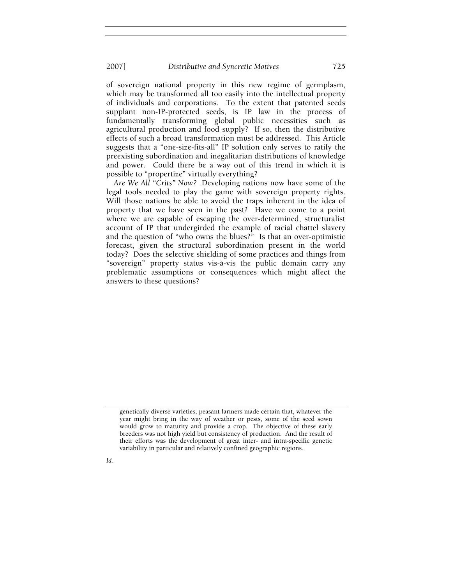of sovereign national property in this new regime of germplasm, which may be transformed all too easily into the intellectual property of individuals and corporations. To the extent that patented seeds supplant non-IP-protected seeds, is IP law in the process of fundamentally transforming global public necessities such as agricultural production and food supply? If so, then the distributive effects of such a broad transformation must be addressed. This Article suggests that a "one-size-fits-all" IP solution only serves to ratify the preexisting subordination and inegalitarian distributions of knowledge and power. Could there be a way out of this trend in which it is possible to "propertize" virtually everything?

*Are We All "Crits" Now?* Developing nations now have some of the legal tools needed to play the game with sovereign property rights. Will those nations be able to avoid the traps inherent in the idea of property that we have seen in the past? Have we come to a point where we are capable of escaping the over-determined, structuralist account of IP that undergirded the example of racial chattel slavery and the question of "who owns the blues?" Is that an over-optimistic forecast, given the structural subordination present in the world today? Does the selective shielding of some practices and things from "sovereign" property status vis-à-vis the public domain carry any problematic assumptions or consequences which might affect the answers to these questions?

*Id.*

genetically diverse varieties, peasant farmers made certain that, whatever the year might bring in the way of weather or pests, some of the seed sown would grow to maturity and provide a crop. The objective of these early breeders was not high yield but consistency of production. And the result of their efforts was the development of great inter- and intra-specific genetic variability in particular and relatively confined geographic regions.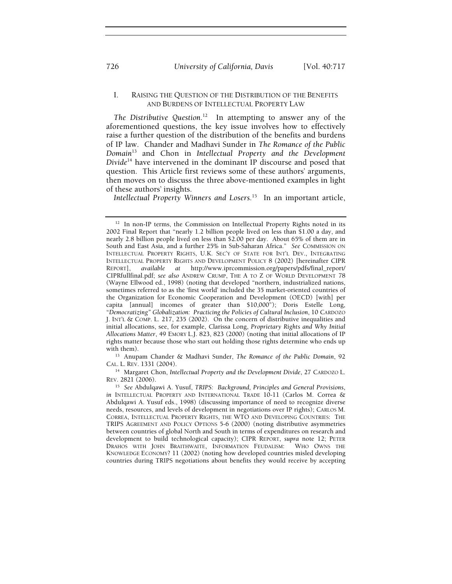### I. RAISING THE QUESTION OF THE DISTRIBUTION OF THE BENEFITS AND BURDENS OF INTELLECTUAL PROPERTY LAW

*The Distributive Question.*12 In attempting to answer any of the aforementioned questions, the key issue involves how to effectively raise a further question of the distribution of the benefits and burdens of IP law. Chander and Madhavi Sunder in *The Romance of the Public Domain*13 and Chon in *Intellectual Property and the Development Divide*14 have intervened in the dominant IP discourse and posed that question. This Article first reviews some of these authors' arguments, then moves on to discuss the three above-mentioned examples in light of these authors' insights.

*Intellectual Property Winners and Losers.*15 In an important article,

<sup>13</sup> Anupam Chander & Madhavi Sunder, *The Romance of the Public Domain*, 92 CAL. L. REV. 1331 (2004).

<sup>14</sup> Margaret Chon, *Intellectual Property and the Development Divide*, 27 CARDOZO L. REV. 2821 (2006).

 $12$  In non-IP terms, the Commission on Intellectual Property Rights noted in its 2002 Final Report that "nearly 1.2 billion people lived on less than \$1.00 a day, and nearly 2.8 billion people lived on less than \$2.00 per day. About 65% of them are in South and East Asia, and a further 25% in Sub-Saharan Africa." *See* COMMISSION ON INTELLECTUAL PROPERTY RIGHTS, U.K. SEC'Y OF STATE FOR INT'L DEV., INTEGRATING INTELLECTUAL PROPERTY RIGHTS AND DEVELOPMENT POLICY 8 (2002) [hereinafter CIPR REPORT], *available at* http://www.iprcommission.org/papers/pdfs/final\_report/ CIPRfullfinal.pdf; *see also* ANDREW CRUMP, THE A TO Z OF WORLD DEVELOPMENT 78 (Wayne Ellwood ed., 1998) (noting that developed "northern, industrialized nations, sometimes referred to as the 'first world' included the 35 market-oriented countries of the Organization for Economic Cooperation and Development (OECD) [with] per capita [annual] incomes of greater than \$10,000"); Doris Estelle Long, "*Democratizing" Globalization: Practicing the Policies of Cultural Inclusion*, 10 CARDOZO J. INT'L & COMP. L. 217, 235 (2002). On the concern of distributive inequalities and initial allocations, see, for example, Clarissa Long, *Proprietary Rights and Why Initial Allocations Matter*, 49 EMORY L.J. 823, 823 (2000) (noting that initial allocations of IP rights matter because those who start out holding those rights determine who ends up

<sup>15</sup> *See* Abdulqawi A. Yusuf, *TRIPS: Background, Principles and General Provisions*, *in* INTELLECTUAL PROPERTY AND INTERNATIONAL TRADE 10-11 (Carlos M. Correa & Abdulqawi A. Yusuf eds., 1998) (discussing importance of need to recognize diverse needs, resources, and levels of development in negotiations over IP rights); CARLOS M. CORREA, INTELLECTUAL PROPERTY RIGHTS, THE WTO AND DEVELOPING COUNTRIES: THE TRIPS AGREEMENT AND POLICY OPTIONS 5-6 (2000) (noting distributive asymmetries between countries of global North and South in terms of expenditures on research and development to build technological capacity); CIPR REPORT, *supra* note 12; PETER DRAHOS WITH JOHN BRAITHWAITE, INFORMATION FEUDALISM: KNOWLEDGE ECONOMY? 11 (2002) (noting how developed countries misled developing countries during TRIPS negotiations about benefits they would receive by accepting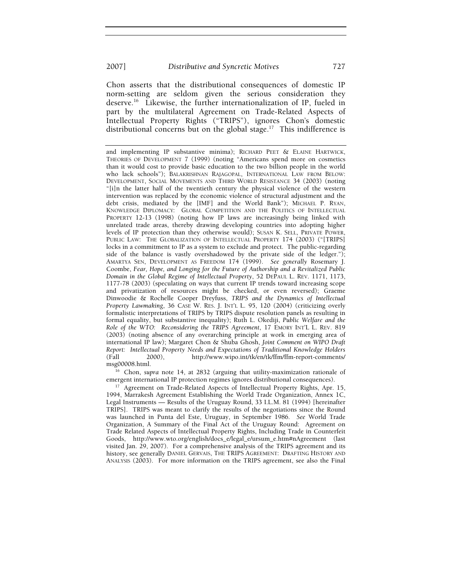Chon asserts that the distributional consequences of domestic IP norm-setting are seldom given the serious consideration they deserve.16 Likewise, the further internationalization of IP, fueled in part by the multilateral Agreement on Trade-Related Aspects of Intellectual Property Rights ("TRIPS"), ignores Chon's domestic distributional concerns but on the global stage.<sup>17</sup> This indifference is

<sup>16</sup> Chon, *supra* note 14, at 2832 (arguing that utility-maximization rationale of emergent international IP protection regimes ignores distributional consequences).

<sup>17</sup> Agreement on Trade-Related Aspects of Intellectual Property Rights, Apr. 15, 1994, Marrakesh Agreement Establishing the World Trade Organization, Annex 1C, Legal Instruments — Results of the Uruguay Round, 33 I.L.M. 81 (1994) [hereinafter TRIPS]. TRIPS was meant to clarify the results of the negotiations since the Round was launched in Punta del Este, Uruguay, in September 1986. *See* World Trade Organization, A Summary of the Final Act of the Uruguay Round: Agreement on Trade Related Aspects of Intellectual Property Rights, Including Trade in Counterfeit Goods, http://www.wto.org/english/docs\_e/legal\_e/ursum\_e.htm#nAgreement (last visited Jan. 29, 2007). For a comprehensive analysis of the TRIPS agreement and its history, see generally DANIEL GERVAIS, THE TRIPS AGREEMENT: DRAFTING HISTORY AND ANALYSIS (2003). For more information on the TRIPS agreement, see also the Final

and implementing IP substantive minima); RICHARD PEET & ELAINE HARTWICK, THEORIES OF DEVELOPMENT 7 (1999) (noting "Americans spend more on cosmetics than it would cost to provide basic education to the two billion people in the world who lack schools"); BALAKRISHNAN RAJAGOPAL, INTERNATIONAL LAW FROM BELOW: DEVELOPMENT, SOCIAL MOVEMENTS AND THIRD WORLD RESISTANCE 34 (2003) (noting "[i]n the latter half of the twentieth century the physical violence of the western intervention was replaced by the economic violence of structural adjustment and the debt crisis, mediated by the [IMF] and the World Bank"); MICHAEL P. RYAN, KNOWLEDGE DIPLOMACY: GLOBAL COMPETITION AND THE POLITICS OF INTELLECTUAL PROPERTY 12-13 (1998) (noting how IP laws are increasingly being linked with unrelated trade areas, thereby drawing developing countries into adopting higher levels of IP protection than they otherwise would); SUSAN K. SELL, PRIVATE POWER, PUBLIC LAW: THE GLOBALIZATION OF INTELLECTUAL PROPERTY 174 (2003) ("[TRIPS] locks in a commitment to IP as a system to exclude and protect. The public-regarding side of the balance is vastly overshadowed by the private side of the ledger."); AMARTYA SEN, DEVELOPMENT AS FREEDOM 174 (1999). *See generally* Rosemary J. Coombe, *Fear, Hope, and Longing for the Future of Authorship and a Revitalized Public Domain in the Global Regime of Intellectual Property*, 52 DEPAUL L. REV. 1171, 1173, 1177-78 (2003) (speculating on ways that current IP trends toward increasing scope and privatization of resources might be checked, or even reversed); Graeme Dinwoodie & Rochelle Cooper Dreyfuss, *TRIPS and the Dynamics of Intellectual Property Lawmaking*, 36 CASE W. RES. J. INT'L L. 95, 120 (2004) (criticizing overly formalistic interpretations of TRIPS by TRIPS dispute resolution panels as resulting in formal equality, but substantive inequality); Ruth L. Okediji, *Public Welfare and the Role of the WTO: Reconsidering the TRIPS Agreement*, 17 EMORY INT'L L. REV. 819 (2003) (noting absence of any overarching principle at work in emerging area of international IP law); Margaret Chon & Shuba Ghosh, *Joint Comment on WIPO Draft Report: Intellectual Property Needs and Expectations of Traditional Knowledge Holders* (Fall 2000), http://www.wipo.int/tk/en/tk/ffm/ffm-report-comments/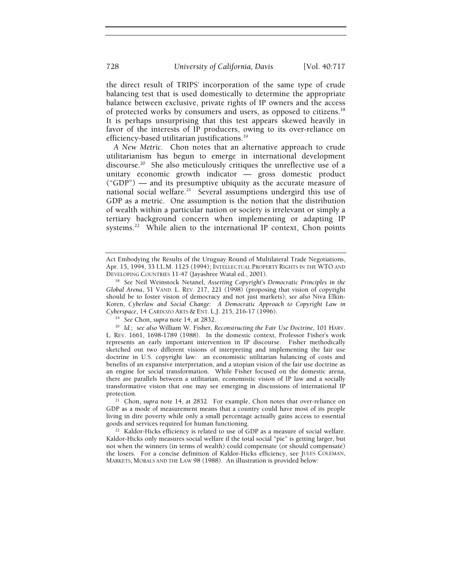the direct result of TRIPS' incorporation of the same type of crude balancing test that is used domestically to determine the appropriate balance between exclusive, private rights of IP owners and the access of protected works by consumers and users, as opposed to citizens.<sup>18</sup> It is perhaps unsurprising that this test appears skewed heavily in favor of the interests of IP producers, owing to its over-reliance on efficiency-based utilitarian justifications.19

*A New Metric.* Chon notes that an alternative approach to crude utilitarianism has begun to emerge in international development discourse.20 She also meticulously critiques the unreflective use of a unitary economic growth indicator — gross domestic product ("GDP") — and its presumptive ubiquity as the accurate measure of national social welfare.<sup>21</sup> Several assumptions undergird this use of GDP as a metric. One assumption is the notion that the distribution of wealth within a particular nation or society is irrelevant or simply a tertiary background concern when implementing or adapting IP systems.<sup>22</sup> While alien to the international IP context, Chon points

<sup>21</sup> Chon, *supra* note 14, at 2832. For example, Chon notes that over-reliance on GDP as a mode of measurement means that a country could have most of its people living in dire poverty while only a small percentage actually gains access to essential goods and services required for human functioning. 22 Kaldor-Hicks efficiency is related to use of GDP as a measure of social welfare.

Kaldor-Hicks only measures social welfare if the total social "pie" is getting larger, but not when the winners (in terms of wealth) could compensate (or should compensate) the losers. For a concise definition of Kaldor-Hicks efficiency, see JULES COLEMAN, MARKETS, MORALS AND THE LAW 98 (1988). An illustration is provided below:

Act Embodying the Results of the Uruguay Round of Multilateral Trade Negotiations, Apr. 15, 1994, 33 I.L.M. 1125 (1994); INTELLECTUAL PROPERTY RIGHTS IN THE WTO AND DEVELOPING COUNTRIES 11-47 (Jayashree Watal ed., 2001). 18 *See* Neil Weinstock Netanel, *Asserting Copyright's Democratic Principles in the* 

*Global Arena*, 51 VAND. L. REV. 217, 221 (1998) (proposing that vision of copyright should be to foster vision of democracy and not just markets); *see also* Niva Elkin-Koren, *Cyberlaw and Social Change: A Democratic Approach to Copyright Law in Cyberspace*, 14 CARDOZO ARTS & ENT. L.J. 215, 216-17 (1996).

<sup>&</sup>lt;sup>19</sup> See Chon, supra note 14, at 2832.<br><sup>20</sup> Id.; see also William W. Fisher, *Reconstructing the Fair Use Doctrine*, 101 HARV. L. REV. 1661, 1698-1789 (1988). In the domestic context, Professor Fisher's work represents an early important intervention in IP discourse. Fisher methodically sketched out two different visions of interpreting and implementing the fair use doctrine in U.S. copyright law: an economistic utilitarian balancing of costs and benefits of an expansive interpretation, and a utopian vision of the fair use doctrine as an engine for social transformation. While Fisher focused on the domestic arena, there are parallels between a utilitarian, economistic vision of IP law and a socially transformative vision that one may see emerging in discussions of international IP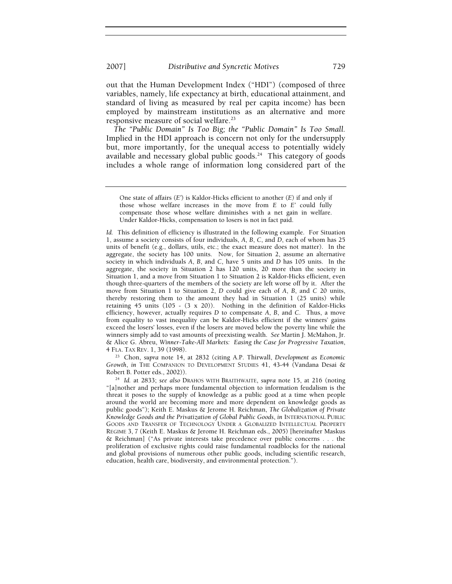out that the Human Development Index ("HDI") (composed of three variables, namely, life expectancy at birth, educational attainment, and standard of living as measured by real per capita income) has been employed by mainstream institutions as an alternative and more responsive measure of social welfare.<sup>23</sup>

*The "Public Domain" Is Too Big; the "Public Domain" Is Too Small.* Implied in the HDI approach is concern not only for the undersupply but, more importantly, for the unequal access to potentially widely available and necessary global public goods. $24$  This category of goods includes a whole range of information long considered part of the

Id. This definition of efficiency is illustrated in the following example. For Situation 1, assume a society consists of four individuals, *A*, *B*, *C*, and *D*, each of whom has 25 units of benefit (e.g., dollars, utils, etc.; the exact measure does not matter). In the aggregate, the society has 100 units. Now, for Situation 2, assume an alternative society in which individuals *A*, *B*, and *C*, have 5 units and *D* has 105 units. In the aggregate, the society in Situation 2 has 120 units, 20 more than the society in Situation 1, and a move from Situation 1 to Situation 2 is Kaldor-Hicks efficient, even though three-quarters of the members of the society are left worse off by it. After the move from Situation 1 to Situation 2, *D* could give each of *A*, *B*, and *C* 20 units, thereby restoring them to the amount they had in Situation 1 (25 units) while retaining 45 units (105 - (3 x 20)). Nothing in the definition of Kaldor-Hicks efficiency, however, actually requires *D* to compensate *A*, *B*, and *C*. Thus, a move from equality to vast inequality can be Kaldor-Hicks efficient if the winners' gains exceed the losers' losses, even if the losers are moved below the poverty line while the winners simply add to vast amounts of preexisting wealth. *See* Martin J. McMahon, Jr. & Alice G. Abreu, *Winner-Take-All Markets: Easing the Case for Progressive Taxation*,

4 FLA. TAX REV. 1, 39 (1998). 23 Chon, *supra* note 14, at 2832 (citing A.P. Thirwall, *Development as Economic Growth*, *in* THE COMPANION TO DEVELOPMENT STUDIES 41, 43-44 (Vandana Desai &

<sup>24</sup> Id. at 2833; *see also* DRAHOS WITH BRAITHWAITE, *supra* note 15, at 216 (noting "[a]nother and perhaps more fundamental objection to information feudalism is the threat it poses to the supply of knowledge as a public good at a time when people around the world are becoming more and more dependent on knowledge goods as public goods"); Keith E. Maskus & Jerome H. Reichman, *The Globalization of Private Knowledge Goods and the Privatization of Global Public Goods*, *in* INTERNATIONAL PUBLIC GOODS AND TRANSFER OF TECHNOLOGY UNDER A GLOBALIZED INTELLECTUAL PROPERTY REGIME 3, 7 (Keith E. Maskus & Jerome H. Reichman eds., 2005) [hereinafter Maskus & Reichman] ("As private interests take precedence over public concerns . . . the proliferation of exclusive rights could raise fundamental roadblocks for the national and global provisions of numerous other public goods, including scientific research, education, health care, biodiversity, and environmental protection.").

One state of affairs (*E'*) is Kaldor-Hicks efficient to another (*E*) if and only if those whose welfare increases in the move from *E* to *E'* could fully compensate those whose welfare diminishes with a net gain in welfare. Under Kaldor-Hicks, compensation to losers is not in fact paid.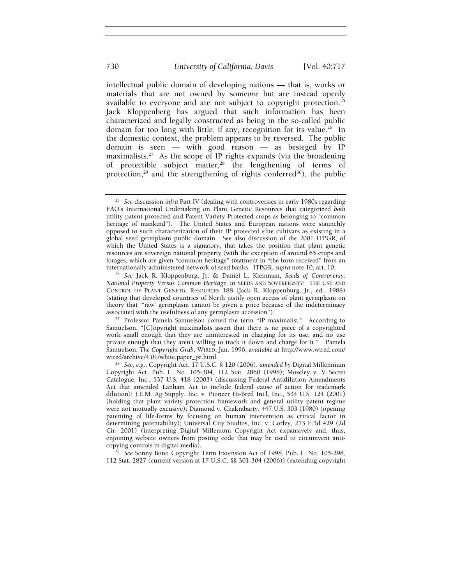intellectual public domain of developing nations — that is, works or materials that are not owned by some*one* but are instead openly available to everyone and are not subject to copyright protection.<sup>25</sup> Jack Kloppenberg has argued that such information has been characterized and legally constructed as being in the so-called public domain for too long with little, if any, recognition for its value.<sup>26</sup> In the domestic context, the problem appears to be reversed. The public domain is seen — with good reason — as besieged by IP maximalists.<sup>27</sup> As the scope of IP rights expands (via the broadening of protectible subject matter,<sup>28</sup> the lengthening of terms of protection, $29$  and the strengthening of rights conferred<sup>30</sup>), the public

<sup>25</sup> *See* discussion *infra* Part IV (dealing with controversies in early 1980s regarding FAO's International Undertaking on Plant Genetic Resources that categorized *both* utility patent protected and Patent Variety Protected crops as belonging to "common heritage of mankind"). The United States and European nations were staunchly opposed to such characterization of their IP protected elite cultivars as existing in a global seed germplasm public domain. See also discussion of the 2001 ITPGR, of which the United States is a signatory, that takes the position that plant genetic resources are sovereign national property (with the exception of around 65 crops and forages, which are given "common heritage" treatment in "the form received" from an

internationally administered network of seed banks. ITPGR, *supra* note 10, art. 10. 26 *See* Jack R. Kloppenburg, Jr. & Daniel L. Kleinman, *Seeds of Controversy: National Property Versus Common Heritage*, *in* SEEDS AND SOVEREIGNTY: THE USE AND CONTROL OF PLANT GENETIC RESOURCES 188 (Jack R. Kloppenburg, Jr., ed., 1988) (stating that developed countries of North justify open access of plant germplasm on theory that "'raw' germplasm cannot be given a price because of the indeterminacy associated with the usefulness of any germplasm accession"). 27 Professor Pamela Samuelson coined the term "IP maximalist." According to

Samuelson, "[C]opyright maximalists assert that there is no piece of a copyrighted work small enough that they are uninterested in charging for its use, and no use private enough that they aren't willing to track it down and charge for it." Pamela Samuelson, *The Copyright Grab*, WIRED, Jan. 1996, a*vailable at* http://www.wired.com/

<sup>&</sup>lt;sup>28</sup> See, e.g., Copyright Act, 17 U.S.C. § 120 (2006), *amended by* Digital Millennium Copyright Act, Pub. L. No. 105-304, 112 Stat. 2860 (1998); Moseley v. V Secret Catalogue, Inc., 537 U.S. 418 (2003) (discussing Federal Antidilution Amendments Act that amended Lanham Act to include federal cause of action for trademark dilution); J.E.M. Ag Supply, Inc. v. Pioneer Hi-Bred Int'l, Inc., 534 U.S. 124 (2001) (holding that plant variety protection framework and general utility patent regime were not mutually excusive); Diamond v. Chakrabarty, 447 U.S. 303 (1980) (opening patenting of life-forms by focusing on human intervention as critical factor in determining patentability); Universal City Studios, Inc. v. Corley, 273 F.3d 429 (2d Cir. 2001) (interpreting Digital Millenium Copyright Act expansively and, thus, enjoining website owners from posting code that may be used to circumvent anti-

copying controls in digital media). 29 *See* Sonny Bono Copyright Term Extension Act of 1998, Pub. L. No. 105-298, 112 Stat. 2827 (current version at 17 U.S.C. §§ 301-304 (2006)) (extending copyright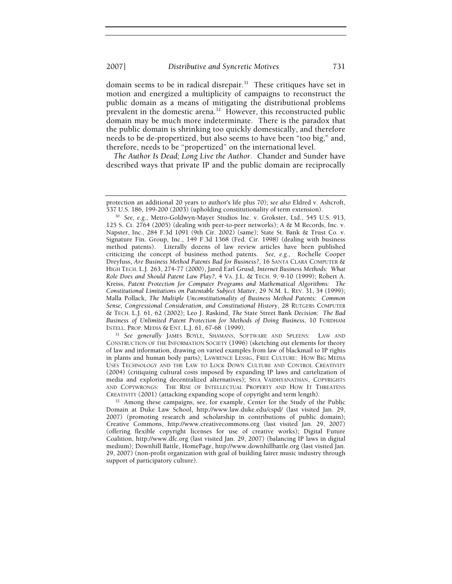domain seems to be in radical disrepair.<sup>31</sup> These critiques have set in motion and energized a multiplicity of campaigns to reconstruct the public domain as a means of mitigating the distributional problems prevalent in the domestic arena.32 However, this reconstructed public domain may be much more indeterminate. There is the paradox that the public domain is shrinking too quickly domestically, and therefore needs to be de-propertized, but also seems to have been "too big," and, therefore, needs to be "propertized" on the international level.

*The Author Is Dead; Long Live the Author.* Chander and Sunder have described ways that private IP and the public domain are reciprocally

<sup>31</sup> See generally JAMES BOYLE, SHAMANS, SOFTWARE AND SPLEENS: LAW AND CONSTRUCTION OF THE INFORMATION SOCIETY (1996) (sketching out elements for theory of law and information, drawing on varied examples from law of blackmail to IP rights in plants and human body parts); LAWRENCE LESSIG, FREE CULTURE: HOW BIG MEDIA USES TECHNOLOGY AND THE LAW TO LOCK DOWN CULTURE AND CONTROL CREATIVITY (2004) (critiquing cultural costs imposed by expanding IP laws and cartelization of media and exploring decentralized alternatives); SIVA VAIDHYANATHAN, COPYRIGHTS AND COPYWRONGS: THE RISE OF INTELLECTUAL PROPERTY AND HOW IT THREATENS CREATIVITY (2001) (attacking expanding scope of copyright and term length). 32 Among these campaigns, see, for example, Center for the Study of the Public

Domain at Duke Law School, http://www.law.duke.edu/cspd/ (last visited Jan. 29, 2007) (promoting research and scholarship in contributions of public domain); Creative Commons, http://www.creativecommons.org (last visited Jan. 29, 2007) (offering flexible copyright licenses for use of creative works); Digital Future Coalition, http://www.dfc.org (last visited Jan. 29, 2007) (balancing IP laws in digital medium); Downhill Battle, HomePage, http://www.downhillbattle.org (last visited Jan. 29, 2007) (non-profit organization with goal of building fairer music industry through support of participatory culture).

protection an additional 20 years to author's life plus 70); *see also* Eldred v. Ashcroft, 537 U.S. 186, 199-200 (2003) (upholding constitutionality of term extension). 30 *See, e.g*., Metro-Goldwyn-Mayer Studios Inc. v. Grokster, Ltd., 545 U.S. 913,

<sup>125</sup> S. Ct. 2764 (2005) (dealing with peer-to-peer networks); A & M Records, Inc. v. Napster, Inc., 284 F.3d 1091 (9th Cir. 2002) (same); State St. Bank & Trust Co. v. Signature Fin. Group, Inc., 149 F.3d 1368 (Fed. Cir. 1998) (dealing with business method patents). Literally dozens of law review articles have been published criticizing the concept of business method patents. *See, e.g.*, Rochelle Cooper Dreyfuss, *Are Business Method Patents Bad for Business?*, 16 SANTA CLARA COMPUTER & HIGH TECH. L.J. 263, 274-77 (2000), Jared Earl Grusd, *Internet Business Methods: What Role Does and Should Patent Law Play?*, 4 VA. J.L. & TECH. 9, 9-10 (1999); Robert A. Kreiss, *Patent Protection for Computer Programs and Mathematical Algorithms: The Constitutional Limitations on Patentable Subject Matter*, 29 N.M. L. REV. 31, 34 (1999); Malla Pollack, *The Multiple Unconstitutionality of Business Method Patents: Common Sense, Congressional Consideration, and Constitutional History*, 28 RUTGERS COMPUTER & TECH. L.J. 61, 62 (2002); Leo J. Raskind, *The* State Street Bank *Decision: The Bad Business of Unlimited Patent Protection for Methods of Doing Business*, 10 FORDHAM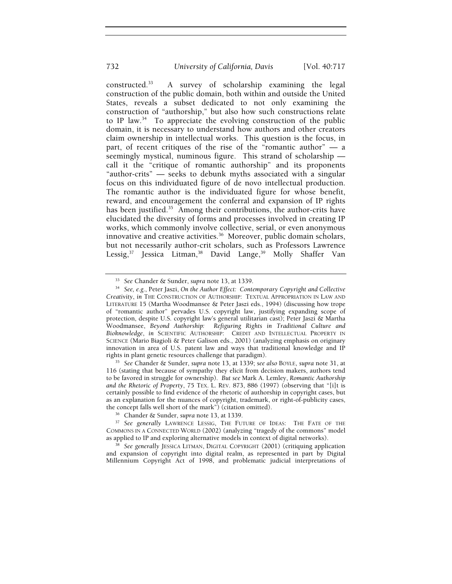constructed.33 A survey of scholarship examining the legal construction of the public domain, both within and outside the United States, reveals a subset dedicated to not only examining the construction of "authorship," but also how such constructions relate to IP law. $34$  To appreciate the evolving construction of the public domain, it is necessary to understand how authors and other creators claim ownership in intellectual works. This question is the focus, in part, of recent critiques of the rise of the "romantic author" — a seemingly mystical, numinous figure. This strand of scholarship call it the "critique of romantic authorship" and its proponents "author-crits" — seeks to debunk myths associated with a singular focus on this individuated figure of de novo intellectual production. The romantic author is the individuated figure for whose benefit, reward, and encouragement the conferral and expansion of IP rights has been justified.<sup>35</sup> Among their contributions, the author-crits have elucidated the diversity of forms and processes involved in creating IP works, which commonly involve collective, serial, or even anonymous innovative and creative activities.<sup>36</sup> Moreover, public domain scholars, but not necessarily author-crit scholars, such as Professors Lawrence Lessig,<sup>37</sup> Jessica Litman,<sup>38</sup> David Lange,<sup>39</sup> Molly Shaffer Van

<sup>33</sup> *See* Chander & Sunder, *supra* note 13, at 1339. 34 *See, e.g.*, Peter Jaszi, *On the Author Effect: Contemporary Copyright and Collective Creativity*, *in* THE CONSTRUCTION OF AUTHORSHIP: TEXTUAL APPROPRIATION IN LAW AND LITERATURE 15 (Martha Woodmansee & Peter Jaszi eds., 1994) (discussing how trope of "romantic author" pervades U.S. copyright law, justifying expanding scope of protection, despite U.S. copyright law's general utilitarian cast); Peter Jaszi & Martha Woodmansee, *Beyond Authorship: Refiguring Rights in Traditional Culture and Bioknowledge*, *in* SCIENTIFIC AUTHORSHIP: CREDIT AND INTELLECTUAL PROPERTY IN SCIENCE (Mario Biagioli & Peter Galison eds., 2001) (analyzing emphasis on originary innovation in area of U.S. patent law and ways that traditional knowledge and IP rights in plant genetic resources challenge that paradigm). 35 *See* Chander & Sunder, *supra* note 13, at 1339; *see also* BOYLE, *supra* note 31, at

<sup>116 (</sup>stating that because of sympathy they elicit from decision makers, authors tend to be favored in struggle for ownership). *But see* Mark A. Lemley, *Romantic Authorship and the Rhetoric of Property*, 75 TEX. L. REV. 873, 886 (1997) (observing that "[i]t is certainly possible to find evidence of the rhetoric of authorship in copyright cases, but as an explanation for the nuances of copyright, trademark, or right-of-publicity cases, the concept falls well short of the mark") (citation omitted).

<sup>&</sup>lt;sup>36</sup> Chander & Sunder, *supra* note 13, at 1339.<br><sup>37</sup> See generally LAWRENCE LESSIG, THE FUTURE OF IDEAS: THE FATE OF THE COMMONS IN A CONNECTED WORLD (2002) (analyzing "tragedy of the commons" model

<sup>&</sup>lt;sup>38</sup> See generally JESSICA LITMAN, DIGITAL COPYRIGHT (2001) (critiquing application and expansion of copyright into digital realm, as represented in part by Digital Millennium Copyright Act of 1998, and problematic judicial interpretations of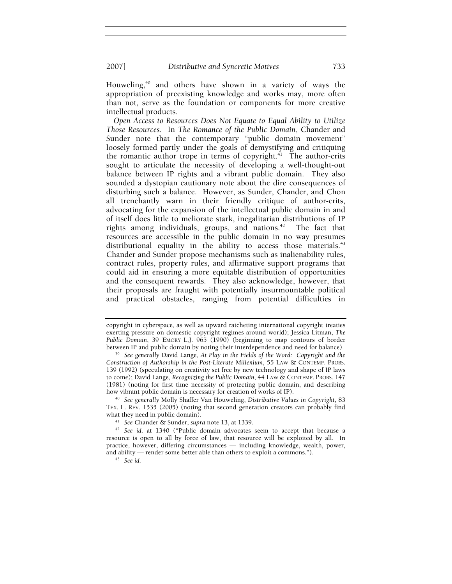Houweling, $40$  and others have shown in a variety of ways the appropriation of preexisting knowledge and works may, more often than not, serve as the foundation or components for more creative intellectual products.

*Open Access to Resources Does Not Equate to Equal Ability to Utilize Those Resources.* In *The Romance of the Public Domain*, Chander and Sunder note that the contemporary "public domain movement" loosely formed partly under the goals of demystifying and critiquing the romantic author trope in terms of copyright. $41$  The author-crits sought to articulate the necessity of developing a well-thought-out balance between IP rights and a vibrant public domain. They also sounded a dystopian cautionary note about the dire consequences of disturbing such a balance. However, as Sunder, Chander, and Chon all trenchantly warn in their friendly critique of author-crits, advocating for the expansion of the intellectual public domain in and of itself does little to meliorate stark, inegalitarian distributions of IP rights among individuals, groups, and nations.<sup> $42$ </sup> The fact that resources are accessible in the public domain in no way presumes distributional equality in the ability to access those materials. $43$ Chander and Sunder propose mechanisms such as inalienability rules, contract rules, property rules, and affirmative support programs that could aid in ensuring a more equitable distribution of opportunities and the consequent rewards. They also acknowledge, however, that their proposals are fraught with potentially insurmountable political and practical obstacles, ranging from potential difficulties in

copyright in cyberspace, as well as upward ratcheting international copyright treaties exerting pressure on domestic copyright regimes around world); Jessica Litman, *The Public Domain*, 39 EMORY L.J. 965 (1990) (beginning to map contours of border between IP and public domain by noting their interdependence and need for balance).

<sup>&</sup>lt;sup>39</sup> See generally David Lange, At Play in the Fields of the Word: Copyright and the *Construction of Authorship in the Post-Literate Millenium*, 55 LAW & CONTEMP. PROBS. 139 (1992) (speculating on creativity set free by new technology and shape of IP laws to come); David Lange, *Recognizing the Public Domain*, 44 LAW & CONTEMP. PROBS. 147 (1981) (noting for first time necessity of protecting public domain, and describing

<sup>&</sup>lt;sup>40</sup> See generally Molly Shaffer Van Houweling, Distributive Values in Copyright, 83 TEX. L. REV. 1535 (2005) (noting that second generation creators can probably find

<sup>&</sup>lt;sup>41</sup> See Chander & Sunder, *supra* note 13, at 1339.<br><sup>42</sup> See id. at 1340 ("Public domain advocates seem to accept that because a resource is open to all by force of law, that resource will be exploited by all. In practice, however, differing circumstances — including knowledge, wealth, power, and ability — render some better able than others to exploit a commons."). 43 *See id*.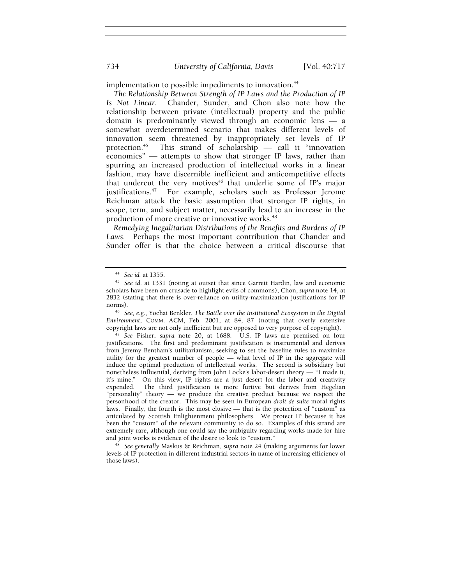implementation to possible impediments to innovation.<sup>44</sup>

*The Relationship Between Strength of IP Laws and the Production of IP Is Not Linear.* Chander, Sunder, and Chon also note how the Chander, Sunder, and Chon also note how the relationship between private (intellectual) property and the public domain is predominantly viewed through an economic lens — a somewhat overdetermined scenario that makes different levels of innovation seem threatened by inappropriately set levels of IP protection.<sup>45</sup> This strand of scholarship — call it "innovation economics" — attempts to show that stronger IP laws, rather than spurring an increased production of intellectual works in a linear fashion, may have discernible inefficient and anticompetitive effects that undercut the very motives<sup>46</sup> that underlie some of IP's major justifications.<sup>47</sup> For example, scholars such as Professor Jerome Reichman attack the basic assumption that stronger IP rights, in scope, term, and subject matter, necessarily lead to an increase in the production of more creative or innovative works.<sup>48</sup>

*Remedying Inegalitarian Distributions of the Benefits and Burdens of IP Laws.* Perhaps the most important contribution that Chander and Sunder offer is that the choice between a critical discourse that

*Environment*, COMM. ACM, Feb. 2001, at 84, 87 (noting that overly extensive

<sup>47</sup> See Fisher, supra note 20, at 1688. U.S. IP laws are premised on four justifications. The first and predominant justification is instrumental and derives from Jeremy Bentham's utilitarianism, seeking to set the baseline rules to maximize utility for the greatest number of people — what level of IP in the aggregate will induce the optimal production of intellectual works. The second is subsidiary but nonetheless influential, deriving from John Locke's labor-desert theory — "I made it, it's mine." On this view, IP rights are a just desert for the labor and creativity expended. The third justification is more furtive but derives from Hegelian "personality" theory — we produce the creative product because we respect the personhood of the creator. This may be seen in European *droit de suite* moral rights laws. Finally, the fourth is the most elusive — that is the protection of "custom" as articulated by Scottish Enlightenment philosophers. We protect IP because it has been the "custom" of the relevant community to do so. Examples of this strand are extremely rare, although one could say the ambiguity regarding works made for hire and joint works is evidence of the desire to look to "custom." 48 *See generally* Maskus & Reichman, *supra* note 24 (making arguments for lower

levels of IP protection in different industrial sectors in name of increasing efficiency of those laws).

<sup>&</sup>lt;sup>44</sup> See id. at 1355.<br><sup>45</sup> See id. at 1331 (noting at outset that since Garrett Hardin, law and economic scholars have been on crusade to highlight evils of commons); Chon, *supra* note 14, at 2832 (stating that there is over-reliance on utility-maximization justifications for IP norms). 46 *See, e.g.*, Yochai Benkler, *The Battle over the Institutional Ecosystem in the Digital*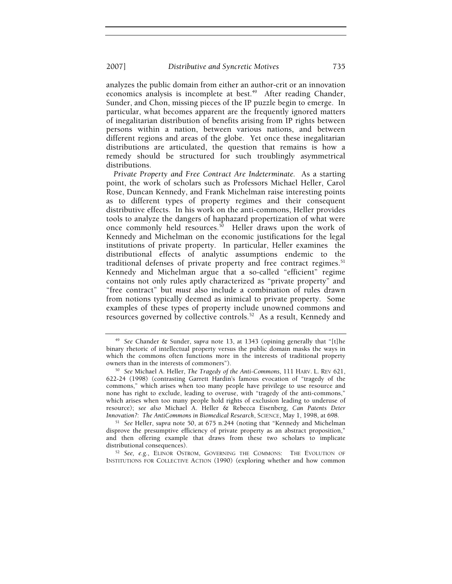analyzes the public domain from either an author-crit or an innovation economics analysis is incomplete at best.<sup>49</sup> After reading Chander, Sunder, and Chon, missing pieces of the IP puzzle begin to emerge. In particular, what becomes apparent are the frequently ignored matters of inegalitarian distribution of benefits arising from IP rights between persons within a nation, between various nations, and between different regions and areas of the globe. Yet once these inegalitarian distributions are articulated, the question that remains is how a remedy should be structured for such troublingly asymmetrical distributions.

*Private Property and Free Contract Are Indeterminate.* As a starting point, the work of scholars such as Professors Michael Heller, Carol Rose, Duncan Kennedy, and Frank Michelman raise interesting points as to different types of property regimes and their consequent distributive effects. In his work on the anti-commons, Heller provides tools to analyze the dangers of haphazard propertization of what were once commonly held resources.<sup>50</sup> Heller draws upon the work of Kennedy and Michelman on the economic justifications for the legal institutions of private property. In particular, Heller examines the distributional effects of analytic assumptions endemic to the traditional defenses of private property and free contract regimes.<sup>51</sup> Kennedy and Michelman argue that a so-called "efficient" regime contains not only rules aptly characterized as "private property" and "free contract" but *must* also include a combination of rules drawn from notions typically deemed as inimical to private property. Some examples of these types of property include unowned commons and resources governed by collective controls.<sup>52</sup> As a result, Kennedy and

<sup>49</sup> *See* Chander & Sunder, *supra* note 13, at 1343 (opining generally that "[t]he binary rhetoric of intellectual property versus the public domain masks the ways in which the commons often functions more in the interests of traditional property owners than in the interests of commoners"). 50 *See* Michael A. Heller, *The Tragedy of the Anti-Commons*, 111 HARV. L. REV 621,

<sup>622-24 (1998) (</sup>contrasting Garrett Hardin's famous evocation of "tragedy of the commons," which arises when too many people have privilege to use resource and none has right to exclude, leading to overuse, with "tragedy of the anti-commons," which arises when too many people hold rights of exclusion leading to underuse of resource); *see also* Michael A. Heller & Rebecca Eisenberg, *Can Patents Deter Innovation?: The AntiCommons in Biomedical Research*, SCIENCE, May 1, 1998, at 698. 51 *See* Heller, *supra* note 50, at 675 n.244 (noting that "Kennedy and Michelman

disprove the presumptive efficiency of private property as an abstract proposition," and then offering example that draws from these two scholars to implicate distributional consequences). 52 *See, e.g.*, ELINOR OSTROM, GOVERNING THE COMMONS: THE EVOLUTION OF

INSTITUTIONS FOR COLLECTIVE ACTION (1990) (exploring whether and how common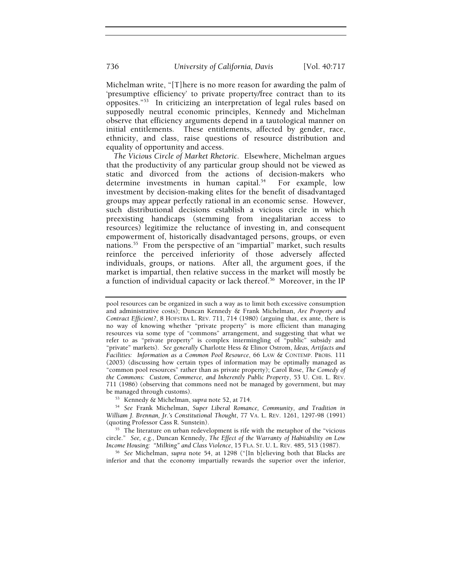Michelman write, "[T]here is no more reason for awarding the palm of 'presumptive efficiency' to private property/free contract than to its opposites."53 In criticizing an interpretation of legal rules based on supposedly neutral economic principles, Kennedy and Michelman observe that efficiency arguments depend in a tautological manner on initial entitlements. These entitlements, affected by gender, race, ethnicity, and class, raise questions of resource distribution and equality of opportunity and access.

*The Vicious Circle of Market Rhetoric.* Elsewhere, Michelman argues that the productivity of any particular group should not be viewed as static and divorced from the actions of decision-makers who determine investments in human capital.<sup>54</sup> For example, low investment by decision-making elites for the benefit of disadvantaged groups may appear perfectly rational in an economic sense. However, such distributional decisions establish a vicious circle in which preexisting handicaps (stemming from inegalitarian access to resources) legitimize the reluctance of investing in, and consequent empowerment of, historically disadvantaged persons, groups, or even nations.55 From the perspective of an "impartial" market, such results reinforce the perceived inferiority of those adversely affected individuals, groups, or nations. After all, the argument goes, if the market is impartial, then relative success in the market will mostly be a function of individual capacity or lack thereof.56 Moreover, in the IP

pool resources can be organized in such a way as to limit both excessive consumption and administrative costs); Duncan Kennedy & Frank Michelman, *Are Property and Contract Efficient?*, 8 HOFSTRA L. REV. 711, 714 (1980) (arguing that, ex ante, there is no way of knowing whether "private property" is more efficient than managing resources via some type of "commons" arrangement, and suggesting that what we refer to as "private property" is complex intermingling of "public" subsidy and "private" markets). *See generally* Charlotte Hess & Elinor Ostrom, *Ideas, Artifacts and Facilities: Information as a Common Pool Resource*, 66 LAW & CONTEMP. PROBS. 111 (2003) (discussing how certain types of information may be optimally managed as "common pool resources" rather than as private property); Carol Rose, *The Comedy of the Commons: Custom, Commerce, and Inherently Public Property*, 53 U. CHI. L. REV. 711 (1986) (observing that commons need not be managed by government, but may be managed through customs).<br><sup>53</sup> Kennedy & Michelman, *supra* note 52, at 714.<br><sup>54</sup> See Frank Michelman, *Super Liberal Romance, Community, and Tradition in* 

*William J. Brennan, Jr.'s Constitutional Thought*, 77 VA. L. REV. 1261, 1297-98 (1991) (quoting Professor Cass R. Sunstein). 55 The literature on urban redevelopment is rife with the metaphor of the "vicious

circle." *See, e.g.*, Duncan Kennedy, *The Effect of the Warranty of Habitability on Low Income Housing: "Milking" and Class Violence*, 15 FLA. ST. U. L. REV. 485, 513 (1987). 56 *See* Michelman, *supra* note 54, at 1298 ("[In b]elieving both that Blacks are

inferior and that the economy impartially rewards the superior over the inferior,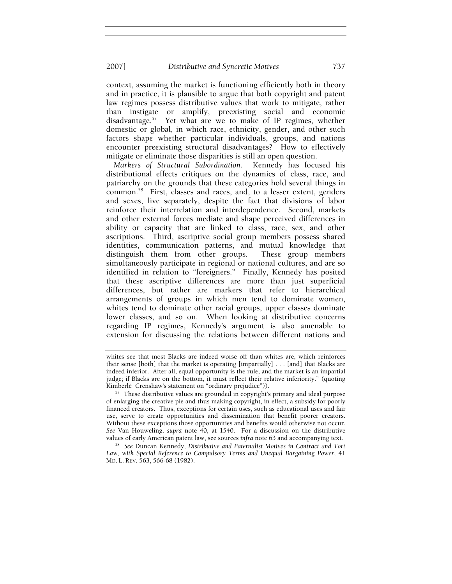context, assuming the market is functioning efficiently both in theory and in practice, it is plausible to argue that both copyright and patent law regimes possess distributive values that work to mitigate, rather than instigate or amplify, preexisting social and economic disadvantage.57 Yet what are we to make of IP regimes, whether domestic or global, in which race, ethnicity, gender, and other such factors shape whether particular individuals, groups, and nations encounter preexisting structural disadvantages? How to effectively mitigate or eliminate those disparities is still an open question.

*Markers of Structural Subordination.* Kennedy has focused his distributional effects critiques on the dynamics of class, race, and patriarchy on the grounds that these categories hold several things in common.58 First, classes and races, and, to a lesser extent, genders and sexes, live separately, despite the fact that divisions of labor reinforce their interrelation and interdependence. Second, markets and other external forces mediate and shape perceived differences in ability or capacity that are linked to class, race, sex, and other ascriptions. Third, ascriptive social group members possess shared identities, communication patterns, and mutual knowledge that distinguish them from other groups. These group members simultaneously participate in regional or national cultures, and are so identified in relation to "foreigners." Finally, Kennedy has posited that these ascriptive differences are more than just superficial differences, but rather are markers that refer to hierarchical arrangements of groups in which men tend to dominate women, whites tend to dominate other racial groups, upper classes dominate lower classes, and so on. When looking at distributive concerns regarding IP regimes, Kennedy's argument is also amenable to extension for discussing the relations between different nations and

whites see that most Blacks are indeed worse off than whites are, which reinforces their sense [both] that the market is operating [impartially] . . . [and] that Blacks are indeed inferior. After all, equal opportunity is the rule, and the market is an impartial judge; if Blacks are on the bottom, it must reflect their relative inferiority." (quoting Kimberlé Crenshaw's statement on "ordinary prejudice")).

 $57$  These distributive values are grounded in copyright's primary and ideal purpose of enlarging the creative pie and thus making copyright, in effect, a subsidy for poorly financed creators. Thus, exceptions for certain uses, such as educational uses and fair use, serve to create opportunities and dissemination that benefit poorer creators. Without these exceptions those opportunities and benefits would otherwise not occur. *See* Van Houweling, *supra* note 40, at 1540. For a discussion on the distributive

<sup>&</sup>lt;sup>58</sup> See Duncan Kennedy, Distributive and Paternalist Motives in Contract and Tort *Law, with Special Reference to Compulsory Terms and Unequal Bargaining Power*, 41 MD. L. REV. 563, 566-68 (1982).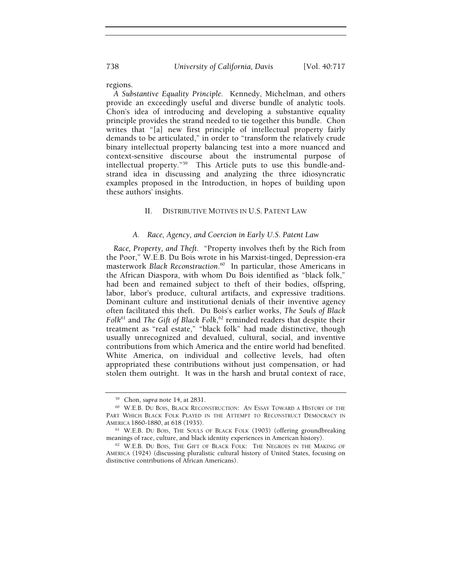regions.

*A Substantive Equality Principle.* Kennedy, Michelman, and others provide an exceedingly useful and diverse bundle of analytic tools. Chon's idea of introducing and developing a substantive equality principle provides the strand needed to tie together this bundle. Chon writes that "[a] new first principle of intellectual property fairly demands to be articulated," in order to "transform the relatively crude binary intellectual property balancing test into a more nuanced and context-sensitive discourse about the instrumental purpose of intellectual property."59 This Article puts to use this bundle-andstrand idea in discussing and analyzing the three idiosyncratic examples proposed in the Introduction, in hopes of building upon these authors' insights.

#### II. DISTRIBUTIVE MOTIVES IN U.S. PATENT LAW

#### *A. Race, Agency, and Coercion in Early U.S. Patent Law*

*Race, Property, and Theft.* "Property involves theft by the Rich from the Poor," W.E.B. Du Bois wrote in his Marxist-tinged, Depression-era masterwork *Black Reconstruction*. 60 In particular, those Americans in the African Diaspora, with whom Du Bois identified as "black folk," had been and remained subject to theft of their bodies, offspring, labor, labor's produce, cultural artifacts, and expressive traditions. Dominant culture and institutional denials of their inventive agency often facilitated this theft. Du Bois's earlier works, *The Souls of Black Folk*61 and *The Gift of Black Folk*, 62 reminded readers that despite their treatment as "real estate," "black folk" had made distinctive, though usually unrecognized and devalued, cultural, social, and inventive contributions from which America and the entire world had benefited. White America, on individual and collective levels, had often appropriated these contributions without just compensation, or had stolen them outright. It was in the harsh and brutal context of race,

<sup>&</sup>lt;sup>59</sup> Chon, *supra* note 14, at 2831.<br><sup>60</sup> W.E.B. DU BOIS, BLACK RECONSTRUCTION: AN ESSAY TOWARD A HISTORY OF THE PART WHICH BLACK FOLK PLAYED IN THE ATTEMPT TO RECONSTRUCT DEMOCRACY IN AMERICA 1860-1880, at 618 (1935).

<sup>&</sup>lt;sup>61</sup> W.E.B. DU BOIS, THE SOULS OF BLACK FOLK (1903) (offering groundbreaking meanings of race, culture, and black identity experiences in American history).<br><sup>62</sup> W.E.B. DU BOIS, THE GIFT OF BLACK FOLK: THE NEGROES IN THE MAKING OF

AMERICA (1924) (discussing pluralistic cultural history of United States, focusing on distinctive contributions of African Americans).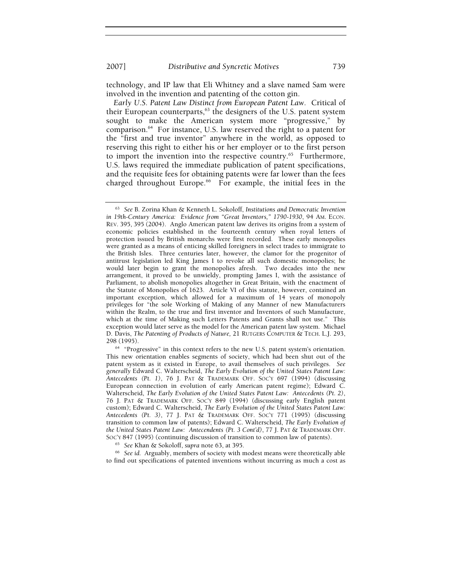technology, and IP law that Eli Whitney and a slave named Sam were involved in the invention and patenting of the cotton gin.

*Early U.S. Patent Law Distinct from European Patent Law.* Critical of their European counterparts, $63$  the designers of the U.S. patent system sought to make the American system more "progressive," by comparison.64 For instance, U.S. law reserved the right to a patent for the "first and true inventor" anywhere in the world, as opposed to reserving this right to either his or her employer or to the first person to import the invention into the respective country.<sup>65</sup> Furthermore, U.S. laws required the immediate publication of patent specifications, and the requisite fees for obtaining patents were far lower than the fees charged throughout Europe.<sup>66</sup> For example, the initial fees in the

298 (1995).<br><sup>64</sup> "Progressive" in this context refers to the new U.S. patent system's orientation. This new orientation enables segments of society, which had been shut out of the patent system as it existed in Europe, to avail themselves of such privileges. *See generally* Edward C. Walterscheid, *The Early Evolution of the United States Patent Law: Antecedents (Pt. 1)*, 76 J. PAT & TRADEMARK OFF. SOC'Y 697 (1994) (discussing European connection in evolution of early American patent regime); Edward C. Walterscheid, *The Early Evolution of the United States Patent Law: Antecedents (Pt. 2)*, 76 J. PAT & TRADEMARK OFF. SOC'Y 849 (1994) (discussing early English patent custom); Edward C. Walterscheid, *The Early Evolution of the United States Patent Law: Antecedents (Pt. 3)*, 77 J. PAT & TRADEMARK OFF. SOC'Y 771 (1995) (discussing transition to common law of patents); Edward C. Walterscheid, *The Early Evolution of the United States Patent Law: Antecendents (Pt. 3 Cont'd)*, 77 J. PAT & TRADEMARK OFF. Soc'y 847 (1995) (continuing discussion of transition to common law of patents).<br><sup>65</sup> See Khan & Sokoloff, supra note 63, at 395.<br><sup>66</sup> See id. Arguably, members of society with modest means were theoretically able

to find out specifications of patented inventions without incurring as much a cost as

<sup>63</sup> *See* B. Zorina Khan & Kenneth L. Sokoloff, *Institutions and Democratic Invention in 19th-Century America: Evidence from "Great Inventors," 1790-1930*, 94 AM. ECON. REV. 395, 395 (2004). Anglo American patent law derives its origins from a system of economic policies established in the fourteenth century when royal letters of protection issued by British monarchs were first recorded. These early monopolies were granted as a means of enticing skilled foreigners in select trades to immigrate to the British Isles. Three centuries later, however, the clamor for the progenitor of antitrust legislation led King James I to revoke all such domestic monopolies; he would later begin to grant the monopolies afresh. Two decades into the new arrangement, it proved to be unwieldy, prompting James I, with the assistance of Parliament, to abolish monopolies altogether in Great Britain, with the enactment of the Statute of Monopolies of 1623. Article VI of this statute, however, contained an important exception, which allowed for a maximum of 14 years of monopoly privileges for "the sole Working of Making of any Manner of new Manufacturers within the Realm, to the true and first inventor and Inventors of such Manufacture, which at the time of Making such Letters Patents and Grants shall not use." This exception would later serve as the model for the American patent law system. Michael D. Davis, *The Patenting of Products of Nature,* 21 RUTGERS COMPUTER & TECH. L.J. 293,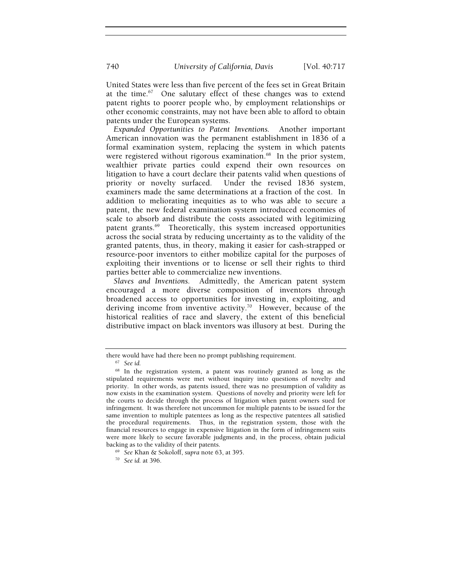United States were less than five percent of the fees set in Great Britain at the time. $67$  One salutary effect of these changes was to extend patent rights to poorer people who, by employment relationships or other economic constraints, may not have been able to afford to obtain patents under the European systems.

*Expanded Opportunities to Patent Inventions.* Another important American innovation was the permanent establishment in 1836 of a formal examination system, replacing the system in which patents were registered without rigorous examination.<sup>68</sup> In the prior system, wealthier private parties could expend their own resources on litigation to have a court declare their patents valid when questions of priority or novelty surfaced. Under the revised 1836 system, examiners made the same determinations at a fraction of the cost. In addition to meliorating inequities as to who was able to secure a patent, the new federal examination system introduced economies of scale to absorb and distribute the costs associated with legitimizing patent grants.<sup>69</sup> Theoretically, this system increased opportunities across the social strata by reducing uncertainty as to the validity of the granted patents, thus, in theory, making it easier for cash-strapped or resource-poor inventors to either mobilize capital for the purposes of exploiting their inventions or to license or sell their rights to third parties better able to commercialize new inventions.

*Slaves and Inventions.* Admittedly, the American patent system encouraged a more diverse composition of inventors through broadened access to opportunities for investing in, exploiting, and deriving income from inventive activity.<sup>70</sup> However, because of the historical realities of race and slavery, the extent of this beneficial distributive impact on black inventors was illusory at best. During the

there would have had there been no prompt publishing requirement. 67 *See id.*

<sup>68</sup> In the registration system, a patent was routinely granted as long as the stipulated requirements were met without inquiry into questions of novelty and priority. In other words, as patents issued, there was no presumption of validity as now exists in the examination system. Questions of novelty and priority were left for the courts to decide through the process of litigation when patent owners sued for infringement. It was therefore not uncommon for multiple patents to be issued for the same invention to multiple patentees as long as the respective patentees all satisfied the procedural requirements. Thus, in the registration system, those with the financial resources to engage in expensive litigation in the form of infringement suits were more likely to secure favorable judgments and, in the process, obtain judicial backing as to the validity of their patents. 69 *See* Khan & Sokoloff, *supra* note 63, at 395. 70 *See id.* at 396.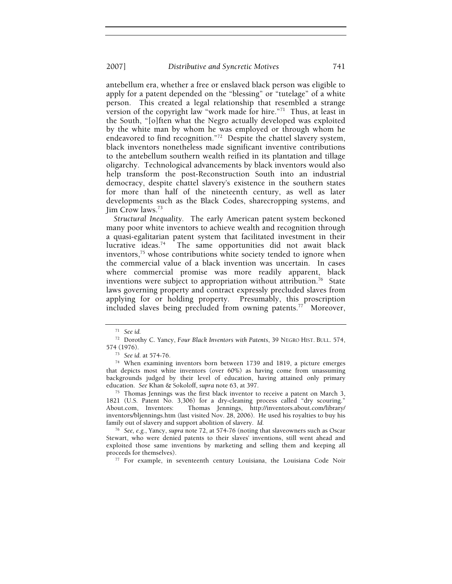antebellum era, whether a free or enslaved black person was eligible to apply for a patent depended on the "blessing" or "tutelage" of a white person. This created a legal relationship that resembled a strange version of the copyright law "work made for hire."71 Thus, at least in the South, "[o]ften what the Negro actually developed was exploited by the white man by whom he was employed or through whom he endeavored to find recognition."<sup>72</sup> Despite the chattel slavery system, black inventors nonetheless made significant inventive contributions to the antebellum southern wealth reified in its plantation and tillage oligarchy. Technological advancements by black inventors would also help transform the post-Reconstruction South into an industrial democracy, despite chattel slavery's existence in the southern states for more than half of the nineteenth century, as well as later developments such as the Black Codes, sharecropping systems, and Jim Crow laws.73

*Structural Inequality.* The early American patent system beckoned many poor white inventors to achieve wealth and recognition through a quasi-egalitarian patent system that facilitated investment in their lucrative ideas.74 The same opportunities did not await black inventors, $75$  whose contributions white society tended to ignore when the commercial value of a black invention was uncertain. In cases where commercial promise was more readily apparent, black inventions were subject to appropriation without attribution.<sup>76</sup> State laws governing property and contract expressly precluded slaves from applying for or holding property. Presumably, this proscription included slaves being precluded from owning patents.<sup>77</sup> Moreover,

<sup>71</sup> *See id.*

<sup>72</sup> Dorothy C. Yancy, *Four Black Inventors with Patents*, 39 NEGRO HIST. BULL. 574, 574 (1976). 73 *See id.* at 574-76. 74 When examining inventors born between 1739 and 1819, a picture emerges

that depicts most white inventors (over 60%) as having come from unassuming backgrounds judged by their level of education, having attained only primary education. *See* Khan & Sokoloff, *supra* note 63, at 397. 75 Thomas Jennings was the first black inventor to receive a patent on March 3,

<sup>1821 (</sup>U.S. Patent No. 3,306) for a dry-cleaning process called "dry scouring." About.com, Inventors: Thomas Jennings, http://inventors.about.com/library/ inventors/bljennings.htm (last visited Nov. 28, 2006). He used his royalties to buy his family out of slavery and support abolition of slavery. *Id.* 

<sup>76</sup> *See, e.g.*, Yancy, *supra* note 72, at 574-76 (noting that slaveowners such as Oscar Stewart, who were denied patents to their slaves' inventions, still went ahead and exploited those same inventions by marketing and selling them and keeping all proceeds for themselves).<br><sup>77</sup> For example, in seventeenth century Louisiana, the Louisiana Code Noir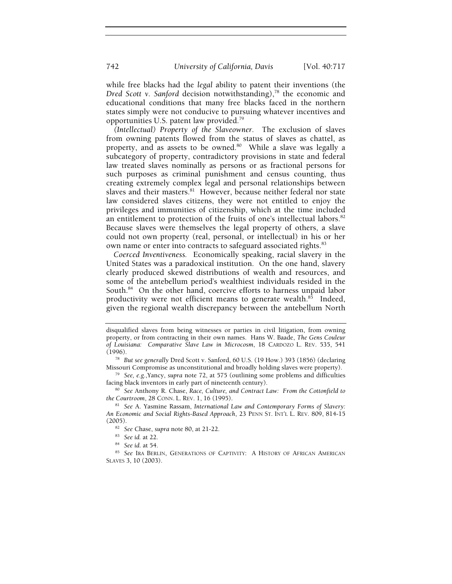while free blacks had the *legal* ability to patent their inventions (the *Dred Scott v. Sanford* decision notwithstanding),<sup>78</sup> the economic and educational conditions that many free blacks faced in the northern states simply were not conducive to pursuing whatever incentives and opportunities U.S. patent law provided.79

*(Intellectual) Property of the Slaveowner.* The exclusion of slaves from owning patents flowed from the status of slaves as chattel, as property, and as assets to be owned.<sup>80</sup> While a slave was legally a subcategory of property, contradictory provisions in state and federal law treated slaves nominally as persons or as fractional persons for such purposes as criminal punishment and census counting, thus creating extremely complex legal and personal relationships between slaves and their masters.<sup>81</sup> However, because neither federal nor state law considered slaves citizens, they were not entitled to enjoy the privileges and immunities of citizenship, which at the time included an entitlement to protection of the fruits of one's intellectual labors.<sup>82</sup> Because slaves were themselves the legal property of others, a slave could not own property (real, personal, or intellectual) in his or her own name or enter into contracts to safeguard associated rights.<sup>83</sup>

*Coerced Inventiveness.* Economically speaking, racial slavery in the United States was a paradoxical institution. On the one hand, slavery clearly produced skewed distributions of wealth and resources, and some of the antebellum period's wealthiest individuals resided in the South.<sup>84</sup> On the other hand, coercive efforts to harness unpaid labor productivity were not efficient means to generate wealth. $85$  Indeed, given the regional wealth discrepancy between the antebellum North

disqualified slaves from being witnesses or parties in civil litigation, from owning property, or from contracting in their own names. Hans W. Baade, *The Gens Couleur of Louisiana: Comparative Slave Law in Microcosm*, 18 CARDOZO L. REV. 535, 541

<sup>&</sup>lt;sup>78</sup> But see generally Dred Scott v. Sanford, 60 U.S. (19 How.) 393 (1856) (declaring Missouri Compromise as unconstitutional and broadly holding slaves were property).

<sup>79</sup> *See, e.g.*,Yancy, *supra* note 72, at 575 (outlining some problems and difficulties facing black inventors in early part of nineteenth century). 80 *See* Anthony R. Chase, *Race, Culture, and Contract Law: From the Cottonfield to* 

*the Courtroom*, 28 CONN. L. REV. 1, 16 (1995).<br><sup>81</sup> See A. Yasmine Rassam, *International Law and Contemporary Forms of Slavery:* 

*An Economic and Social Rights-Based Approach*, 23 PENN ST. INT'L L. REV. 809, 814-15

<sup>(2005). 82</sup> *See* Chase, *supra* note 80, at 21-22. 83 *See id.* at 22. 84 *See id*. at 54. 85 *See* IRA BERLIN, GENERATIONS OF CAPTIVITY: A HISTORY OF AFRICAN AMERICAN SLAVES 3, 10 (2003).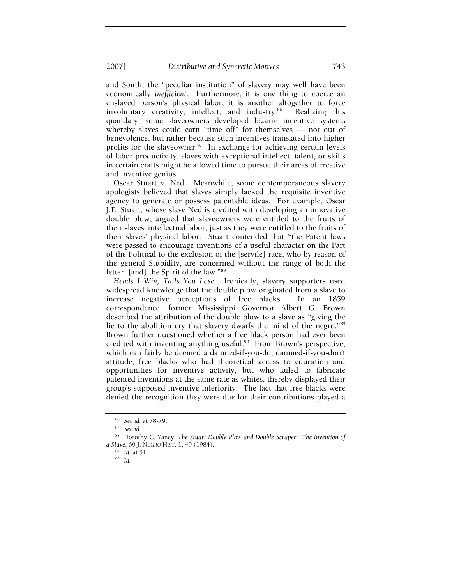and South, the "peculiar institution" of slavery may well have been economically *inefficient*. Furthermore, it is one thing to coerce an enslaved person's physical labor; it is another altogether to force involuntary creativity, intellect, and industry.<sup>86</sup> Realizing this quandary, some slaveowners developed bizarre incentive systems whereby slaves could earn "time off" for themselves - not out of benevolence, but rather because such incentives translated into higher profits for the slaveowner.<sup>87</sup> In exchange for achieving certain levels of labor productivity, slaves with exceptional intellect, talent, or skills in certain crafts might be allowed time to pursue their areas of creative and inventive genius.

Oscar Stuart v. Ned. Meanwhile, some contemporaneous slavery apologists believed that slaves simply lacked the requisite inventive agency to generate or possess patentable ideas. For example, Oscar J.E. Stuart, whose slave Ned is credited with developing an innovative double plow, argued that slaveowners were entitled to the fruits of their slaves' intellectual labor, just as they were entitled to the fruits of their slaves' physical labor. Stuart contended that "the Patent laws were passed to encourage inventions of a useful character on the Part of the Political to the exclusion of the [servile] race, who by reason of the general Stupidity, are concerned without the range of both the letter, [and] the Spirit of the law."88

*Heads I Win, Tails You Lose.* Ironically, slavery supporters used widespread knowledge that the double plow originated from a slave to increase negative perceptions of free blacks. In an 1859 correspondence, former Mississippi Governor Albert G. Brown described the attribution of the double plow to a slave as "giving the lie to the abolition cry that slavery dwarfs the mind of the negro."89 Brown further questioned whether a free black person had ever been credited with inventing anything useful.<sup>90</sup> From Brown's perspective, which can fairly be deemed a damned-if-you-do, damned-if-you-don't attitude, free blacks who had theoretical access to education and opportunities for inventive activity, but who failed to fabricate patented inventions at the same rate as whites, thereby displayed their group's supposed inventive inferiority. The fact that free blacks were denied the recognition they were due for their contributions played a

<sup>86</sup> *See id.* at 78-79. 87 *See id.*

<sup>88</sup> Dorothy C. Yancy, *The Stuart Double Plow and Double Scraper: The Invention of a Slave*, 69 J. NEGRO HIST. 1, 49 (1984). 89 *Id.* at 51. 90 *Id.*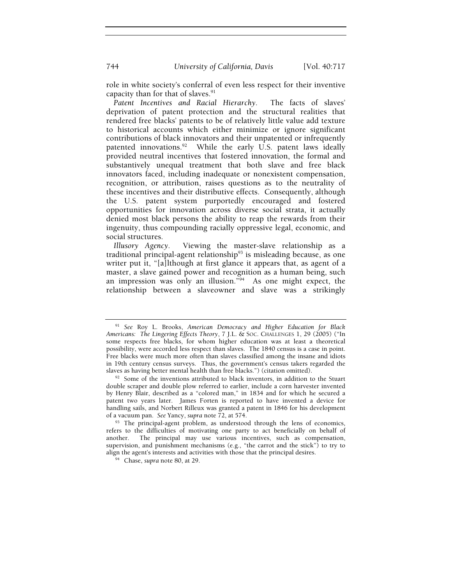role in white society's conferral of even less respect for their inventive capacity than for that of slaves.<sup>91</sup>

*Patent Incentives and Racial Hierarchy.* The facts of slaves' deprivation of patent protection and the structural realities that rendered free blacks' patents to be of relatively little value add texture to historical accounts which either minimize or ignore significant contributions of black innovators and their unpatented or infrequently patented innovations.<sup>92</sup> While the early U.S. patent laws ideally provided neutral incentives that fostered innovation, the formal and substantively unequal treatment that both slave and free black innovators faced, including inadequate or nonexistent compensation, recognition, or attribution, raises questions as to the neutrality of these incentives and their distributive effects. Consequently, although the U.S. patent system purportedly encouraged and fostered opportunities for innovation across diverse social strata, it actually denied most black persons the ability to reap the rewards from their ingenuity, thus compounding racially oppressive legal, economic, and social structures.

*Illusory Agency.* Viewing the master-slave relationship as a traditional principal-agent relationship<sup>93</sup> is misleading because, as one writer put it, "[a]lthough at first glance it appears that, as agent of a master, a slave gained power and recognition as a human being, such an impression was only an illusion."94 As one might expect, the relationship between a slaveowner and slave was a strikingly

<sup>91</sup> *See* Roy L. Brooks, *American Democracy and Higher Education for Black Americans: The Lingering Effects Theory*, 7 J.L. & SOC. CHALLENGES 1, 29 (2005) ("In some respects free blacks, for whom higher education was at least a theoretical possibility, were accorded less respect than slaves. The 1840 census is a case in point. Free blacks were much more often than slaves classified among the insane and idiots in 19th century census surveys. Thus, the government's census takers regarded the slaves as having better mental health than free blacks.") (citation omitted).

 $92$  Some of the inventions attributed to black inventors, in addition to the Stuart double scraper and double plow referred to earlier, include a corn harvester invented by Henry Blair, described as a "colored man," in 1834 and for which he secured a patent two years later. James Forten is reported to have invented a device for handling sails, and Norbert Rilleux was granted a patent in 1846 for his development of a vacuum pan. *See* Yancy, *supra* note 72, at 574. 93 The principal-agent problem, as understood through the lens of economics,

refers to the difficulties of motivating one party to act beneficially on behalf of another. The principal may use various incentives, such as compensation, supervision, and punishment mechanisms (e.g., "the carrot and the stick") to try to align the agent's interests and activities with those that the principal desires. 94 Chase, *supra* note 80, at 29.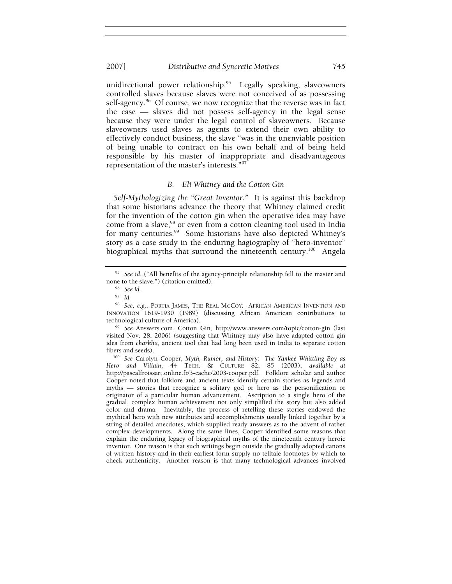unidirectional power relationship.<sup>95</sup> Legally speaking, slaveowners controlled slaves because slaves were not conceived of as possessing self-agency.<sup>96</sup> Of course, we now recognize that the reverse was in fact the case — slaves did not possess self-agency in the legal sense because they were under the legal control of slaveowners. Because slaveowners used slaves as agents to extend their own ability to effectively conduct business, the slave "was in the unenviable position of being unable to contract on his own behalf and of being held responsible by his master of inappropriate and disadvantageous representation of the master's interests."97

# *B. Eli Whitney and the Cotton Gin*

*Self-Mythologizing the "Great Inventor."* It is against this backdrop that some historians advance the theory that Whitney claimed credit for the invention of the cotton gin when the operative idea may have come from a slave,<sup>98</sup> or even from a cotton cleaning tool used in India for many centuries.<sup>99</sup> Some historians have also depicted Whitney's story as a case study in the enduring hagiography of "hero-inventor" biographical myths that surround the nineteenth century.<sup>100</sup> Angela

visited Nov. 28, 2006) (suggesting that Whitney may also have adapted cotton gin idea from *charkha*, ancient tool that had long been used in India to separate cotton

fibers and seeds).<br><sup>100</sup> See Carolyn Cooper, *Myth, Rumor, and History: The Yankee Whittling Boy as Hero and Villain*, 44 TECH. & CULTURE 82, 85 (2003), *available at* http://pascalfroissart.online.fr/3-cache/2003-cooper.pdf. Folklore scholar and author Cooper noted that folklore and ancient texts identify certain stories as legends and myths — stories that recognize a solitary god or hero as the personification or originator of a particular human advancement. Ascription to a single hero of the gradual, complex human achievement not only simplified the story but also added color and drama. Inevitably, the process of retelling these stories endowed the mythical hero with new attributes and accomplishments usually linked together by a string of detailed anecdotes, which supplied ready answers as to the advent of rather complex developments. Along the same lines, Cooper identified some reasons that explain the enduring legacy of biographical myths of the nineteenth century heroic inventor. One reason is that such writings begin outside the gradually adopted canons of written history and in their earliest form supply no telltale footnotes by which to check authenticity. Another reason is that many technological advances involved

<sup>&</sup>lt;sup>95</sup> See id. ("All benefits of the agency-principle relationship fell to the master and none to the slave.") (citation omitted).<br><sup>96</sup> See id.<br><sup>97</sup> Id.

<sup>98</sup> *See, e.g*., PORTIA JAMES, THE REAL MCCOY: AFRICAN AMERICAN INVENTION AND INNOVATION 1619-1930 (1989) (discussing African American contributions to technological culture of America). 99 *See* Answers.com, Cotton Gin, http://www.answers.com/topic/cotton-gin (last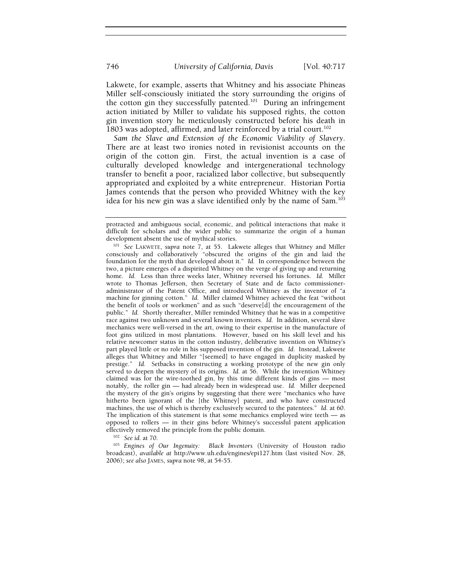Lakwete, for example, asserts that Whitney and his associate Phineas Miller self-consciously initiated the story surrounding the origins of the cotton gin they successfully patented.<sup>101</sup> During an infringement action initiated by Miller to validate his supposed rights, the cotton gin invention story he meticulously constructed before his death in 1803 was adopted, affirmed, and later reinforced by a trial court.<sup>102</sup>

*Sam the Slave and Extension of the Economic Viability of Slavery.* There are at least two ironies noted in revisionist accounts on the origin of the cotton gin. First, the actual invention is a case of culturally developed knowledge and intergenerational technology transfer to benefit a poor, racialized labor collective, but subsequently appropriated and exploited by a white entrepreneur. Historian Portia James contends that the person who provided Whitney with the key idea for his new gin was a slave identified only by the name of Sam.<sup>103</sup>

effectively removed the principle from the public domain.<br><sup>102</sup> *See id.* at 70. <sup>103</sup> *Engines of Our Ingenuity: Black Inventors* (University of Houston radio broadcast), *available at* http://www.uh.edu/engines/epi127.htm (last visited Nov. 28, 2006); *see also* JAMES, *supra* note 98, at 54-55.

protracted and ambiguous social, economic, and political interactions that make it difficult for scholars and the wider public to summarize the origin of a human development absent the use of mythical stories.

<sup>&</sup>lt;sup>101</sup> See LAKWETE, *supra* note 7, at 55. Lakwete alleges that Whitney and Miller consciously and collaboratively "obscured the origins of the gin and laid the foundation for the myth that developed about it." *Id.* In correspondence between the two, a picture emerges of a dispirited Whitney on the verge of giving up and returning home. *Id.* Less than three weeks later, Whitney reversed his fortunes. *Id.* Miller wrote to Thomas Jefferson, then Secretary of State and de facto commissioneradministrator of the Patent Office, and introduced Whitney as the inventor of "a machine for ginning cotton." *Id.* Miller claimed Whitney achieved the feat "without the benefit of tools or workmen" and as such "deserve[d] the encouragement of the public." *Id.* Shortly thereafter, Miller reminded Whitney that he was in a competitive race against two unknown and several known inventors. *Id.* In addition, several slave mechanics were well-versed in the art, owing to their expertise in the manufacture of foot gins utilized in most plantations. However, based on his skill level and his relative newcomer status in the cotton industry, deliberative invention on Whitney's part played little or no role in his supposed invention of the gin. *Id*. Instead, Lakwete alleges that Whitney and Miller "[seemed] to have engaged in duplicity masked by prestige." *Id.* Setbacks in constructing a working prototype of the new gin only served to deepen the mystery of its origins. *Id.* at 56. While the invention Whitney claimed was for the wire-toothed gin, by this time different kinds of gins — most notably, the roller gin — had already been in widespread use. *Id.*Miller deepened the mystery of the gin's origins by suggesting that there were "mechanics who have hitherto been ignorant of the [the Whitney] patent, and who have constructed machines, the use of which is thereby exclusively secured to the patentees." *Id.* at 60. The implication of this statement is that some mechanics employed wire teeth — as opposed to rollers — in their gins before Whitney's successful patent application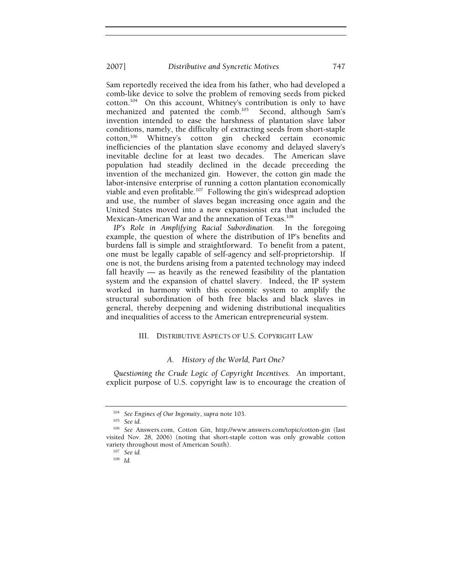Sam reportedly received the idea from his father, who had developed a comb-like device to solve the problem of removing seeds from picked cotton.104 On this account, Whitney's contribution is only to have mechanized and patented the comb.<sup>105</sup> Second, although Sam's invention intended to ease the harshness of plantation slave labor conditions, namely, the difficulty of extracting seeds from short-staple cotton,106 Whitney's cotton gin checked certain economic inefficiencies of the plantation slave economy and delayed slavery's inevitable decline for at least two decades. The American slave population had steadily declined in the decade preceeding the invention of the mechanized gin. However, the cotton gin made the labor-intensive enterprise of running a cotton plantation economically viable and even profitable.<sup>107</sup> Following the gin's widespread adoption and use, the number of slaves began increasing once again and the United States moved into a new expansionist era that included the Mexican-American War and the annexation of Texas.<sup>108</sup>

*IP's Role in Amplifying Racial Subordination.* In the foregoing example, the question of where the distribution of IP's benefits and burdens fall is simple and straightforward. To benefit from a patent, one must be legally capable of self-agency and self-proprietorship. If one is not, the burdens arising from a patented technology may indeed fall heavily — as heavily as the renewed feasibility of the plantation system and the expansion of chattel slavery. Indeed, the IP system worked in harmony with this economic system to amplify the structural subordination of both free blacks and black slaves in general, thereby deepening and widening distributional inequalities and inequalities of access to the American entrepreneurial system.

# III. DISTRIBUTIVE ASPECTS OF U.S. COPYRIGHT LAW

#### *A. History of the World, Part One?*

*Questioning the Crude Logic of Copyright Incentives.* An important, explicit purpose of U.S. copyright law is to encourage the creation of

<sup>104</sup> *See Engines of Our Ingenuity*, *supra* note 103.

<sup>105</sup> *See id.*

<sup>106</sup> *See* Answers.com, Cotton Gin, http://www.answers.com/topic/cotton-gin (last visited Nov. 28, 2006) (noting that short-staple cotton was only growable cotton variety throughout most of American South). 107 *See id.*

<sup>108</sup> *Id.*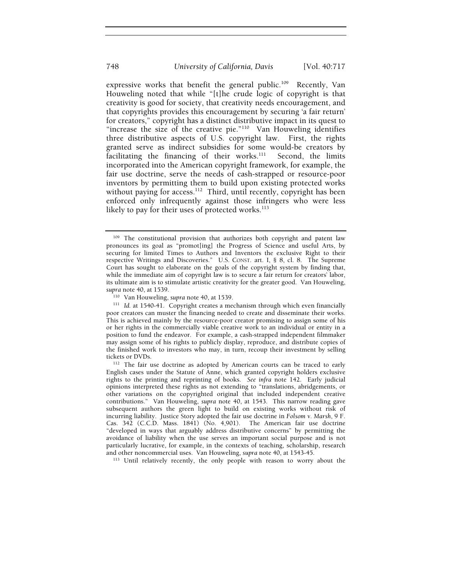expressive works that benefit the general public.<sup>109</sup> Recently, Van Houweling noted that while "[t]he crude logic of copyright is that creativity is good for society, that creativity needs encouragement, and that copyrights provides this encouragement by securing 'a fair return' for creators," copyright has a distinct distributive impact in its quest to "increase the size of the creative pie."<sup>110</sup> Van Houweling identifies three distributive aspects of U.S. copyright law. First, the rights granted serve as indirect subsidies for some would-be creators by facilitating the financing of their works. $111$  Second, the limits incorporated into the American copyright framework, for example, the fair use doctrine, serve the needs of cash-strapped or resource-poor inventors by permitting them to build upon existing protected works without paying for access.<sup>112</sup> Third, until recently, copyright has been enforced only infrequently against those infringers who were less likely to pay for their uses of protected works.<sup>113</sup>

<sup>113</sup> Until relatively recently, the only people with reason to worry about the

<sup>&</sup>lt;sup>109</sup> The constitutional provision that authorizes both copyright and patent law pronounces its goal as "promot[ing] the Progress of Science and useful Arts, by securing for limited Times to Authors and Inventors the exclusive Right to their respective Writings and Discoveries." U.S. CONST. art. I, § 8, cl. 8. The Supreme Court has sought to elaborate on the goals of the copyright system by finding that, while the immediate aim of copyright law is to secure a fair return for creators' labor, its ultimate aim is to stimulate artistic creativity for the greater good. Van Houweling, *supra* note 40, at 1539.<br><sup>110</sup> Van Houweling, *supra* note 40, at 1539.<br><sup>111</sup> *Id.* at 1540-41. Copyright creates a mechanism through which even financially

poor creators can muster the financing needed to create and disseminate their works. This is achieved mainly by the resource-poor creator promising to assign some of his or her rights in the commercially viable creative work to an individual or entity in a position to fund the endeavor. For example, a cash-strapped independent filmmaker may assign some of his rights to publicly display, reproduce, and distribute copies of the finished work to investors who may, in turn, recoup their investment by selling

<sup>&</sup>lt;sup>112</sup> The fair use doctrine as adopted by American courts can be traced to early English cases under the Statute of Anne, which granted copyright holders exclusive rights to the printing and reprinting of books. *See infra* note 142. Early judicial opinions interpreted these rights as not extending to "translations, abridgements, or other variations on the copyrighted original that included independent creative contributions." Van Houweling, *supra* note 40, at 1543. This narrow reading gave subsequent authors the green light to build on existing works without risk of incurring liability. Justice Story adopted the fair use doctrine in *Folsom v. Marsh*, 9 F. Cas. 342 (C.C.D. Mass. 1841) (No. 4,901). The American fair use doctrine "developed in ways that arguably address distributive concerns" by permitting the avoidance of liability when the use serves an important social purpose and is not particularly lucrative, for example, in the contexts of teaching, scholarship, research and other noncommercial uses. Van Houweling, supra note 40, at 1543-45.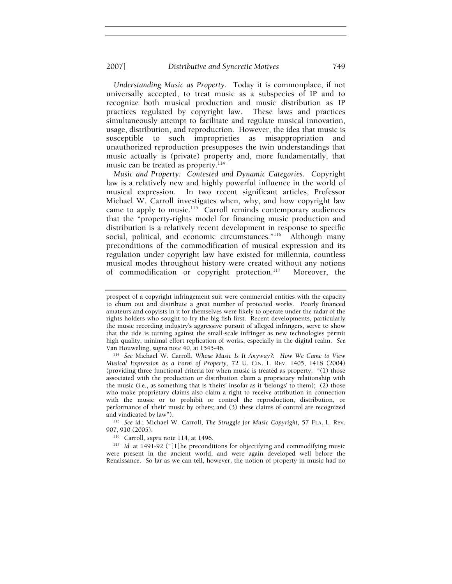*Understanding Music as Property.* Today it is commonplace, if not universally accepted, to treat music as a subspecies of IP and to recognize both musical production and music distribution as IP practices regulated by copyright law. These laws and practices simultaneously attempt to facilitate and regulate musical innovation, usage, distribution, and reproduction. However, the idea that music is susceptible to such improprieties as misappropriation and unauthorized reproduction presupposes the twin understandings that music actually is (private) property and, more fundamentally, that music can be treated as property.<sup>114</sup>

*Music and Property: Contested and Dynamic Categories.*Copyright law is a relatively new and highly powerful influence in the world of musical expression. In two recent significant articles, Professor Michael W. Carroll investigates when, why, and how copyright law came to apply to music.<sup>115</sup> Carroll reminds contemporary audiences that the "property-rights model for financing music production and distribution is a relatively recent development in response to specific social, political, and economic circumstances."<sup>116</sup> Although many preconditions of the commodification of musical expression and its regulation under copyright law have existed for millennia, countless musical modes throughout history were created without any notions of commodification or copyright protection.117 Moreover, the

<sup>115</sup> See id.; Michael W. Carroll, *The Struggle for Music Copyright*, 57 FLA. L. REV. 907, 910 (2005).

<sup>116</sup> Carroll, *supra* note 114, at 1496.<br><sup>117</sup> *Id.* at 1491-92 ("[T]he preconditions for objectifying and commodifying music were present in the ancient world, and were again developed well before the Renaissance. So far as we can tell, however, the notion of property in music had no

prospect of a copyright infringement suit were commercial entities with the capacity to churn out and distribute a great number of protected works. Poorly financed amateurs and copyists in it for themselves were likely to operate under the radar of the rights holders who sought to fry the big fish first. Recent developments, particularly the music recording industry's aggressive pursuit of alleged infringers, serve to show that the tide is turning against the small-scale infringer as new technologies permit high quality, minimal effort replication of works, especially in the digital realm. *See*  Van Houweling, *supra* note 40, at 1545-46.<br><sup>114</sup> See Michael W. Carroll, *Whose Music Is It Anyway?: How We Came to View* 

*Musical Expression as a Form of Property*, 72 U. CIN. L. REV. 1405, 1418 (2004) (providing three functional criteria for when music is treated as property: "(1) those associated with the production or distribution claim a proprietary relationship with the music (i.e., as something that is 'theirs' insofar as it  $\bar{b}$  belongs' to them); (2) those who make proprietary claims also claim a right to receive attribution in connection with the music or to prohibit or control the reproduction, distribution, or performance of 'their' music by others; and (3) these claims of control are recognized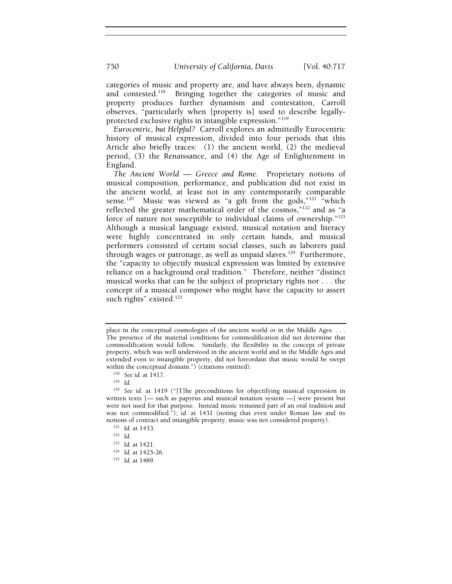categories of music and property are, and have always been, dynamic and contested.<sup>118</sup> Bringing together the categories of music and property produces further dynamism and contestation, Carroll observes, "particularly when [property is] used to describe legallyprotected exclusive rights in intangible expression."119

*Eurocentric, but Helpful?* Carroll explores an admittedly Eurocentric history of musical expression, divided into four periods that this Article also briefly traces: (1) the ancient world, (2) the medieval period, (3) the Renaissance, and (4) the Age of Enlightenment in England.

*The Ancient World — Greece and Rome.* Proprietary notions of musical composition, performance, and publication did not exist in the ancient world, at least not in any contemporarily comparable sense.<sup>120</sup> Music was viewed as "a gift from the gods,"<sup>121</sup> "which reflected the greater mathematical order of the cosmos,"<sup>122</sup> and as "a force of nature not susceptible to individual claims of ownership."123 Although a musical language existed, musical notation and literacy were highly concentrated in only certain hands, and musical performers consisted of certain social classes, such as laborers paid through wages or patronage, as well as unpaid slaves.<sup>124</sup> Furthermore, the "capacity to objectify musical expression was limited by extensive reliance on a background oral tradition." Therefore, neither "distinct musical works that can be the subject of proprietary rights nor . . . the concept of a musical composer who might have the capacity to assert such rights" existed.<sup>125</sup>

place in the conceptual cosmologies of the ancient world or in the Middle Ages. . . . The presence of the material conditions for commodification did not determine that commodification would follow. Similarly, the flexibility in the concept of private property, which was well understood in the ancient world and in the Middle Ages and extended even to intangible property, did not foreordain that music would be swept

within the conceptual domain.") (citations omitted).<br><sup>118</sup> *See id.* at 1417.<br><sup>119</sup> *Id.* <sup>120</sup> *See id.* at 1419 ("[T]he preconditions for objectifying musical expression in written texts [— such as papyrus and musical notation system —] were present but were not used for that purpose. Instead music remained part of an oral tradition and was not commodified."); *id*. at 1431 (noting that even under Roman law and its notions of contract and intangible property, music was not considered property).<br><sup>121</sup> *Id.* at 1433.<br>*122 Id.* 

<sup>123</sup> *Id.* at 1421. 124 *Id.* at 1425-26. 125 *Id.* at 1489.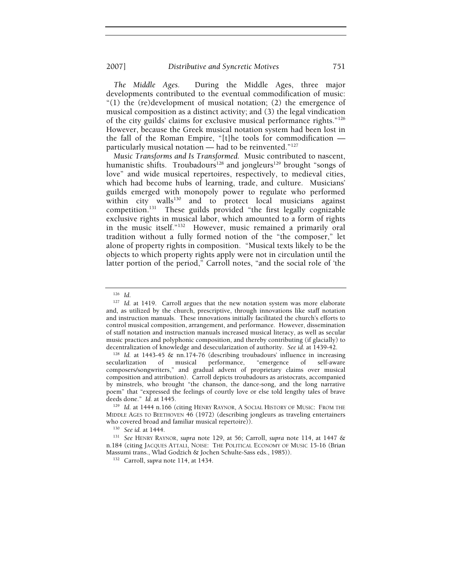*The Middle Ages.* During the Middle Ages, three major developments contributed to the eventual commodification of music: "(1) the (re)development of musical notation; (2) the emergence of musical composition as a distinct activity; and (3) the legal vindication of the city guilds' claims for exclusive musical performance rights."126 However, because the Greek musical notation system had been lost in the fall of the Roman Empire, "[t]he tools for commodification particularly musical notation — had to be reinvented." $127$ 

*Music Transforms and Is Transformed.* Music contributed to nascent, humanistic shifts. Troubadours<sup>128</sup> and jongleurs<sup>129</sup> brought "songs of love" and wide musical repertoires, respectively, to medieval cities, which had become hubs of learning, trade, and culture. Musicians' guilds emerged with monopoly power to regulate who performed within city walls<sup>130</sup> and to protect local musicians against competition.<sup>131</sup> These guilds provided "the first legally cognizable exclusive rights in musical labor, which amounted to a form of rights in the music itself."132 However, music remained a primarily oral tradition without a fully formed notion of the "the composer," let alone of property rights in composition. "Musical texts likely to be the objects to which property rights apply were not in circulation until the latter portion of the period," Carroll notes, "and the social role of 'the

<sup>126</sup> *Id*. 127 *Id.* at 1419. Carroll argues that the new notation system was more elaborate and, as utilized by the church, prescriptive, through innovations like staff notation and instruction manuals. These innovations initially facilitated the church's efforts to control musical composition, arrangement, and performance. However, dissemination of staff notation and instruction manuals increased musical literacy, as well as secular music practices and polyphonic composition, and thereby contributing (if glacially) to decentralization of knowledge and desecularization of authority. *See id.* at 1439-42.

<sup>&</sup>lt;sup>128</sup> Id. at 1443-45 & nn.174-76 (describing troubadours' influence in increasing secularlization of musical performance. "emergence of self-aware performance, "emergence of self-aware composers/songwriters," and gradual advent of proprietary claims over musical composition and attribution). Carroll depicts troubadours as aristocrats, accompanied by minstrels, who brought "the chanson, the dance-song, and the long narrative poem" that "expressed the feelings of courtly love or else told lengthy tales of brave deeds done." *Id.* at 1445.

<sup>129</sup> *Id*. at 1444 n.166 (citing HENRY RAYNOR, A SOCIAL HISTORY OF MUSIC: FROM THE MIDDLE AGES TO BEETHOVEN 46 (1972) (describing jongleurs as traveling entertainers who covered broad and familiar musical repertoire)).<br><sup>130</sup> See id. at 1444.<br><sup>131</sup> See HENRY RAYNOR, *supra* note 129, at 56; Carroll, *supra* note 114, at 1447 &

n.184 (citing JACQUES ATTALI, NOISE: THE POLITICAL ECONOMY OF MUSIC 15-16 (Brian Massumi trans., Wlad Godzich & Jochen Schulte-Sass eds., 1985)). 132 Carroll, *supra* note 114, at 1434.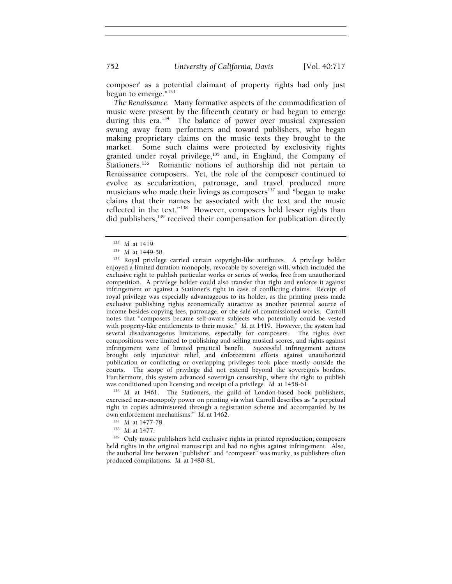composer' as a potential claimant of property rights had only just begun to emerge."<sup>133</sup>

*The Renaissance.* Many formative aspects of the commodification of music were present by the fifteenth century or had begun to emerge during this era.<sup>134</sup> The balance of power over musical expression swung away from performers and toward publishers, who began making proprietary claims on the music texts they brought to the market. Some such claims were protected by exclusivity rights granted under royal privilege,<sup>135</sup> and, in England, the Company of Stationers.<sup>136</sup> Romantic notions of authorship did not pertain to Renaissance composers. Yet, the role of the composer continued to evolve as secularization, patronage, and travel produced more musicians who made their livings as composers $137$  and "began to make claims that their names be associated with the text and the music reflected in the text."138 However, composers held lesser rights than did publishers,<sup>139</sup> received their compensation for publication directly

was conditioned upon licensing and receipt of a privilege. *Id*. at 1458-61. 136 *Id.* at 1461. The Stationers, the guild of London-based book publishers, exercised near-monopoly power on printing via what Carroll describes as "a perpetual right in copies administered through a registration scheme and accompanied by its own enforcement mechanisms." Id. at 1462.

<sup>137</sup> Id. at 1477-78.<br><sup>138</sup> Id. at 1477.<br><sup>139</sup> Only music publishers held exclusive rights in printed reproduction; composers held rights in the original manuscript and had no rights against infringement. Also, the authorial line between "publisher" and "composer" was murky, as publishers often produced compilations. *Id.* at 1480-81.

<sup>133</sup> Id. at 1419.<br>134 Id. at 1449-50.<br><sup>135</sup> Royal privilege carried certain copyright-like attributes. A privilege holder enjoyed a limited duration monopoly, revocable by sovereign will, which included the exclusive right to publish particular works or series of works, free from unauthorized competition. A privilege holder could also transfer that right and enforce it against infringement or against a Stationer's right in case of conflicting claims. Receipt of royal privilege was especially advantageous to its holder, as the printing press made exclusive publishing rights economically attractive as another potential source of income besides copying fees, patronage, or the sale of commissioned works. Carroll notes that "composers became self-aware subjects who potentially could be vested with property-like entitlements to their music." *Id.* at 1419. However, the system had several disadvantageous limitations, especially for composers. The rights over compositions were limited to publishing and selling musical scores, and rights against infringement were of limited practical benefit. Successful infringement actions brought only injunctive relief, and enforcement efforts against unauthorized publication or conflicting or overlapping privileges took place mostly outside the courts. The scope of privilege did not extend beyond the sovereign's borders. Furthermore, this system advanced sovereign censorship, where the right to publish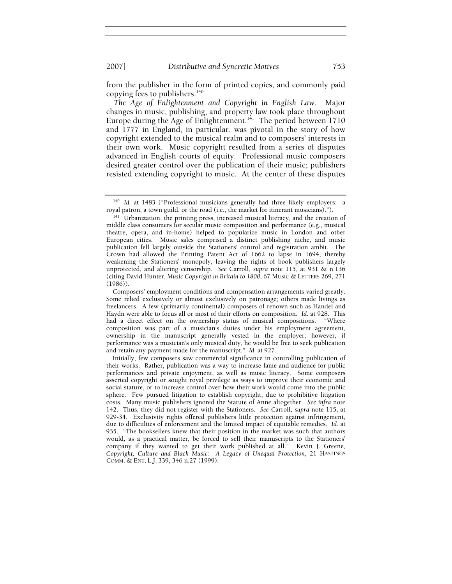from the publisher in the form of printed copies, and commonly paid copying fees to publishers.140

*The Age of Enlightenment and Copyright in English Law.* Major changes in music, publishing, and property law took place throughout Europe during the Age of Enlightenment.<sup>141</sup> The period between 1710 and 1777 in England, in particular, was pivotal in the story of how copyright extended to the musical realm and to composers' interests in their own work. Music copyright resulted from a series of disputes advanced in English courts of equity. Professional music composers desired greater control over the publication of their music; publishers resisted extending copyright to music. At the center of these disputes

<sup>&</sup>lt;sup>140</sup> Id. at 1483 ("Professional musicians generally had three likely employers: a royal patron, a town guild, or the road (i.e., the market for itinerant musicians).").

 $141$  Urbanization, the printing press, increased musical literacy, and the creation of middle class consumers for secular music composition and performance (e.g., musical theatre, opera, and in-home) helped to popularize music in London and other European cities. Music sales comprised a distinct publishing niche, and music publication fell largely outside the Stationers' control and registration ambit. The Crown had allowed the Printing Patent Act of 1662 to lapse in 1694, thereby weakening the Stationers' monopoly, leaving the rights of book publishers largely unprotected, and altering censorship. *See* Carroll, *supra* note 115, at 931 & n.136 (citing David Hunter, *Music Copyright in Britain to 1800*, 67 MUSIC & LETTERS 269, 271 (1986)).

Composers' employment conditions and compensation arrangements varied greatly. Some relied exclusively or almost exclusively on patronage; others made livings as freelancers. A few (primarily continental) composers of renown such as Handel and Haydn were able to focus all or most of their efforts on composition. *Id*. at 928. This had a direct effect on the ownership status of musical compositions. "Where composition was part of a musician's duties under his employment agreement, ownership in the manuscript generally vested in the employer; however, if performance was a musician's only musical duty, he would be free to seek publication and retain any payment made for the manuscript." *Id.* at 927.

Initially, few composers saw commercial significance in controlling publication of their works. Rather, publication was a way to increase fame and audience for public performances and private enjoyment, as well as music literacy. Some composers asserted copyright or sought royal privilege as ways to improve their economic and social stature, or to increase control over how their work would come into the public sphere. Few pursued litigation to establish copyright, due to prohibitive litigation costs. Many music publishers ignored the Statute of Anne altogether. *See infra* note 142. Thus, they did not register with the Stationers. *See* Carroll, *supra* note 115, at 929-34. Exclusivity rights offered publishers little protection against infringement, due to difficulties of enforcement and the limited impact of equitable remedies. *Id*. at 935. "The booksellers knew that their position in the market was such that authors would, as a practical matter, be forced to sell their manuscripts to the Stationers' company if they wanted to get their work published at all." Kevin J. Greene, *Copyright, Culture and Black Music: A Legacy of Unequal Protection*, 21 HASTINGS COMM. & ENT. L.J. 339, 346 n.27 (1999).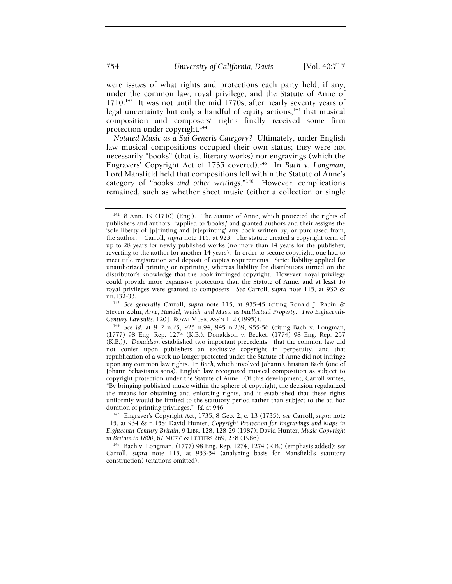were issues of what rights and protections each party held, if any, under the common law, royal privilege, and the Statute of Anne of 1710.142 It was not until the mid 1770s, after nearly seventy years of legal uncertainty but only a handful of equity actions, $143$  that musical composition and composers' rights finally received some firm protection under copyright.<sup>144</sup>

*Notated Music as a Sui Generis Category?* Ultimately, under English law musical compositions occupied their own status; they were not necessarily "books" (that is, literary works) nor engravings (which the Engravers' Copyright Act of 1735 covered).<sup>145</sup> In *Bach v. Longman*, Lord Mansfield held that compositions fell within the Statute of Anne's category of "books *and other writings*."<sup>146</sup> However, complications remained, such as whether sheet music (either a collection or single

<sup>143</sup> See generally Carroll, *supra* note 115, at 935-45 (citing Ronald J. Rabin & Steven Zohn, *Arne, Handel, Walsh, and Music as Intellectual Property: Two Eighteenth-*

<sup>142 8</sup> Ann. 19 (1710) (Eng.). The Statute of Anne, which protected the rights of publishers and authors, "applied to 'books,' and granted authors and their assigns the 'sole liberty of [p]rinting and [r]eprinting' any book written by, or purchased from, the author." Carroll, *supra* note 115, at 923. The statute created a copyright term of up to 28 years for newly published works (no more than 14 years for the publisher, reverting to the author for another 14 years). In order to secure copyright, one had to meet title registration and deposit of copies requirements. Strict liability applied for unauthorized printing or reprinting, whereas liability for distributors turned on the distributor's knowledge that the book infringed copyright. However, royal privilege could provide more expansive protection than the Statute of Anne, and at least 16 royal privileges were granted to composers. *See* Carroll, *supra* note 115, at 930 &

<sup>&</sup>lt;sup>144</sup> See id. at 912 n.25, 925 n.94, 945 n.239, 955-56 (citing Bach v. Longman, (1777) 98 Eng. Rep. 1274 (K.B.); Donaldson v. Becket, (1774) 98 Eng. Rep. 257 (K.B.)). *Donaldson* established two important precedents: that the common law did not confer upon publishers an exclusive copyright in perpetuity, and that republication of a work no longer protected under the Statute of Anne did not infringe upon any common law rights. In *Bach*, which involved Johann Christian Bach (one of Johann Sebastian's sons), English law recognized musical composition as subject to copyright protection under the Statute of Anne. Of this development, Carroll writes, "By bringing published music within the sphere of copyright, the decision regularized the means for obtaining and enforcing rights, and it established that these rights uniformly would be limited to the statutory period rather than subject to the ad hoc duration of printing privileges." Id. at 946.

<sup>&</sup>lt;sup>145</sup> Engraver's Copyright Act, 1735, 8 Geo. 2, c. 13 (1735); see Carroll, *supra* note 115, at 934 & n.158; David Hunter, *Copyright Protection for Engravings and Maps in Eighteenth-Century Britain*, 9 LIBR. 128, 128-29 (1987); David Hunter, *Music Copyright* 

<sup>&</sup>lt;sup>146</sup> Bach v. Longman, (1777) 98 Eng. Rep. 1274, 1274 (K.B.) (emphasis added); *see* Carroll, *supra* note 115, at 953-54 (analyzing basis for Mansfield's statutory construction) (citations omitted).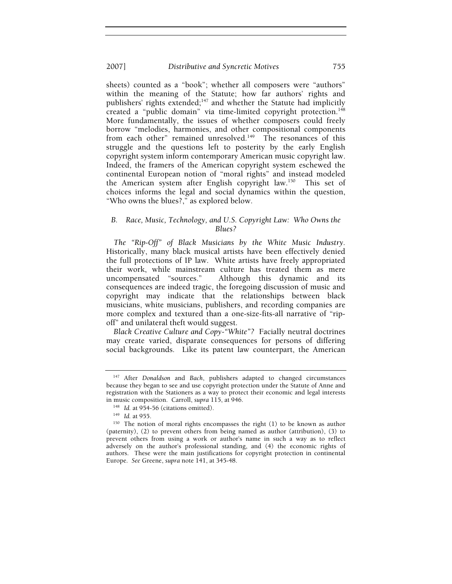sheets) counted as a "book"; whether all composers were "authors" within the meaning of the Statute; how far authors' rights and publishers' rights extended;147 and whether the Statute had implicitly created a "public domain" via time-limited copyright protection.<sup>148</sup> More fundamentally, the issues of whether composers could freely borrow "melodies, harmonies, and other compositional components from each other" remained unresolved.<sup>149</sup> The resonances of this struggle and the questions left to posterity by the early English copyright system inform contemporary American music copyright law. Indeed, the framers of the American copyright system eschewed the continental European notion of "moral rights" and instead modeled the American system after English copyright law.<sup>150</sup> This set of choices informs the legal and social dynamics within the question, "Who owns the blues?," as explored below.

## *B. Race, Music, Technology, and U.S. Copyright Law: Who Owns the Blues?*

*The "Rip-Off" of Black Musicians by the White Music Industry.* Historically, many black musical artists have been effectively denied the full protections of IP law. White artists have freely appropriated their work, while mainstream culture has treated them as mere uncompensated "sources." Although this dynamic and its consequences are indeed tragic, the foregoing discussion of music and copyright may indicate that the relationships between black musicians, white musicians, publishers, and recording companies are more complex and textured than a one-size-fits-all narrative of "ripoff" and unilateral theft would suggest.

*Black Creative Culture and Copy-"White"?* Facially neutral doctrines may create varied, disparate consequences for persons of differing social backgrounds. Like its patent law counterpart, the American

<sup>147</sup> After *Donaldson* and *Bach*, publishers adapted to changed circumstances because they began to see and use copyright protection under the Statute of Anne and registration with the Stationers as a way to protect their economic and legal interests in music composition. Carroll, *supra* 115, at 946.<br><sup>148</sup> *Id.* at 954-56 (citations omitted).<br><sup>149</sup> *Id.* at 955.<br><sup>150</sup> The notion of moral rights encompasses the right (1) to be known as author

<sup>(</sup>paternity), (2) to prevent others from being named as author (attribution), (3) to prevent others from using a work or author's name in such a way as to reflect adversely on the author's professional standing, and (4) the economic rights of authors. These were the main justifications for copyright protection in continental Europe. *See* Greene, *supra* note 141, at 345-48.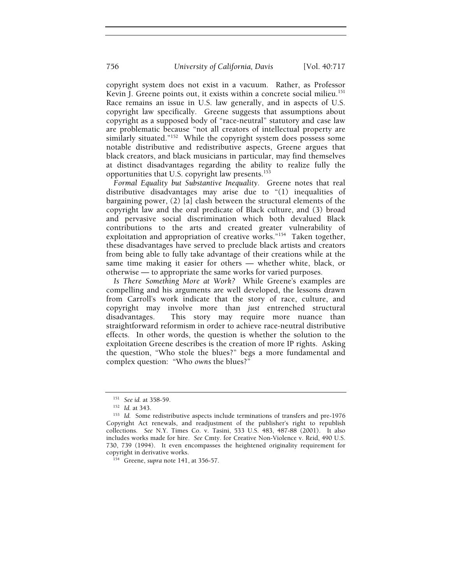copyright system does not exist in a vacuum. Rather, as Professor Kevin J. Greene points out, it exists within a concrete social milieu.<sup>151</sup> Race remains an issue in U.S. law generally, and in aspects of U.S. copyright law specifically. Greene suggests that assumptions about copyright as a supposed body of "race-neutral" statutory and case law are problematic because "not all creators of intellectual property are similarly situated."152 While the copyright system does possess some notable distributive and redistributive aspects, Greene argues that black creators, and black musicians in particular, may find themselves at distinct disadvantages regarding the ability to realize fully the opportunities that U.S. copyright law presents.153

*Formal Equality but Substantive Inequality.* Greene notes that real distributive disadvantages may arise due to "(1) inequalities of bargaining power, (2) [a] clash between the structural elements of the copyright law and the oral predicate of Black culture, and (3) broad and pervasive social discrimination which both devalued Black contributions to the arts and created greater vulnerability of exploitation and appropriation of creative works."154 Taken together, these disadvantages have served to preclude black artists and creators from being able to fully take advantage of their creations while at the same time making it easier for others — whether white, black, or otherwise — to appropriate the same works for varied purposes.

*Is There Something More at Work?* While Greene's examples are compelling and his arguments are well developed, the lessons drawn from Carroll's work indicate that the story of race, culture, and copyright may involve more than *just* entrenched structural disadvantages. This story may require more nuance than straightforward reformism in order to achieve race-neutral distributive effects. In other words, the question is whether the solution to the exploitation Greene describes is the creation of more IP rights. Asking the question, "Who stole the blues?" begs a more fundamental and complex question: "Who *owns* the blues?"

<sup>&</sup>lt;sup>151</sup> See id. at 358-59.<br><sup>152</sup> Id. at 343.<br><sup>153</sup> Id. Some redistributive aspects include terminations of transfers and pre-1976 Copyright Act renewals, and readjustment of the publisher's right to republish collections. *See* N.Y. Times Co. v. Tasini, 533 U.S. 483, 487-88 (2001). It also includes works made for hire. *See* Cmty. for Creative Non-Violence v. Reid, 490 U.S. 730, 739 (1994). It even encompasses the heightened originality requirement for copyright in derivative works. 154 Greene, *supra* note 141, at 356-57.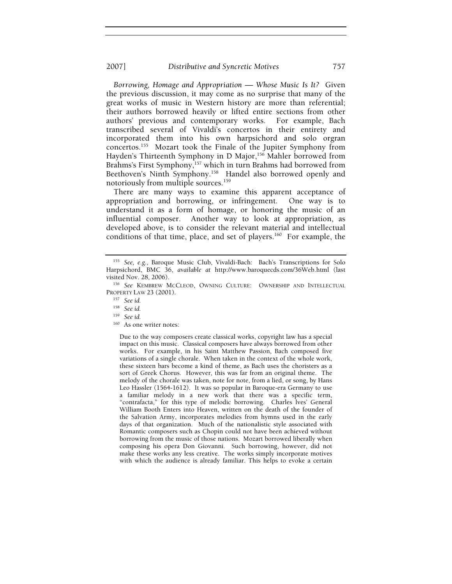*Borrowing, Homage and Appropriation — Whose Music Is It?* Given the previous discussion, it may come as no surprise that many of the great works of music in Western history are more than referential; their authors borrowed heavily or lifted entire sections from other authors' previous and contemporary works. For example, Bach authors' previous and contemporary works. transcribed several of Vivaldi's concertos in their entirety and incorporated them into his own harpsichord and solo orgran concertos.155 Mozart took the Finale of the Jupiter Symphony from Hayden's Thirteenth Symphony in D Major,<sup>156</sup> Mahler borrowed from Brahms's First Symphony,<sup>157</sup> which in turn Brahms had borrowed from Beethoven's Ninth Symphony.<sup>158</sup> Handel also borrowed openly and notoriously from multiple sources.159

There are many ways to examine this apparent acceptance of appropriation and borrowing, or infringement. One way is to understand it as a form of homage, or honoring the music of an influential composer. Another way to look at appropriation, as developed above, is to consider the relevant material and intellectual conditions of that time, place, and set of players.<sup>160</sup> For example, the

Due to the way composers create classical works, copyright law has a special impact on this music. Classical composers have always borrowed from other works. For example, in his Saint Matthew Passion, Bach composed five variations of a single chorale. When taken in the context of the whole work, these sixteen bars become a kind of theme, as Bach uses the choristers as a sort of Greek Chorus. However, this was far from an original theme. The melody of the chorale was taken, note for note, from a lied, or song, by Hans Leo Hassler (1564-1612). It was so popular in Baroque-era Germany to use a familiar melody in a new work that there was a specific term, "contrafacta," for this type of melodic borrowing. Charles lves' General William Booth Enters into Heaven, written on the death of the founder of the Salvation Army, incorporates melodies from hymns used in the early days of that organization. Much of the nationalistic style associated with Romantic composers such as Chopin could not have been achieved without borrowing from the music of those nations. Mozart borrowed liberally when composing his opera Don Giovanni. Such borrowing, however, did not make these works any less creative. The works simply incorporate motives with which the audience is already familiar. This helps to evoke a certain

<sup>155</sup> *See, e.g.*, Baroque Music Club, Vivaldi-Bach: Bach's Transcriptions for Solo Harpsichord, BMC 36, *available at* http://www.baroquecds.com/36Web.html (last

<sup>&</sup>lt;sup>156</sup> See KEMBREW MCCLEOD, OWNING CULTURE: OWNERSHIP AND INTELLECTUAL PROPERTY LAW 23 (2001). 157 *See id.*

<sup>158</sup> *See id.*

<sup>159</sup> *See id.*

<sup>160</sup> As one writer notes: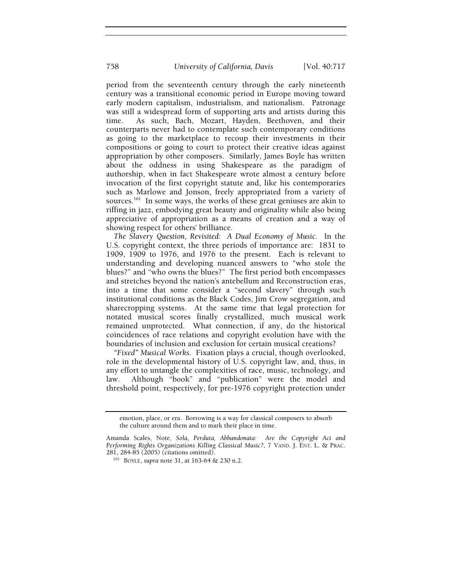period from the seventeenth century through the early nineteenth century was a transitional economic period in Europe moving toward early modern capitalism, industrialism, and nationalism. Patronage was still a widespread form of supporting arts and artists during this time. As such, Bach, Mozart, Hayden, Beethoven, and their counterparts never had to contemplate such contemporary conditions as going to the marketplace to recoup their investments in their compositions or going to court to protect their creative ideas against appropriation by other composers. Similarly, James Boyle has written about the oddness in using Shakespeare as the paradigm of authorship, when in fact Shakespeare wrote almost a century before invocation of the first copyright statute and, like his contemporaries such as Marlowe and Jonson, freely appropriated from a variety of sources.161 In some ways, the works of these great geniuses are akin to riffing in jazz, embodying great beauty and originality while also being appreciative of appropriation as a means of creation and a way of showing respect for others' brilliance.

*The Slavery Question, Revisited: A Dual Economy of Music.* In the U.S. copyright context, the three periods of importance are: 1831 to 1909, 1909 to 1976, and 1976 to the present. Each is relevant to understanding and developing nuanced answers to "who stole the blues?" and "who owns the blues?" The first period both encompasses and stretches beyond the nation's antebellum and Reconstruction eras, into a time that some consider a "second slavery" through such institutional conditions as the Black Codes, Jim Crow segregation, and sharecropping systems. At the same time that legal protection for notated musical scores finally crystallized, much musical work remained unprotected. What connection, if any, do the historical coincidences of race relations and copyright evolution have with the boundaries of inclusion and exclusion for certain musical creations?

*"Fixed" Musical Works.* Fixation plays a crucial, though overlooked, role in the developmental history of U.S. copyright law, and, thus, in any effort to untangle the complexities of race, music, technology, and law. Although "book" and "publication" were the model and threshold point, respectively, for pre-1976 copyright protection under

emotion, place, or era. Borrowing is a way for classical composers to absorb the culture around them and to mark their place in time.

Amanda Scales, Note, *Sola, Perduta, Abbandonata: Are the Copyright Act and Performing Rights Organizations Killing Classical Music?*, 7 VAND. J. ENT. L. & PRAC. 281, 284-85 (2005) (citations omitted). 161 BOYLE, *supra* note 31, at 163-64 & 230 n.2.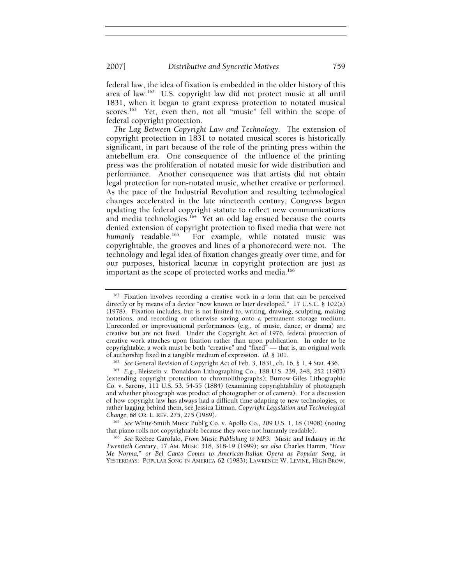federal law, the idea of fixation is embedded in the older history of this area of law.162 U.S. copyright law did not protect music at all until 1831, when it began to grant express protection to notated musical scores.<sup>163</sup> Yet, even then, not all "music" fell within the scope of federal copyright protection.

*The Lag Between Copyright Law and Technology.* The extension of copyright protection in 1831 to notated musical scores is historically significant, in part because of the role of the printing press within the antebellum era. One consequence of the influence of the printing press was the proliferation of notated music for wide distribution and performance. Another consequence was that artists did not obtain legal protection for non-notated music, whether creative or performed. As the pace of the Industrial Revolution and resulting technological changes accelerated in the late nineteenth century, Congress began updating the federal copyright statute to reflect new communications and media technologies.<sup>164</sup> Yet an odd lag ensued because the courts denied extension of copyright protection to fixed media that were not *humanly* readable.<sup>165</sup> For example, while notated music was copyrightable, the grooves and lines of a phonorecord were not. The technology and legal idea of fixation changes greatly over time, and for our purposes, historical lacunæ in copyright protection are just as important as the scope of protected works and media.<sup>166</sup>

*Change*, 68 OR. L. REV. 275, 275 (1989).<br><sup>165</sup> See White-Smith Music Publ'g Co. v. Apollo Co., 209 U.S. 1, 18 (1908) (noting that piano rolls not copyrightable because they were not humanly readable).

<sup>166</sup> See Reebee Garofalo, From Music Publishing to MP3: Music and Industry in the *Twentieth Century*, 17 AM. MUSIC 318, 318-19 (1999); *see also* Charles Hamm, *"Hear Me Norma," or Bel Canto Comes to American-Italian Opera as Popular Song*, *in* YESTERDAYS: POPULAR SONG IN AMERICA 62 (1983); LAWRENCE W. LEVINE, HIGH BROW,

<sup>&</sup>lt;sup>162</sup> Fixation involves recording a creative work in a form that can be perceived directly or by means of a device "now known or later developed." 17 U.S.C. § 102(a) (1978). Fixation includes, but is not limited to, writing, drawing, sculpting, making notations, and recording or otherwise saving onto a permanent storage medium. Unrecorded or improvisational performances (e.g., of music, dance, or drama) are creative but are not fixed. Under the Copyright Act of 1976, federal protection of creative work attaches upon fixation rather than upon publication. In order to be copyrightable, a work must be both "creative" and "fixed" — that is, an original work

of authorship fixed in a tangible medium of expression. *Id.* § 101.<br><sup>163</sup> See General Revision of Copyright Act of Feb. 3, 1831, ch. 16, § 1, 4 Stat. 436.<br><sup>164</sup> E.g., Bleistein v. Donaldson Lithographing Co., 188 U.S. 239 (extending copyright protection to chromolithographs); Burrow-Giles Lithographic Co. v. Sarony, 111 U.S. 53, 54-55 (1884) (examining copyrightability of photograph and whether photograph was product of photographer or of camera). For a discussion of how copyright law has always had a difficult time adapting to new technologies, or rather lagging behind them, see Jessica Litman, *Copyright Legislation and Technological*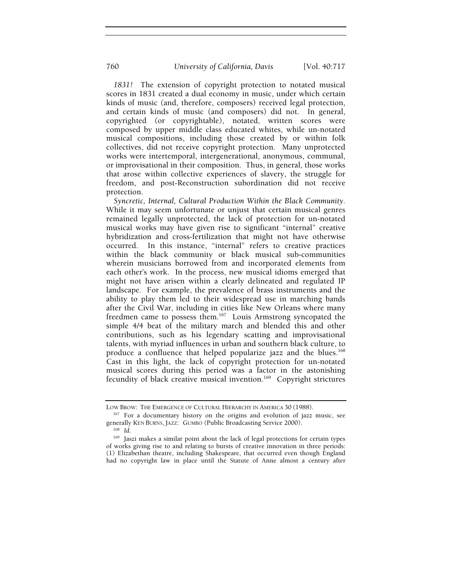*1831!* The extension of copyright protection to notated musical scores in 1831 created a dual economy in music, under which certain kinds of music (and, therefore, composers) received legal protection, and certain kinds of music (and composers) did not. In general, copyrighted (or copyrightable), notated, written scores were composed by upper middle class educated whites, while un-notated musical compositions, including those created by or within folk collectives, did not receive copyright protection. Many unprotected works were intertemporal, intergenerational, anonymous, communal, or improvisational in their composition. Thus, in general, those works that arose within collective experiences of slavery, the struggle for freedom, and post-Reconstruction subordination did not receive protection.

*Syncretic, Internal, Cultural Production Within the Black Community.* While it may seem unfortunate or unjust that certain musical genres remained legally unprotected, the lack of protection for un-notated musical works may have given rise to significant "internal" creative hybridization and cross-fertilization that might not have otherwise occurred. In this instance, "internal" refers to creative practices within the black community or black musical sub-communities wherein musicians borrowed from and incorporated elements from each other's work. In the process, new musical idioms emerged that might not have arisen within a clearly delineated and regulated IP landscape. For example, the prevalence of brass instruments and the ability to play them led to their widespread use in marching bands after the Civil War, including in cities like New Orleans where many freedmen came to possess them.<sup>167</sup> Louis Armstrong syncopated the simple 4/4 beat of the military march and blended this and other contributions, such as his legendary scatting and improvisational talents, with myriad influences in urban and southern black culture, to produce a confluence that helped popularize jazz and the blues.<sup>168</sup> Cast in this light, the lack of copyright protection for un-notated musical scores during this period was a factor in the astonishing fecundity of black creative musical invention.<sup>169</sup> Copyright strictures

LOW BROW: THE EMERGENCE OF CULTURAL HIERARCHY IN AMERICA 30 (1988).<br><sup>167</sup> For a documentary history on the origins and evolution of jazz music, see<br>generally KEN BURNS, JAZZ: GUMBO (Public Broadcasting Service 2000).

<sup>&</sup>lt;sup>168</sup> Id.<br><sup>169</sup> Jaszi makes a similar point about the lack of legal protections for certain types of works giving rise to and relating to bursts of creative innovation in three periods: (1) Elizabethan theatre, including Shakespeare, that occurred even though England had no copyright law in place until the Statute of Anne almost a century after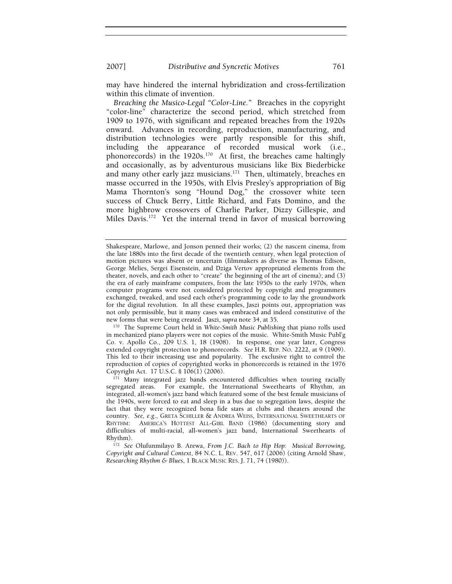may have hindered the internal hybridization and cross-fertilization within this climate of invention.

*Breaching the Musico-Legal "Color-Line."* Breaches in the copyright "color-line" characterize the second period, which stretched from 1909 to 1976, with significant and repeated breaches from the 1920s onward. Advances in recording, reproduction, manufacturing, and distribution technologies were partly responsible for this shift, including the appearance of recorded musical work (i.e., phonorecords) in the 1920s.<sup>170</sup> At first, the breaches came haltingly and occasionally, as by adventurous musicians like Bix Biederbicke and many other early jazz musicians. $171$  Then, ultimately, breaches en masse occurred in the 1950s, with Elvis Presley's appropriation of Big Mama Thornton's song "Hound Dog," the crossover white teen success of Chuck Berry, Little Richard, and Fats Domino, and the more highbrow crossovers of Charlie Parker, Dizzy Gillespie, and Miles Davis.<sup>172</sup> Yet the internal trend in favor of musical borrowing

<sup>170</sup> The Supreme Court held in *White-Smith Music Publishing* that piano rolls used in mechanized piano players were not copies of the music. White-Smith Music Publ'g Co. v. Apollo Co., 209 U.S. 1, 18 (1908). In response, one year later, Congress extended copyright protection to phonorecords. *See* H.R. REP. NO. 2222, at 9 (1909). This led to their increasing use and popularity. The exclusive right to control the reproduction of copies of copyrighted works in phonorecords is retained in the 1976 Copyright Act. 17 U.S.C. § 106(1) (2006).<br><sup>171</sup> Many integrated jazz bands encountered difficulties when touring racially

segregated areas. For example, the International Sweethearts of Rhythm, an integrated, all-women's jazz band which featured some of the best female musicians of the 1940s, were forced to eat and sleep in a bus due to segregation laws, despite the fact that they were recognized bona fide stars at clubs and theaters around the country. *See, e.g*., GRETA SCHILLER & ANDREA WEISS, INTERNATIONAL SWEETHEARTS OF RHYTHM: AMERICA'S HOTTEST ALL-GIRL BAND (1986) (documenting story and difficulties of multi-racial, all-women's jazz band, International Sweethearts of

Rhythm). 172 *See* Olufunmilayo B. Arewa, *From J.C. Bach to Hip Hop: Musical Borrowing, Copyright and Cultural Context*, 84 N.C. L. REV. 547, 617 (2006) (citing Arnold Shaw, *Researching Rhythm & Blues*, 1 BLACK MUSIC RES. J. 71, 74 (1980)).

Shakespeare, Marlowe, and Jonson penned their works; (2) the nascent cinema, from the late 1880s into the first decade of the twentieth century, when legal protection of motion pictures was absent or uncertain (filmmakers as diverse as Thomas Edison, George Melies, Sergei Eisenstein, and Dziga Vertov appropriated elements from the theater, novels, and each other to "create" the beginning of the art of cinema); and (3) the era of early mainframe computers, from the late 1950s to the early 1970s, when computer programs were not considered protected by copyright and programmers exchanged, tweaked, and used each other's programming code to lay the groundwork for the digital revolution. In all these examples, Jaszi points out, appropriation was not only permissible, but it many cases was embraced and indeed constitutive of the new forms that were being created. Jaszi, supra note 34, at 35.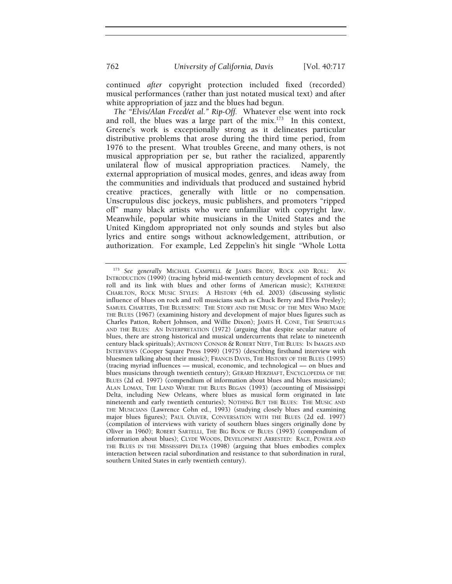continued *after* copyright protection included fixed (recorded) musical performances (rather than just notated musical text) and after white appropriation of jazz and the blues had begun.

*The "Elvis/Alan Freed/et al." Rip-Off.* Whatever else went into rock and roll, the blues was a large part of the  $mix$ <sup>173</sup> In this context, Greene's work is exceptionally strong as it delineates particular distributive problems that arose during the third time period, from 1976 to the present. What troubles Greene, and many others, is not musical appropriation per se, but rather the racialized, apparently unilateral flow of musical appropriation practices. Namely, the external appropriation of musical modes, genres, and ideas away from the communities and individuals that produced and sustained hybrid creative practices, generally with little or no compensation. Unscrupulous disc jockeys, music publishers, and promoters "ripped off" many black artists who were unfamiliar with copyright law. Meanwhile, popular white musicians in the United States and the United Kingdom appropriated not only sounds and styles but also lyrics and entire songs without acknowledgement, attribution, or authorization. For example, Led Zeppelin's hit single "Whole Lotta

<sup>173</sup> *See generally* MICHAEL CAMPBELL & JAMES BRODY, ROCK AND ROLL: AN INTRODUCTION (1999) (tracing hybrid mid-twentieth century development of rock and roll and its link with blues and other forms of American music); KATHERINE CHARLTON, ROCK MUSIC STYLES: A HISTORY (4th ed. 2003) (discussing stylistic influence of blues on rock and roll musicians such as Chuck Berry and Elvis Presley); SAMUEL CHARTERS, THE BLUESMEN: THE STORY AND THE MUSIC OF THE MEN WHO MADE THE BLUES (1967) (examining history and development of major blues figures such as Charles Patton, Robert Johnson, and Willie Dixon); JAMES H. CONE, THE SPIRITUALS AND THE BLUES: AN INTERPRETATION (1972) (arguing that despite secular nature of blues, there are strong historical and musical undercurrents that relate to nineteenth century black spirituals); ANTHONY CONNOR & ROBERT NEFF, THE BLUES: IN IMAGES AND INTERVIEWS (Cooper Square Press 1999) (1975) (describing firsthand interview with bluesmen talking about their music); FRANCIS DAVIS, THE HISTORY OF THE BLUES (1995) (tracing myriad influences — musical, economic, and technological — on blues and blues musicians through twentieth century); GERARD HERZHAFT, ENCYCLOPEDIA OF THE BLUES (2d ed. 1997) (compendium of information about blues and blues musicians); ALAN LOMAX, THE LAND WHERE THE BLUES BEGAN (1993) (accounting of Mississippi Delta, including New Orleans, where blues as musical form originated in late nineteenth and early twentieth centuries); NOTHING BUT THE BLUES: THE MUSIC AND THE MUSICIANS (Lawrence Cohn ed., 1993) (studying closely blues and examining major blues figures); PAUL OLIVER, CONVERSATION WITH THE BLUES (2d ed. 1997) (compilation of interviews with variety of southern blues singers originally done by Oliver in 1960); ROBERT SARTELLI, THE BIG BOOK OF BLUES (1993) (compendium of information about blues); CLYDE WOODS, DEVELOPMENT ARRESTED: RACE, POWER AND THE BLUES IN THE MISSISSIPPI DELTA (1998) (arguing that blues embodies complex interaction between racial subordination and resistance to that subordination in rural, southern United States in early twentieth century).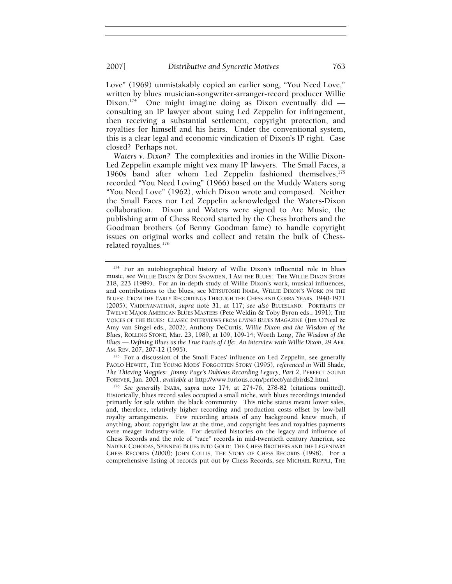Love" (1969) unmistakably copied an earlier song, "You Need Love," written by blues musician-songwriter-arranger-record producer Willie Dixon.<sup>174</sup> One might imagine doing as Dixon eventually did  $$ consulting an IP lawyer about suing Led Zeppelin for infringement, then receiving a substantial settlement, copyright protection, and royalties for himself and his heirs. Under the conventional system, this is a clear legal and economic vindication of Dixon's IP right. Case

closed? Perhaps not.

*Waters v. Dixon?* The complexities and ironies in the Willie Dixon-Led Zeppelin example might vex many IP lawyers. The Small Faces, a 1960s band after whom Led Zeppelin fashioned themselves,<sup>175</sup> recorded "You Need Loving" (1966) based on the Muddy Waters song "You Need Love" (1962), which Dixon wrote and composed. Neither the Small Faces nor Led Zeppelin acknowledged the Waters-Dixon collaboration. Dixon and Waters were signed to Arc Music, the publishing arm of Chess Record started by the Chess brothers and the Goodman brothers (of Benny Goodman fame) to handle copyright issues on original works and collect and retain the bulk of Chessrelated royalties.176

AM. REV. 207, 207-12 (1995).<br><sup>175</sup> For a discussion of the Small Faces' influence on Led Zeppelin, see generally PAOLO HEWITT, THE YOUNG MODS' FORGOTTEN STORY (1995), *referenced in* Will Shade, *The Thieving Magpies: Jimmy Page's Dubious Recording Legacy, Part 2*, PERFECT SOUND

<sup>176</sup> See generally INABA, supra note 174, at 274-76, 278-82 (citations omitted). Historically, blues record sales occupied a small niche, with blues recordings intended primarily for sale within the black community. This niche status meant lower sales, and, therefore, relatively higher recording and production costs offset by low-ball royalty arrangements. Few recording artists of any background knew much, if anything, about copyright law at the time, and copyright fees and royalties payments were meager industry-wide. For detailed histories on the legacy and influence of Chess Records and the role of "race" records in mid-twentieth century America, see NADINE COHODAS, SPINNING BLUES INTO GOLD: THE CHESS BROTHERS AND THE LEGENDARY CHESS RECORDS (2000); JOHN COLLIS, THE STORY OF CHESS RECORDS (1998). For a comprehensive listing of records put out by Chess Records, see MICHAEL RUPPLI, THE

<sup>&</sup>lt;sup>174</sup> For an autobiographical history of Willie Dixon's influential role in blues music, see WILLIE DIXON & DON SNOWDEN, I AM THE BLUES: THE WILLIE DIXON STORY 218, 223 (1989). For an in-depth study of Willie Dixon's work, musical influences, and contributions to the blues, see MITSUTOSHI INABA, WILLIE DIXON'S WORK ON THE BLUES: FROM THE EARLY RECORDINGS THROUGH THE CHESS AND COBRA YEARS, 1940-1971 (2005); VAIDHYANATHAN, *supra* note 31, at 117; *see also* BLUESLAND: PORTRAITS OF TWELVE MAJOR AMERICAN BLUES MASTERS (Pete Weldin & Toby Byron eds., 1991); THE VOICES OF THE BLUES: CLASSIC INTERVIEWS FROM *LIVING BLUES* MAGAZINE (Jim O'Neal & Amy van Singel eds., 2002); Anthony DeCurtis, *Willie Dixon and the Wisdom of the Blues*, ROLLING STONE, Mar. 23, 1989, at 109, 109-14; Worth Long, *The Wisdom of the Blues — Defining Blues as the True Facts of Life: An Interview with Willie Dixon*, 29 AFR.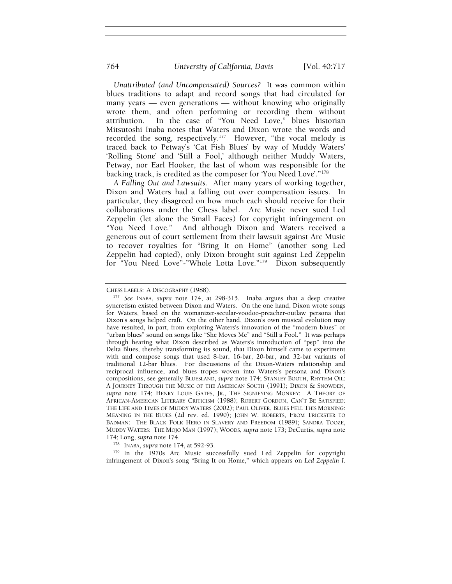*Unattributed (and Uncompensated) Sources?* It was common within blues traditions to adapt and record songs that had circulated for many years — even generations — without knowing who originally wrote them, and often performing or recording them without attribution. In the case of "You Need Love," blues historian Mitsutoshi Inaba notes that Waters and Dixon wrote the words and recorded the song, respectively.<sup>177</sup> However, "the vocal melody is traced back to Petway's 'Cat Fish Blues' by way of Muddy Waters' 'Rolling Stone' and 'Still a Fool,' although neither Muddy Waters, Petway, nor Earl Hooker, the last of whom was responsible for the backing track, is credited as the composer for 'You Need Love'."178

*A Falling Out and Lawsuits.* After many years of working together, Dixon and Waters had a falling out over compensation issues. In particular, they disagreed on how much each should receive for their collaborations under the Chess label. Arc Music never sued Led Zeppelin (let alone the Small Faces) for copyright infringement on "You Need Love." And although Dixon and Waters received a generous out of court settlement from their lawsuit against Arc Music to recover royalties for "Bring It on Home" (another song Led Zeppelin had copied), only Dixon brought suit against Led Zeppelin for "You Need Love"-"Whole Lotta Love."<sup>179</sup> Dixon subsequently

infringement of Dixon's song "Bring It on Home," which appears on *Led Zeppelin I*.

CHESS LABELS: A DISCOGRAPHY (1988). 177 *See* INABA, *supra* note 174, at 298-315. Inaba argues that a deep creative syncretism existed between Dixon and Waters. On the one hand, Dixon wrote songs for Waters, based on the womanizer-secular-voodoo-preacher-outlaw persona that Dixon's songs helped craft. On the other hand, Dixon's own musical evolution may have resulted, in part, from exploring Waters's innovation of the "modern blues" or "urban blues" sound on songs like "She Moves Me" and "Still a Fool." It was perhaps through hearing what Dixon described as Waters's introduction of "pep" into the Delta Blues, thereby transforming its sound, that Dixon himself came to experiment with and compose songs that used 8-bar, 16-bar, 20-bar, and 32-bar variants of traditional 12-bar blues. For discussions of the Dixon-Waters relationship and reciprocal influence, and blues tropes woven into Waters's persona and Dixon's compositions, see generally BLUESLAND, *supra* note 174; STANLEY BOOTH, RHYTHM OIL: A JOURNEY THROUGH THE MUSIC OF THE AMERICAN SOUTH (1991); DIXON & SNOWDEN, *supra* note 174; HENRY LOUIS GATES, JR., THE SIGNIFYING MONKEY: A THEORY OF AFRICAN-AMERICAN LITERARY CRITICISM (1988); ROBERT GORDON, CAN'T BE SATISFIED: THE LIFE AND TIMES OF MUDDY WATERS (2002); PAUL OLIVER, BLUES FELL THIS MORNING: MEANING IN THE BLUES (2d rev. ed. 1990); JOHN W. ROBERTS, FROM TRICKSTER TO BADMAN: THE BLACK FOLK HERO IN SLAVERY AND FREEDOM (1989); SANDRA TOOZE, MUDDY WATERS: THE MOJO MAN (1997); WOODS, *supra* note 173; DeCurtis, *supra* note 174; Long, *supra* note 174. 178 INABA, *supra* note 174, at 592-93. 179 In the 1970s Arc Music successfully sued Led Zeppelin for copyright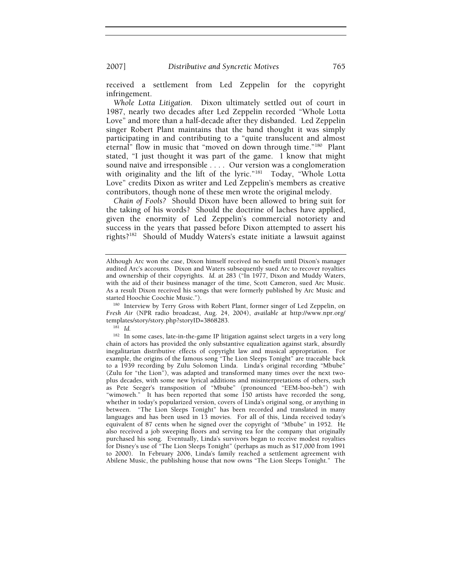received a settlement from Led Zeppelin for the copyright infringement.

*Whole Lotta Litigation.* Dixon ultimately settled out of court in 1987, nearly two decades after Led Zeppelin recorded "Whole Lotta Love" and more than a half-decade after they disbanded. Led Zeppelin singer Robert Plant maintains that the band thought it was simply participating in and contributing to a "quite translucent and almost eternal" flow in music that "moved on down through time."180 Plant stated, "I just thought it was part of the game. I know that might sound naïve and irresponsible . . . . Our version was a conglomeration with originality and the lift of the lyric."<sup>181</sup> Today, "Whole Lotta Love" credits Dixon as writer and Led Zeppelin's members as creative contributors, though none of these men wrote the original melody.

*Chain of Fools?* Should Dixon have been allowed to bring suit for the taking of his words? Should the doctrine of laches have applied, given the enormity of Led Zeppelin's commercial notoriety and success in the years that passed before Dixon attempted to assert his rights?182 Should of Muddy Waters's estate initiate a lawsuit against

<sup>180</sup> Interview by Terry Gross with Robert Plant, former singer of Led Zeppelin, on *Fresh Air* (NPR radio broadcast, Aug. 24, 2004), *available at* http://www.npr.org/ templates/story/story.php?storyID=3868283. 181 *Id.*

<sup>182</sup> In some cases, late-in-the-game IP litigation against select targets in a very long chain of actors has provided the only substantive equalization against stark, absurdly inegalitarian distributive effects of copyright law and musical appropriation. For example, the origins of the famous song "The Lion Sleeps Tonight" are traceable back to a 1939 recording by Zulu Solomon Linda. Linda's original recording "Mbube" (Zulu for "the Lion"), was adapted and transformed many times over the next twoplus decades, with some new lyrical additions and misinterpretations of others, such as Pete Seeger's transposition of "Mbube" (pronounced "EEM-boo-beh") with "wimoweh." It has been reported that some 150 artists have recorded the song, whether in today's popularized version, covers of Linda's original song, or anything in between. "The Lion Sleeps Tonight" has been recorded and translated in many languages and has been used in 13 movies. For all of this, Linda received today's equivalent of 87 cents when he signed over the copyright of "Mbube" in 1952. He also received a job sweeping floors and serving tea for the company that originally purchased his song. Eventually, Linda's survivors began to receive modest royalties for Disney's use of "The Lion Sleeps Tonight" (perhaps as much as \$17,000 from 1991 to 2000). In February 2006, Linda's family reached a settlement agreement with Abilene Music, the publishing house that now owns "The Lion Sleeps Tonight." The

Although Arc won the case, Dixon himself received no benefit until Dixon's manager audited Arc's accounts. Dixon and Waters subsequently sued Arc to recover royalties and ownership of their copyrights. *Id.* at 283 ("In 1977, Dixon and Muddy Waters, with the aid of their business manager of the time, Scott Cameron, sued Arc Music. As a result Dixon received his songs that were formerly published by Arc Music and started Hoochie Coochie Music.").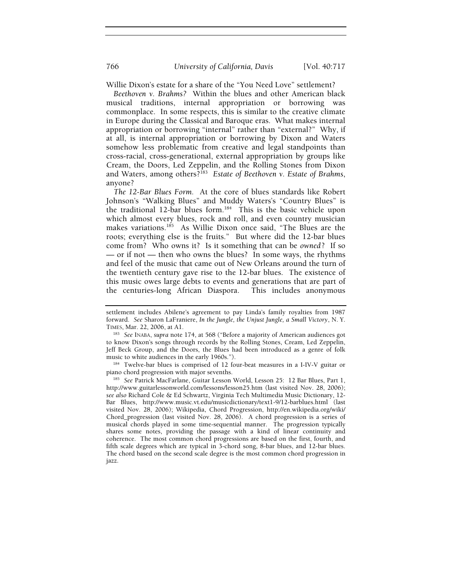Willie Dixon's estate for a share of the "You Need Love" settlement?

*Beethoven v. Brahms?* Within the blues and other American black musical traditions, internal appropriation or borrowing was commonplace. In some respects, this is similar to the creative climate in Europe during the Classical and Baroque eras. What makes internal appropriation or borrowing "internal" rather than "external?" Why, if at all, is internal appropriation or borrowing by Dixon and Waters somehow less problematic from creative and legal standpoints than cross-racial, cross-generational, external appropriation by groups like Cream, the Doors, Led Zeppelin, and the Rolling Stones from Dixon and Waters, among others?183 *Estate of Beethoven v. Estate of Brahms*, anyone?

*The 12-Bar Blues Form.* At the core of blues standards like Robert Johnson's "Walking Blues" and Muddy Waters's "Country Blues" is the traditional 12-bar blues form.<sup>184</sup> This is the basic vehicle upon which almost every blues, rock and roll, and even country musician makes variations.<sup>185</sup> As Willie Dixon once said, "The Blues are the roots; everything else is the fruits." But where did the 12-bar blues come from? Who owns it? Is it something that can be *owned*? If so — or if not — then who owns the blues? In some ways, the rhythms and feel of the music that came out of New Orleans around the turn of the twentieth century gave rise to the 12-bar blues. The existence of this music owes large debts to events and generations that are part of the centuries-long African Diaspora. This includes anonymous

184 Twelve-bar blues is comprised of 12 four-beat measures in a I-IV-V guitar or piano chord progression with major sevenths. 185 *See* Patrick MacFarlane, Guitar Lesson World, Lesson 25: 12 Bar Blues, Part 1,

http://www.guitarlessonworld.com/lessons/lesson25.htm (last visited Nov. 28, 2006); *see also* Richard Cole & Ed Schwartz, Virginia Tech Multimedia Music Dictionary, 12- Bar Blues, http://www.music.vt.edu/musicdictionary/text1-9/12-barblues.html (last visited Nov. 28, 2006); Wikipedia, Chord Progression, http://en.wikipedia.org/wiki/ Chord\_progression (last visited Nov. 28, 2006). A chord progression is a series of musical chords played in some time-sequential manner. The progression typically shares some notes, providing the passage with a kind of linear continuity and coherence. The most common chord progressions are based on the first, fourth, and fifth scale degrees which are typical in 3-chord song, 8-bar blues, and 12-bar blues. The chord based on the second scale degree is the most common chord progression in jazz.

settlement includes Abilene's agreement to pay Linda's family royalties from 1987 forward. *See* Sharon LaFraniere, *In the Jungle, the Unjust Jungle, a Small Victory*, N. Y. TIMES, Mar. 22, 2006, at A1. 183 *See* INABA, *supra* note 174, at 568 ("Before a majority of American audiences got

to know Dixon's songs through records by the Rolling Stones, Cream, Led Zeppelin, Jeff Beck Group, and the Doors, the Blues had been introduced as a genre of folk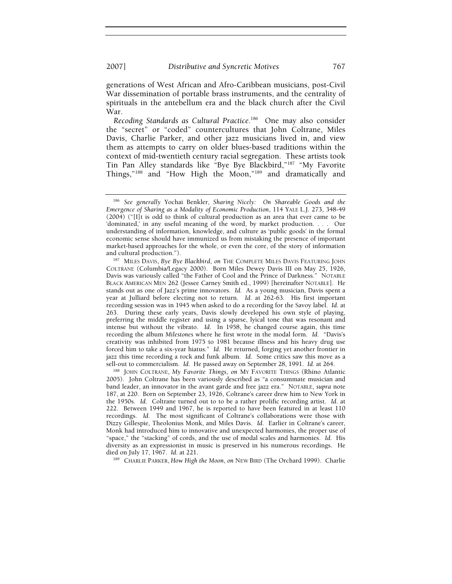generations of West African and Afro-Caribbean musicians, post-Civil War dissemination of portable brass instruments, and the centrality of spirituals in the antebellum era and the black church after the Civil War.

*Recoding Standards as Cultural Practice.*186 One may also consider the "secret" or "coded" countercultures that John Coltrane, Miles Davis, Charlie Parker, and other jazz musicians lived in, and view them as attempts to carry on older blues-based traditions within the context of mid-twentieth century racial segregation. These artists took Tin Pan Alley standards like "Bye Bye Blackbird,"187 "My Favorite Things,"188 and "How High the Moon,"189 and dramatically and

died on July 17, 1967. *Id.* at 221. 189 CHARLIE PARKER, *How High the Moon*, *on* NEW BIRD (The Orchard 1999). Charlie

<sup>186</sup> *See generally* Yochai Benkler, *Sharing Nicely: On Shareable Goods and the Emergence of Sharing as a Modality of Economic Production*, 114 YALE L.J. 273, 348-49 (2004) ("[I]t is odd to think of cultural production as an area that ever came to be 'dominated,' in any useful meaning of the word, by market production. . . . Our understanding of information, knowledge, and culture as 'public goods' in the formal economic sense should have immunized us from mistaking the presence of important market-based approaches for the whole, or even the core, of the story of information

and cultural production.").<br><sup>187</sup> MILES DAVIS, *Bye Bye Blackbird*, *on* THE COMPLETE MILES DAVIS FEATURING JOHN COLTRANE (Columbia/Legacy 2000). Born Miles Dewey Davis III on May 25, 1926, Davis was variously called "the Father of Cool and the Prince of Darkness." NOTABLE BLACK AMERICAN MEN 262 (Jessee Carney Smith ed., 1999) [hereinafter NOTABLE]. He stands out as one of Jazz's prime innovators. *Id*. As a young musician, Davis spent a year at Julliard before electing not to return. *Id*. at 262-63. His first important recording session was in 1945 when asked to do a recording for the Savoy label. *Id*. at 263. During these early years, Davis slowly developed his own style of playing, preferring the middle register and using a sparse, lyical tone that was resonant and intense but without the vibrato. *Id*. In 1958, he changed course again, this time recording the album *Milestones* where he first wrote in the modal form. *Id*. "Davis's creativity was inhibited from 1975 to 1981 because illness and his heavy drug use forced him to take a six-year hiatus." *Id*. He returned, forging yet another frontier in jazz this time recording a rock and funk album. *Id*. Some critics saw this move as a

sell-out to commercialism. *Id*. He passed away on September 28, 1991. *Id*. at 264. 188 JOHN COLTRANE, *My Favorite Things*, *on* MY FAVORITE THINGS (Rhino Atlantic 2005). John Coltrane has been variously described as "a consummate musician and band leader, an innovator in the avant garde and free jazz era." NOTABLE, *supra* note 187, at 220. Born on September 23, 1926, Coltrane's career drew him to New York in the 1950s. *Id*. Coltrane turned out to to be a rather prolific recording artist. *Id*. at 222. Between 1949 and 1967, he is reported to have been featured in at least 110 recordings. *Id*. The most significant of Coltrane's collaborations were those with Dizzy Gillespie, Theolonius Monk, and Miles Davis. *Id*. Earlier in Coltrane's career, Monk had introduced him to innovative and unexpected harmonies, the proper use of "space," the "stacking" of cords, and the use of modal scales and harmonies. *Id*. His diversity as an expressionist in music is preserved in his numerous recordings. He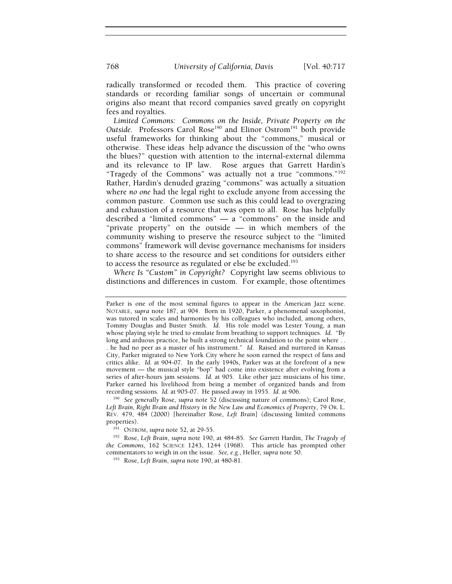radically transformed or recoded them. This practice of covering standards or recording familiar songs of uncertain or communal origins also meant that record companies saved greatly on copyright fees and royalties.

*Limited Commons: Commons on the Inside, Private Property on the*  Outside. Professors Carol Rose<sup>190</sup> and Elinor Ostrom<sup>191</sup> both provide useful frameworks for thinking about the "commons," musical or otherwise. These ideas help advance the discussion of the "who owns the blues?" question with attention to the internal-external dilemma and its relevance to IP law. Rose argues that Garrett Hardin's "Tragedy of the Commons" was actually not a true "commons."192 Rather, Hardin's denuded grazing "commons" was actually a situation where *no one* had the legal right to exclude anyone from accessing the common pasture. Common use such as this could lead to overgrazing and exhaustion of a resource that was open to all. Rose has helpfully described a "limited commons" — a "commons" on the inside and "private property" on the outside — in which members of the community wishing to preserve the resource subject to the "limited commons" framework will devise governance mechanisms for insiders to share access to the resource and set conditions for outsiders either to access the resource as regulated or else be excluded.<sup>193</sup>

*Where Is "Custom" in Copyright?* Copyright law seems oblivious to distinctions and differences in custom. For example, those oftentimes

Parker is one of the most seminal figures to appear in the American Jazz scene. NOTABLE, *supra* note 187, at 904. Born in 1920, Parker, a phenomenal saxophonist, was tutored in scales and harmonies by his colleagues who included, among others, Tommy Douglas and Buster Smith. *Id*. His role model was Lester Young, a man whose playing style he tried to emulate from breathing to support techniques. *Id*. "By long and arduous practice, he built a strong technical foundation to the point where . . . he had no peer as a master of his instrument." *Id*. Raised and nurtured in Kansas City, Parker migrated to New York City where he soon earned the respect of fans and critics alike. *Id.* at 904-07. In the early 1940s, Parker was at the forefront of a new movement — the musical style "bop" had come into existence after evolving from a series of after-hours jam sessions. *Id.* at 905. Like other jazz musicians of his time, Parker earned his livelihood from being a member of organized bands and from recording sessions. *Id.* at 905-07. He passed away in 1955. *Id.* at 906. 190 *See generally* Rose, *supra* note 52 (discussing nature of commons); Carol Rose,

*Left Brain, Right Brain and History in the New Law and Economics of Property*, 79 OR. L. REV. 479, 484 (2000) [hereinafter Rose, *Left Brain*] (discussing limited commons properties). 191 OSTROM, *supra* note 52, at 29-55. 192 Rose, *Left Brain*, *supra* note 190, at 484-85. *See* Garrett Hardin, *The Tragedy of* 

*the Commons*, 162 SCIENCE 1243, 1244 (1968). This article has prompted other commentators to weigh in on the issue. *See, e.g.*, Heller, *supra* note 50. 193 Rose, *Left Brain*, *supra* note 190, at 480-81.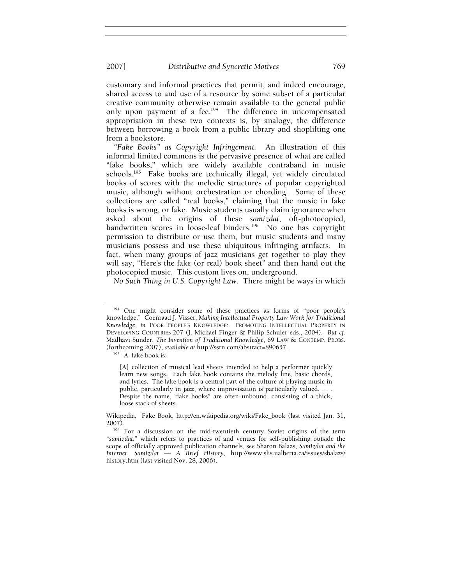customary and informal practices that permit, and indeed encourage, shared access to and use of a resource by some subset of a particular creative community otherwise remain available to the general public only upon payment of a fee.194 The difference in uncompensated appropriation in these two contexts is, by analogy, the difference between borrowing a book from a public library and shoplifting one from a bookstore.

*"Fake Books" as Copyright Infringement.* An illustration of this informal limited commons is the pervasive presence of what are called "fake books," which are widely available contraband in music schools.<sup>195</sup> Fake books are technically illegal, yet widely circulated books of scores with the melodic structures of popular copyrighted music, although without orchestration or chording. Some of these collections are called "real books," claiming that the music in fake books is wrong, or fake. Music students usually claim ignorance when asked about the origins of these *samizdat*, oft-photocopied, handwritten scores in loose-leaf binders.<sup>196</sup> No one has copyright permission to distribute or use them, but music students and many musicians possess and use these ubiquitous infringing artifacts. In fact, when many groups of jazz musicians get together to play they will say, "Here's the fake (or real) book sheet" and then hand out the photocopied music. This custom lives on, underground.

*No Such Thing in U.S. Copyright Law.* There might be ways in which

<sup>&</sup>lt;sup>194</sup> One might consider some of these practices as forms of "poor people's knowledge." Coenraad J. Visser, *Making Intellectual Property Law Work for Traditional Knowledge*, *in* POOR PEOPLE'S KNOWLEDGE: PROMOTING INTELLECTUAL PROPERTY IN DEVELOPING COUNTRIES 207 (J. Michael Finger & Philip Schuler eds., 2004). *But cf.* Madhavi Sunder, *The Invention of Traditional Knowledge*, 69 LAW & CONTEMP. PROBS. (forthcoming 2007), *available at* http://ssrn.com/abstract=890657. 195 A fake book is:

<sup>[</sup>A] collection of musical lead sheets intended to help a performer quickly learn new songs. Each fake book contains the melody line, basic chords, and lyrics. The fake book is a central part of the culture of playing music in public, particularly in jazz, where improvisation is particularly valued. . . . Despite the name, "fake books" are often unbound, consisting of a thick, loose stack of sheets.

Wikipedia, Fake Book, http://en.wikipedia.org/wiki/Fake\_book (last visited Jan. 31,

<sup>&</sup>lt;sup>196</sup> For a discussion on the mid-twentieth century Soviet origins of the term "*samizdat*," which refers to practices of and venues for self-publishing outside the scope of officially approved publication channels, see Sharon Balazs, *Samizdat and the Internet*, *Samizdat — A Brief History*, http://www.slis.ualberta.ca/issues/sbalazs/ history.htm (last visited Nov. 28, 2006).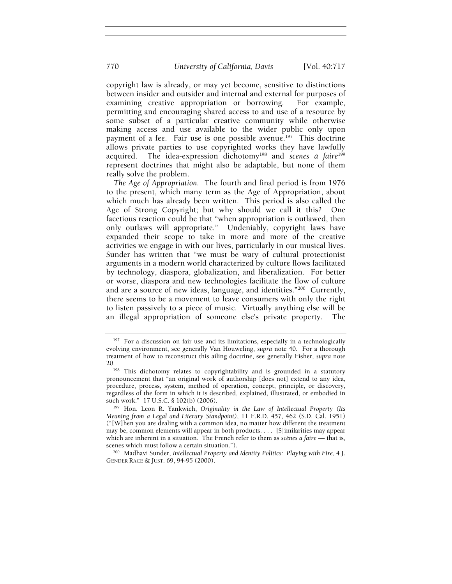copyright law is already, or may yet become, sensitive to distinctions between insider and outsider and internal and external for purposes of examining creative appropriation or borrowing. For example, permitting and encouraging shared access to and use of a resource by some subset of a particular creative community while otherwise making access and use available to the wider public only upon payment of a fee. Fair use is one possible avenue.<sup>197</sup> This doctrine allows private parties to use copyrighted works they have lawfully acquired. The idea-expression dichotomy<sup>198</sup> and *scenes* à faire<sup>199</sup> represent doctrines that might also be adaptable, but none of them really solve the problem.

*The Age of Appropriation.* The fourth and final period is from 1976 to the present, which many term as the Age of Appropriation, about which much has already been written. This period is also called the Age of Strong Copyright; but why should we call it this? One facetious reaction could be that "when appropriation is outlawed, then only outlaws will appropriate." Undeniably, copyright laws have expanded their scope to take in more and more of the creative activities we engage in with our lives, particularly in our musical lives. Sunder has written that "we must be wary of cultural protectionist arguments in a modern world characterized by culture flows facilitated by technology, diaspora, globalization, and liberalization. For better or worse, diaspora and new technologies facilitate the flow of culture and are a source of new ideas, language, and identities."200 Currently, there seems to be a movement to leave consumers with only the right to listen passively to a piece of music. Virtually anything else will be an illegal appropriation of someone else's private property. The

<sup>&</sup>lt;sup>197</sup> For a discussion on fair use and its limitations, especially in a technologically evolving environment, see generally Van Houweling, *supra* note 40. For a thorough treatment of how to reconstruct this ailing doctrine, see generally Fisher, *supra* note

<sup>20. 198</sup> This dichotomy relates to copyrightability and is grounded in a statutory pronouncement that "an original work of authorship [does not] extend to any idea, procedure, process, system, method of operation, concept, principle, or discovery, regardless of the form in which it is described, explained, illustrated, or embodied in

<sup>&</sup>lt;sup>199</sup> Hon. Leon R. Yankwich, *Originality in the Law of Intellectual Property (Its Meaning from a Legal and Literary Standpoint)*, 11 F.R.D. 457, 462 (S.D. Cal. 1951) ("[W]hen you are dealing with a common idea, no matter how different the treatment may be, common elements will appear in both products. . . . [S]imilarities may appear which are inherent in a situation. The French refer to them as *scènes a faire* — that is, scenes which must follow a certain situation.").

<sup>&</sup>lt;sup>200</sup> Madhavi Sunder, Intellectual Property and Identity Politics: Playing with Fire, 4 J. GENDER RACE & JUST. 69, 94-95 (2000).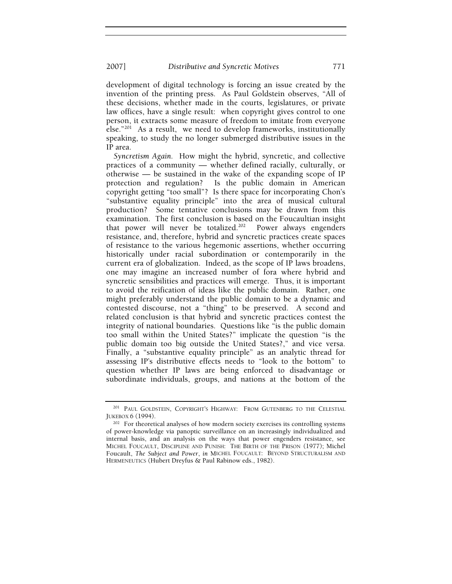development of digital technology is forcing an issue created by the invention of the printing press. As Paul Goldstein observes, "All of these decisions, whether made in the courts, legislatures, or private law offices, have a single result: when copyright gives control to one person, it extracts some measure of freedom to imitate from everyone else."201 As a result, we need to develop frameworks, institutionally speaking, to study the no longer submerged distributive issues in the IP area.

*Syncretism Again.* How might the hybrid, syncretic, and collective practices of a community — whether defined racially, culturally, or otherwise — be sustained in the wake of the expanding scope of IP protection and regulation? Is the public domain in American copyright getting "too small"? Is there space for incorporating Chon's "substantive equality principle" into the area of musical cultural production? Some tentative conclusions may be drawn from this examination. The first conclusion is based on the Foucaultian insight that power will never be totalized.<sup>202</sup> Power always engenders resistance, and, therefore, hybrid and syncretic practices create spaces of resistance to the various hegemonic assertions, whether occurring historically under racial subordination or contemporarily in the current era of globalization. Indeed, as the scope of IP laws broadens, one may imagine an increased number of fora where hybrid and syncretic sensibilities and practices will emerge. Thus, it is important to avoid the reification of ideas like the public domain. Rather, one might preferably understand the public domain to be a dynamic and contested discourse, not a "thing" to be preserved. A second and related conclusion is that hybrid and syncretic practices contest the integrity of national boundaries. Questions like "is the public domain too small within the United States?" implicate the question "is the public domain too big outside the United States?," and vice versa. Finally, a "substantive equality principle" as an analytic thread for assessing IP's distributive effects needs to "look to the bottom" to question whether IP laws are being enforced to disadvantage or subordinate individuals, groups, and nations at the bottom of the

<sup>&</sup>lt;sup>201</sup> PAUL GOLDSTEIN, COPYRIGHT'S HIGHWAY: FROM GUTENBERG TO THE CELESTIAL JUKEBOX 6 (1994).<br><sup>202</sup> For theoretical analyses of how modern society exercises its controlling systems

of power-knowledge via panoptic surveillance on an increasingly individualized and internal basis, and an analysis on the ways that power engenders resistance, see MICHEL FOUCAULT, DISCIPLINE AND PUNISH: THE BIRTH OF THE PRISON (1977); Michel Foucault, *The Subject and Power*, *in* MICHEL FOUCAULT: BEYOND STRUCTURALISM AND HERMENEUTICS (Hubert Dreyfus & Paul Rabinow eds., 1982).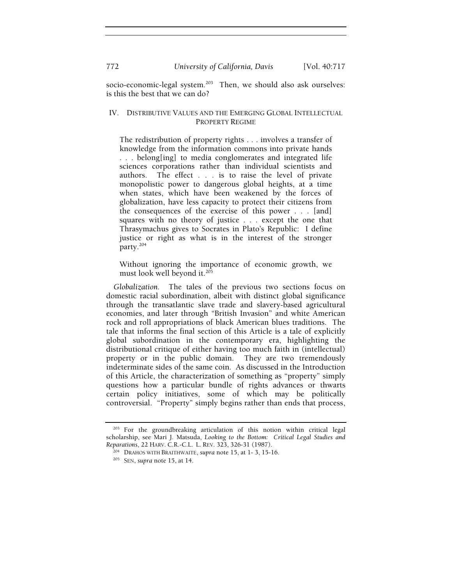socio-economic-legal system.<sup>203</sup> Then, we should also ask ourselves: is this the best that we can do?

## IV. DISTRIBUTIVE VALUES AND THE EMERGING GLOBAL INTELLECTUAL PROPERTY REGIME

The redistribution of property rights . . . involves a transfer of knowledge from the information commons into private hands . . . belong[ing] to media conglomerates and integrated life sciences corporations rather than individual scientists and authors. The effect . . . is to raise the level of private monopolistic power to dangerous global heights, at a time when states, which have been weakened by the forces of globalization, have less capacity to protect their citizens from the consequences of the exercise of this power . . . [and] squares with no theory of justice . . . except the one that Thrasymachus gives to Socrates in Plato's Republic: I define justice or right as what is in the interest of the stronger party.204

Without ignoring the importance of economic growth, we must look well beyond it.205

*Globalization.* The tales of the previous two sections focus on domestic racial subordination, albeit with distinct global significance through the transatlantic slave trade and slavery-based agricultural economies, and later through "British Invasion" and white American rock and roll appropriations of black American blues traditions. The tale that informs the final section of this Article is a tale of explicitly global subordination in the contemporary era, highlighting the distributional critique of either having too much faith in (intellectual) property or in the public domain. They are two tremendously indeterminate sides of the same coin. As discussed in the Introduction of this Article, the characterization of something as "property" simply questions how a particular bundle of rights advances or thwarts certain policy initiatives, some of which may be politically controversial. "Property" simply begins rather than ends that process,

<sup>&</sup>lt;sup>203</sup> For the groundbreaking articulation of this notion within critical legal scholarship, see Mari J. Matsuda, *Looking to the Bottom: Critical Legal Studies and Reparations*, 22 HARV. C.R.-C.L. L. REV. 323, 326-31 (1987). 204 DRAHOS WITH BRAITHWAITE, *supra* note 15, at 1- 3, 15-16. 205 SEN, *supra* note 15, at 14.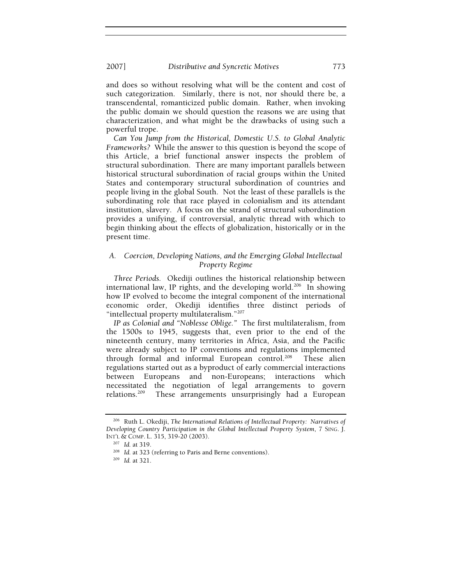and does so without resolving what will be the content and cost of such categorization. Similarly, there is not, nor should there be, a transcendental, romanticized public domain. Rather, when invoking the public domain we should question the reasons we are using that characterization, and what might be the drawbacks of using such a powerful trope.

*Can You Jump from the Historical, Domestic U.S. to Global Analytic Frameworks?* While the answer to this question is beyond the scope of this Article, a brief functional answer inspects the problem of structural subordination. There are many important parallels between historical structural subordination of racial groups within the United States and contemporary structural subordination of countries and people living in the global South. Not the least of these parallels is the subordinating role that race played in colonialism and its attendant institution, slavery. A focus on the strand of structural subordination provides a unifying, if controversial, analytic thread with which to begin thinking about the effects of globalization, historically or in the present time.

# *A. Coercion, Developing Nations, and the Emerging Global Intellectual Property Regime*

*Three Periods.* Okediji outlines the historical relationship between international law, IP rights, and the developing world.<sup>206</sup> In showing how IP evolved to become the integral component of the international economic order, Okediji identifies three distinct periods of "intellectual property multilateralism."<sup>207</sup>

*IP as Colonial and "Noblesse Oblige."* The first multilateralism, from the 1500s to 1945, suggests that, even prior to the end of the nineteenth century, many territories in Africa, Asia, and the Pacific were already subject to IP conventions and regulations implemented through formal and informal European control.<sup>208</sup> These alien regulations started out as a byproduct of early commercial interactions between Europeans and non-Europeans; interactions which necessitated the negotiation of legal arrangements to govern<br>relations.<sup>209</sup> These arrangements unsurprisingly had a European These arrangements unsurprisingly had a European

<sup>206</sup> Ruth L. Okediji, *The International Relations of Intellectual Property: Narratives of Developing Country Participation in the Global Intellectual Property System*, 7 SING. J. INT'L & COMP. L. 315, 319-20 (2003). 207 *Id.* at 319. 208 *Id.* at 323 (referring to Paris and Berne conventions). 209 *Id.* at 321.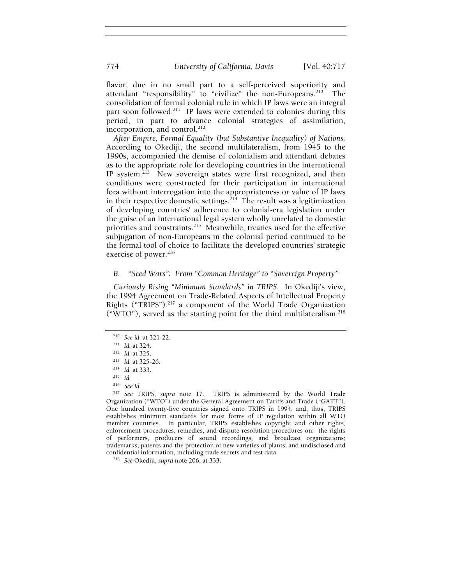flavor, due in no small part to a self-perceived superiority and attendant "responsibility" to "civilize" the non-Europeans.<sup>210</sup> The consolidation of formal colonial rule in which IP laws were an integral part soon followed.<sup>211</sup> IP laws were extended to colonies during this period, in part to advance colonial strategies of assimilation, incorporation, and control.<sup>212</sup>

*After Empire, Formal Equality (but Substantive Inequality) of Nations.* According to Okediji, the second multilateralism, from 1945 to the 1990s, accompanied the demise of colonialism and attendant debates as to the appropriate role for developing countries in the international IP system.213 New sovereign states were first recognized, and then conditions were constructed for their participation in international fora without interrogation into the appropriateness or value of IP laws in their respective domestic settings. $214$  The result was a legitimization of developing countries' adherence to colonial-era legislation under the guise of an international legal system wholly unrelated to domestic priorities and constraints.215 Meanwhile, treaties used for the effective subjugation of non-Europeans in the colonial period continued to be the formal tool of choice to facilitate the developed countries' strategic exercise of power.<sup>216</sup>

### *B. "Seed Wars": From "Common Heritage" to "Sovereign Property"*

*Curiously Rising "Minimum Standards" in TRIPS.* In Okediji's view, the 1994 Agreement on Trade-Related Aspects of Intellectual Property Rights ("TRIPS"), $^{217}$  a component of the World Trade Organization ("WTO"), served as the starting point for the third multilateralism.218

<sup>210</sup> *See id.* at 321-22. 211 *Id.* at 324.

<sup>212</sup> *Id.* at 325. 213 *Id.* at 325-26.

<sup>214</sup> *Id.* at 333. 215 *Id.*

<sup>216</sup> *See id.*

<sup>217</sup> *See* TRIPS, *supra* note 17. TRIPS is administered by the World Trade Organization ("WTO") under the General Agreement on Tariffs and Trade ("GATT"). One hundred twenty-five countries signed onto TRIPS in 1994, and, thus, TRIPS establishes minimum standards for most forms of IP regulation within all WTO member countries. In particular, TRIPS establishes copyright and other rights, enforcement procedures, remedies, and dispute resolution procedures on: the rights of performers, producers of sound recordings, and broadcast organizations; trademarks; patents and the protection of new varieties of plants; and undisclosed and confidential information, including trade secrets and test data. 218 *See* Okediji, *supra* note 206, at 333.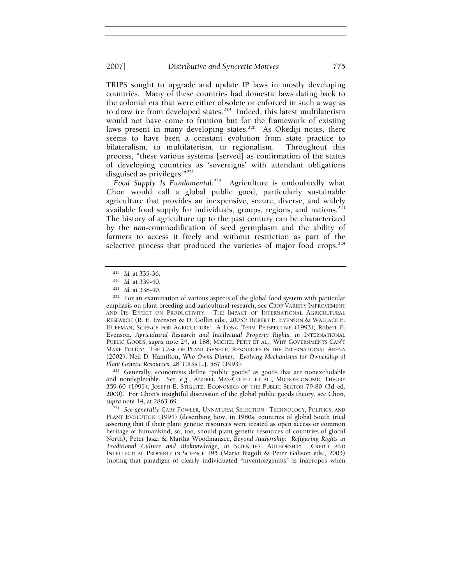TRIPS sought to upgrade and update IP laws in mostly developing countries. Many of these countries had domestic laws dating back to the colonial era that were either obsolete or enforced in such a way as to draw ire from developed states.<sup>219</sup> Indeed, this latest multilaterism would not have come to fruition but for the framework of existing laws present in many developing states.<sup>220</sup> As Okediji notes, there seems to have been a constant evolution from state practice to bilateralism, to multilaterism, to regionalism. Throughout this process, "these various systems [served] as confirmation of the status of developing countries as 'sovereigns' with attendant obligations

disguised as privileges."<sup>221</sup> *Food Supply Is Fundamental.*222 Agriculture is undoubtedly what Chon would call a global public good, particularly sustainable agriculture that provides an inexpensive, secure, diverse, and widely available food supply for individuals, groups, regions, and nations.<sup>223</sup> The history of agriculture up to the past century can be characterized by the *non*-commodification of seed germplasm and the ability of farmers to access it freely and without restriction as part of the selective process that produced the varieties of major food crops.<sup>224</sup>

<sup>223</sup> Generally, economists define "public goods" as goods that are nonexcludable and nondepletable. *See, e.g*., ANDREU MAS-COLELL ET AL., MICROECONOMIC THEORY 359-60 (1995); JOSEPH E. STIGLITZ, ECONOMICS OF THE PUBLIC SECTOR 79-80 (3d ed. 2000). For Chon's insightful discussion of the global public goods theory, see Chon,

<sup>224</sup> See generally CARY FOWLER, UNNATURAL SELECTION: TECHNOLOGY, POLITICS, AND PLANT EVOLUTION (1994) (describing how, in 1980s, countries of global South tried asserting that if their plant genetic resources were treated as open access or common heritage of humankind, so, too, should plant genetic resources of countries of global North); Peter Jaszi & Martha Woodmansee, *Beyond Authorship: Refiguring Rights in Traditional Culture and Bioknowledge*, *in* SCIENTIFIC AUTHORSHIP: CREDIT AND INTELLECTUAL PROPERTY IN SCIENCE 195 (Mario Biagoli & Peter Galison eds., 2003) (noting that paradigm of clearly individuated "inventor/genius" is inapropos when

<sup>&</sup>lt;sup>219</sup> *Id.* at 335-36.<br><sup>220</sup> *Id.* at 339-40.<br><sup>221</sup> *Id.* at 338-40.<br><sup>222</sup> For an examination of various aspects of the global food system with particular emphasis on plant breeding and agricultural research, see CROP VARIETY IMPROVEMENT AND ITS EFFECT ON PRODUCTIVITY: THE IMPACT OF INTERNATIONAL AGRICULTURAL RESEARCH (R. E. Evenson & D. Gollin eds., 2003); ROBERT E. EVENSON & WALLACE E. HUFFMAN, SCIENCE FOR AGRICULTURE: A LONG TERM PERSPECTIVE (1993); Robert E. Evenson, *Agricultural Research and Intellectual Property Rights*, *in* INTERNATIONAL PUBLIC GOODS, *supra* note 24, at 188; MICHEL PETIT ET AL., WHY GOVERNMENTS CAN'T MAKE POLICY: THE CASE OF PLANT GENETIC RESOURCES IN THE INTERNATIONAL ARENA (2002); Neil D. Hamilton, *Who Owns Dinner: Evolving Mechanisms for Ownership of*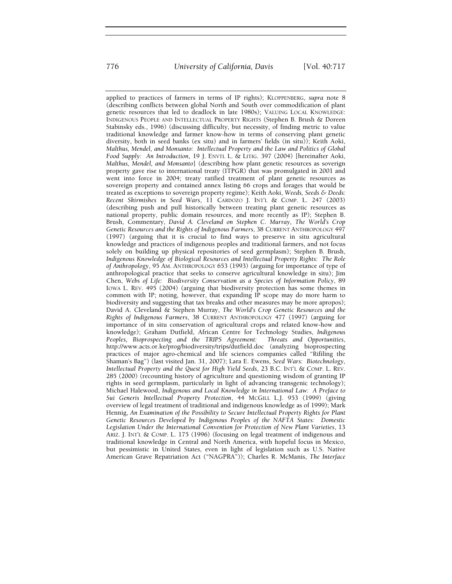applied to practices of farmers in terms of IP rights); KLOPPENBERG, *supra* note 8 (describing conflicts between global North and South over commodification of plant genetic resources that led to deadlock in late 1980s); VALUING LOCAL KNOWLEDGE: INDIGENOUS PEOPLE AND INTELLECTUAL PROPERTY RIGHTS (Stephen B. Brush & Doreen Stabinsky eds., 1996) (discussing difficulty, but necessity, of finding metric to value traditional knowledge and farmer know-how in terms of conserving plant genetic diversity, both in seed banks (ex situ) and in farmers' fields (in situ)); Keith Aoki, *Malthus, Mendel, and Monsanto: Intellectual Property and the Law and Politics of Global Food Supply: An Introduction*, 19 J. ENVTL L. & LITIG. 397 (2004) [hereinafter Aoki, *Malthus, Mendel, and Monsanto*] (describing how plant genetic resources as soverign property gave rise to international treaty (ITPGR) that was promulgated in 2001 and went into force in 2004; treaty ratified treatment of plant genetic resources as sovereign property and contained annex listing 66 crops and forages that would be treated as exceptions to sovereign property regime); Keith Aoki, *Weeds, Seeds & Deeds: Recent Skirmishes in Seed Wars*, 11 CARDOZO J. INT'L & COMP. L. 247 (2003) (describing push and pull historically between treating plant genetic resources as national property, public domain resources, and more recently as IP); Stephen B. Brush, Commentary, *David A. Cleveland on Stephen C. Murray, The World's Crop Genetic Resources and the Rights of Indigenous Farmers*, 38 CURRENT ANTHROPOLOGY 497 (1997) (arguing that it is crucial to find ways to preserve in situ agricultural knowledge and practices of indigenous peoples and traditional farmers, and not focus solely on building up physical repositories of seed germplasm); Stephen B. Brush, *Indigenous Knowledge of Biological Resources and Intellectual Property Rights: The Role of Anthropology*, 95 AM. ANTHROPOLOGY 653 (1993) (arguing for importance of type of anthropological practice that seeks to conserve agricultural knowledge in situ); Jim Chen, *Webs of Life: Biodiversity Conservation as a Species of Information Policy*, 89 IOWA L. REV. 495 (2004) (arguing that biodiversity protection has some themes in common with IP; noting, however, that expanding IP scope may do more harm to biodiversity and suggesting that tax breaks and other measures may be more apropos); David A. Cleveland & Stephen Murray, *The World's Crop Genetic Resources and the Rights of Indigenous Farmers*, 38 CURRENT ANTHROPOLOGY 477 (1997) (arguing for importance of in situ conservation of agricultural crops and related know-how and knowledge); Graham Dutfield, African Centre for Technology Studies, *Indigenous Peoples, Bioprospecting and the TRIPS Agreement:* http://www.acts.or.ke/prog/biodiversity/trips/dutfield.doc (analyzing bioprospecting practices of major agro-chemical and life sciences companies called "Rifiling the Shaman's Bag") (last visited Jan. 31, 2007); Lara E. Ewens, *Seed Wars: Biotechnology, Intellectual Property and the Quest for High Yield Seeds*, 23 B.C. INT'L & COMP. L. REV. 285 (2000) (recounting history of agriculture and questioning wisdom of granting IP rights in seed germplasm, particularly in light of advancing transgenic technology); Michael Halewood, *Indigenous and Local Knowledge in International Law: A Preface to Sui Generis Intellectual Property Protection*, 44 MCGILL L.J. 953 (1999) (giving overview of legal treatment of traditional and indigenous knowledge as of 1999); Mark Hennig, *An Examination of the Possibility to Secure Intellectual Property Rights for Plant Genetic Resources Developed by Indigenous Peoples of the NAFTA States: Domestic Legislation Under the International Convention for Protection of New Plant Varieties*, 13 ARIZ. J. INT'L & COMP. L. 175 (1996) (focusing on legal treatment of indigenous and traditional knowledge in Central and North America, with hopeful focus in Mexico, but pessimistic in United States, even in light of legislation such as U.S. Native American Grave Repatriation Act ("NAGPRA")); Charles R. McManis, *The Interface*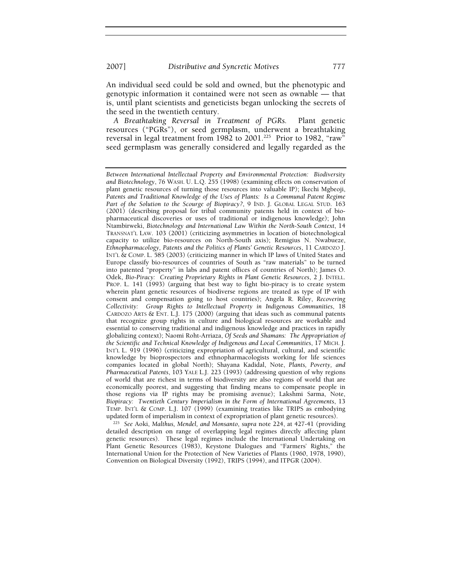An individual seed could be sold and owned, but the phenotypic and genotypic information it contained were not seen as ownable — that is, until plant scientists and geneticists began unlocking the secrets of the seed in the twentieth century.

*A Breathtaking Reversal in Treatment of PGRs.* Plant genetic resources ("PGRs"), or seed germplasm, underwent a breathtaking reversal in legal treatment from 1982 to 2001.<sup>225</sup> Prior to 1982, "raw" seed germplasm was generally considered and legally regarded as the

detailed description on range of overlapping legal regimes directly affecting plant genetic resources). These legal regimes include the International Undertaking on Plant Genetic Resources (1983), Keystone Dialogues and "Farmers' Rights," the International Union for the Protection of New Varieties of Plants (1960, 1978, 1990), Convention on Biological Diversity (1992), TRIPS (1994), and ITPGR (2004).

*Between International Intellectual Property and Environmental Protection: Biodiversity and Biotechnology*, 76 WASH. U. L.Q. 255 (1998) (examining effects on conservation of plant genetic resources of turning those resources into valuable IP); Ikechi Mgbeoji, *Patents and Traditional Knowledge of the Uses of Plants: Is a Communal Patent Regime Part of the Solution to the Scourge of Biopiracy?*, 9 IND. J. GLOBAL LEGAL STUD. 163 (2001) (describing proposal for tribal community patents held in context of biopharmaceutical discoveries or uses of traditional or indigenous knowledge); John Ntambirweki, *Biotechnology and International Law Within the North-South Context*, 14 TRANSNAT'L LAW. 103 (2001) (criticizing asymmetries in location of biotechnological capacity to utilize bio-resources on North-South axis); Remigius N. Nwabueze, *Ethnopharmacology, Patents and the Politics of Plants' Genetic Resources*, 11 CARDOZO J. INT'L & COMP. L. 585 (2003) (criticizing manner in which IP laws of United States and Europe classify bio-resources of countries of South as "raw materials" to be turned into patented "property" in labs and patent offices of countries of North); James O. Odek, *Bio-Piracy: Creating Proprietary Rights in Plant Genetic Resources*, 2 J. INTELL. PROP. L. 141 (1993) (arguing that best way to fight bio-piracy is to create system wherein plant genetic resources of biodiverse regions are treated as type of IP with consent and compensation going to host countries); Angela R. Riley, *Recovering Collectivity: Group Rights to Intellectual Property in Indigenous Communities*, 18 CARDOZO ARTS & ENT. L.J. 175 (2000) (arguing that ideas such as communal patents that recognize group rights in culture and biological resources are workable and essential to conserving traditional and indigenous knowledge and practices in rapidly globalizing context); Naomi Roht-Arriaza, *Of Seeds and Shamans: The Appropriation of the Scientific and Technical Knowledge of Indigenous and Local Communities*, 17 MICH. J. INT'L L. 919 (1996) (criticizing expropriation of agricultural, cultural, and scientific knowledge by bioprospectors and ethnopharmacologists working for life sciences companies located in global North); Shayana Kadidal, Note, *Plants, Poverty, and Pharmaceutical Patents*, 103 YALE L.J. 223 (1993) (addressing question of why regions of world that are richest in terms of biodiversity are also regions of world that are economically poorest, and suggesting that finding means to compensate people in those regions via IP rights may be promising avenue); Lakshmi Sarma, Note, *Biopiracy: Twentieth Century Imperialism in the Form of International Agreements*, 13 TEMP. INT'L & COMP. L.J. 107 (1999) (examining treaties like TRIPS as embodying updated form of imperialism in context of expropriation of plant genetic resources). 225 *See* Aoki, *Malthus, Mendel, and Monsanto*, *supra* note 224, at 427-41 (providing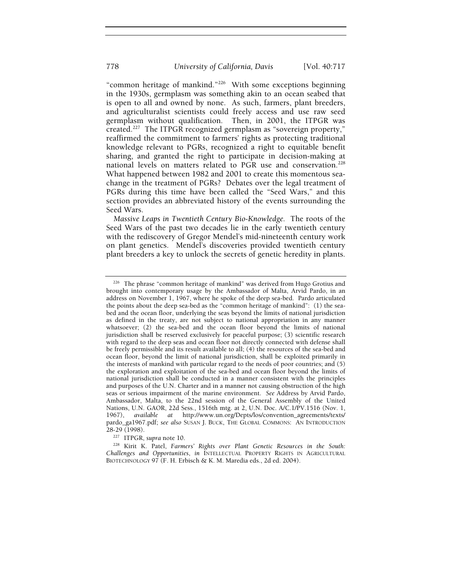"common heritage of mankind."226 With some exceptions beginning in the 1930s, germplasm was something akin to an ocean seabed that is open to all and owned by none. As such, farmers, plant breeders, and agriculturalist scientists could freely access and use raw seed germplasm without qualification. Then, in 2001, the ITPGR was created.<sup>227</sup> The ITPGR recognized germplasm as "sovereign property," reaffirmed the commitment to farmers' rights as protecting traditional knowledge relevant to PGRs, recognized a right to equitable benefit sharing, and granted the right to participate in decision-making at national levels on matters related to PGR use and conservation.<sup>228</sup> What happened between 1982 and 2001 to create this momentous seachange in the treatment of PGRs? Debates over the legal treatment of PGRs during this time have been called the "Seed Wars," and this section provides an abbreviated history of the events surrounding the Seed Wars.

*Massive Leaps in Twentieth Century Bio-Knowledge.* The roots of the Seed Wars of the past two decades lie in the early twentieth century with the rediscovery of Gregor Mendel's mid-nineteenth century work on plant genetics. Mendel's discoveries provided twentieth century plant breeders a key to unlock the secrets of genetic heredity in plants.

<sup>&</sup>lt;sup>226</sup> The phrase "common heritage of mankind" was derived from Hugo Grotius and brought into contemporary usage by the Ambassador of Malta, Arvid Pardo, in an address on November 1, 1967, where he spoke of the deep sea-bed. Pardo articulated the points about the deep sea-bed as the "common heritage of mankind": (1) the seabed and the ocean floor, underlying the seas beyond the limits of national jurisdiction as defined in the treaty, are not subject to national appropriation in any manner whatsoever; (2) the sea-bed and the ocean floor beyond the limits of national jurisdiction shall be reserved exclusively for peaceful purpose; (3) scientific research with regard to the deep seas and ocean floor not directly connected with defense shall be freely permissible and its result available to all; (4) the resources of the sea-bed and ocean floor, beyond the limit of national jurisdiction, shall be exploited primarily in the interests of mankind with particular regard to the needs of poor countries; and (5) the exploration and exploitation of the sea-bed and ocean floor beyond the limits of national jurisdiction shall be conducted in a manner consistent with the principles and purposes of the U.N. Charter and in a manner not causing obstruction of the high seas or serious impairment of the marine environment. *See* Address by Arvid Pardo, Ambassador, Malta, to the 22nd session of the General Assembly of the United Nations, U.N. GAOR, 22d Sess., 1516th mtg. at 2, U.N. Doc. A/C.1/PV.1516 (Nov. 1, 1967), *available at* http://www.un.org/Depts/los/convention\_agreements/texts/ pardo\_ga1967.pdf; *see also* SUSAN J. BUCK, THE GLOBAL COMMONS: AN INTRODUCTION

<sup>28-29</sup> (1998). 227 ITPGR, *supra* note 10. 228 Kirit K. Patel, *Farmers' Rights over Plant Genetic Resources in the South: Challenges and Opportunities*, *in* INTELLECTUAL PROPERTY RIGHTS IN AGRICULTURAL BIOTECHNOLOGY 97 (F. H. Erbisch & K. M. Maredia eds., 2d ed. 2004).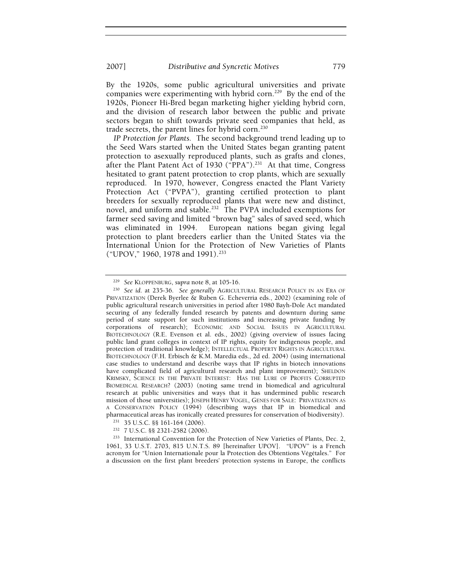By the 1920s, some public agricultural universities and private companies were experimenting with hybrid corn.<sup>229</sup> By the end of the 1920s, Pioneer Hi-Bred began marketing higher yielding hybrid corn, and the division of research labor between the public and private sectors began to shift towards private seed companies that held, as trade secrets, the parent lines for hybrid corn.<sup>230</sup>

*IP Protection for Plants.* The second background trend leading up to the Seed Wars started when the United States began granting patent protection to asexually reproduced plants, such as grafts and clones, after the Plant Patent Act of 1930 ("PPA").231 At that time, Congress hesitated to grant patent protection to crop plants, which are sexually reproduced. In 1970, however, Congress enacted the Plant Variety Protection Act ("PVPA"), granting certified protection to plant breeders for sexually reproduced plants that were new and distinct, novel, and uniform and stable.<sup>232</sup> The PVPA included exemptions for farmer seed saving and limited "brown bag" sales of saved seed, which was eliminated in 1994. European nations began giving legal protection to plant breeders earlier than the United States via the International Union for the Protection of New Varieties of Plants ("UPOV," 1960, 1978 and 1991).<sup>233</sup>

<sup>229</sup> *See* KLOPPENBURG, *supra* note 8, at 105-16. 230 *See id*. at 235-36. *See generally* AGRICULTURAL RESEARCH POLICY IN AN ERA OF PRIVATIZATION (Derek Byerlee & Ruben G. Echeverria eds., 2002) (examining role of public agricultural research universities in period after 1980 Bayh-Dole Act mandated securing of any federally funded research by patents and downturn during same period of state support for such institutions and increasing private funding by corporations of research); ECONOMIC AND SOCIAL ISSUES IN AGRICULTURAL BIOTECHNOLOGY (R.E. Evenson et al. eds., 2002) (giving overview of issues facing public land grant colleges in context of IP rights, equity for indigenous people, and protection of traditional knowledge); INTELLECTUAL PROPERTY RIGHTS IN AGRICULTURAL BIOTECHNOLOGY (F.H. Erbisch & K.M. Maredia eds., 2d ed. 2004) (using international case studies to understand and describe ways that IP rights in biotech innovations have complicated field of agricultural research and plant improvement); SHELDON KRIMSKY, SCIENCE IN THE PRIVATE INTEREST: HAS THE LURE OF PROFITS CORRUPTED BIOMEDICAL RESEARCH? (2003) (noting same trend in biomedical and agricultural research at public universities and ways that it has undermined public research mission of those universities); JOSEPH HENRY VOGEL, GENES FOR SALE: PRIVATIZATION AS A CONSERVATION POLICY (1994) (describing ways that IP in biomedical and pharmaceutical areas has ironically created pressures for conservation of biodiversity).<br><sup>231</sup> 35 U.S.C. §§ 161-164 (2006).<br><sup>232</sup> 7 U.S.C. §§ 2321-2582 (2006).<br><sup>233</sup> International Convention for the Protection of New Varie

<sup>1961, 33</sup> U.S.T. 2703, 815 U.N.T.S. 89 [hereinafter UPOV]. "UPOV" is a French acronym for "Union Internationale pour la Protection des Obtentions Végétales." For a discussion on the first plant breeders' protection systems in Europe, the conflicts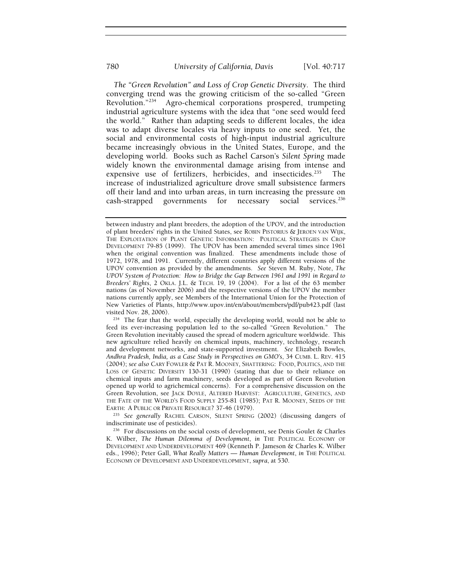*The "Green Revolution" and Loss of Crop Genetic Diversity.* The third converging trend was the growing criticism of the so-called "Green Revolution."234 Agro-chemical corporations prospered, trumpeting industrial agriculture systems with the idea that "one seed would feed the world." Rather than adapting seeds to different locales, the idea was to adapt diverse locales via heavy inputs to one seed. Yet, the social and environmental costs of high-input industrial agriculture became increasingly obvious in the United States, Europe, and the developing world. Books such as Rachel Carson's *Silent Spring* made widely known the environmental damage arising from intense and expensive use of fertilizers, herbicides, and insecticides.<sup>235</sup> The increase of industrialized agriculture drove small subsistence farmers off their land and into urban areas, in turn increasing the pressure on cash-strapped governments for necessary social services.<sup>236</sup>

<sup>235</sup> See generally RACHEL CARSON, SILENT SPRING (2002) (discussing dangers of indiscriminate use of pesticides).

<sup>236</sup> For discussions on the social costs of development, see Denis Goulet & Charles K. Wilber, *The Human Dilemma of Development*, *in* THE POLITICAL ECONOMY OF DEVELOPMENT AND UNDERDEVELOPMENT 469 (Kenneth P. Jameson & Charles K. Wilber eds., 1996); Peter Gall, *What Really Matters — Human Development*, *in* THE POLITICAL ECONOMY OF DEVELOPMENT AND UNDERDEVELOPMENT, *supra*, at 530.

between industry and plant breeders, the adoption of the UPOV, and the introduction of plant breeders' rights in the United States, see ROBIN PISTORIUS & JEROEN VAN WIJK, THE EXPLOITATION OF PLANT GENETIC INFORMATION: POLITICAL STRATEGIES IN CROP DEVELOPMENT 79-85 (1999). The UPOV has been amended several times since 1961 when the original convention was finalized. These amendments include those of 1972, 1978, and 1991. Currently, different countries apply different versions of the UPOV convention as provided by the amendments. *See* Steven M. Ruby, Note, *The UPOV System of Protection: How to Bridge the Gap Between 1961 and 1991 in Regard to Breeders' Rights*, 2 OKLA. J.L. & TECH. 19, 19 (2004). For a list of the 63 member nations (as of November 2006) and the respective versions of the UPOV the member nations currently apply, see Members of the International Union for the Protection of New Varieties of Plants, http://www.upov.int/en/about/members/pdf/pub423.pdf (last

<sup>&</sup>lt;sup>234</sup> The fear that the world, especially the developing world, would not be able to feed its ever-increasing population led to the so-called "Green Revolution." The Green Revolution inevitably caused the spread of modern agriculture worldwide. This new agriculture relied heavily on chemical inputs, machinery, technology, research and development networks, and state-supported investment. *See* Elizabeth Bowles, *Andhra Pradesh, India, as a Case Study in Perspectives on GMO's*, 34 CUMB. L. REV. 415 (2004); *see also* CARY FOWLER & PAT R. MOONEY, SHATTERING: FOOD, POLITICS, AND THE LOSS OF GENETIC DIVERSITY 130-31 (1990) (stating that due to their reliance on chemical inputs and farm machinery, seeds developed as part of Green Revolution opened up world to agrichemical concerns). For a comprehensive discussion on the Green Revolution, see JACK DOYLE, ALTERED HARVEST: AGRICULTURE, GENETICS, AND THE FATE OF THE WORLD'S FOOD SUPPLY 255-81 (1985); PAT R. MOONEY, SEEDS OF THE EARTH: A PUBLIC OR PRIVATE RESOURCE? 37-46 (1979).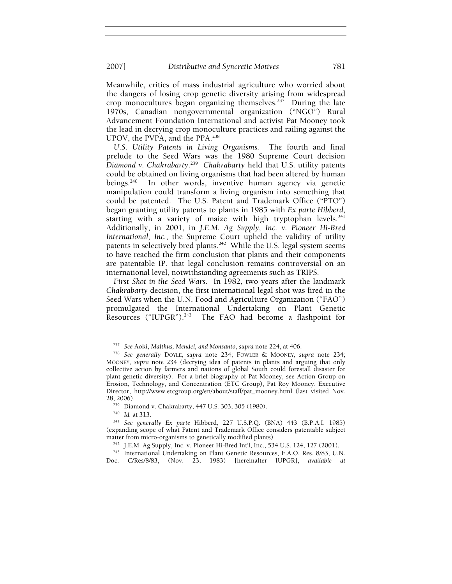Meanwhile, critics of mass industrial agriculture who worried about the dangers of losing crop genetic diversity arising from widespread crop monocultures began organizing themselves.<sup>237</sup> During the late 1970s, Canadian nongovernmental organization ("NGO") Rural Advancement Foundation International and activist Pat Mooney took the lead in decrying crop monoculture practices and railing against the UPOV, the PVPA, and the PPA.<sup>238</sup>

*U.S. Utility Patents in Living Organisms.* The fourth and final prelude to the Seed Wars was the 1980 Supreme Court decision *Diamond v. Chakrabarty*. 239 *Chakrabarty* held that U.S. utility patents could be obtained on living organisms that had been altered by human beings.<sup>240</sup> In other words, inventive human agency via genetic In other words, inventive human agency via genetic manipulation could transform a living organism into something that could be patented. The U.S. Patent and Trademark Office ("PTO") began granting utility patents to plants in 1985 with *Ex parte Hibberd*, starting with a variety of maize with high tryptophan levels.<sup>241</sup> Additionally, in 2001, in *J.E.M. Ag Supply, Inc. v. Pioneer Hi-Bred International, Inc.*, the Supreme Court upheld the validity of utility patents in selectively bred plants.<sup>242</sup> While the U.S. legal system seems to have reached the firm conclusion that plants and their components are patentable IP, that legal conclusion remains controversial on an international level, notwithstanding agreements such as TRIPS.

*First Shot in the Seed Wars.* In 1982, two years after the landmark *Chakrabarty* decision, the first international legal shot was fired in the Seed Wars when the U.N. Food and Agriculture Organization ("FAO") promulgated the International Undertaking on Plant Genetic Resources ("IUPGR").<sup>243</sup> The FAO had become a flashpoint for

<sup>237</sup> *See* Aoki, *Malthus, Mendel, and Monsanto*, *supra* note 224, at 406. 238 *See generally* DOYLE, *supra* note 234; FOWLER & MOONEY, *supra* note 234; MOONEY, *supra* note 234 (decrying idea of patents in plants and arguing that only collective action by farmers and nations of global South could forestall disaster for plant genetic diversity). For a brief biography of Pat Mooney, see Action Group on Erosion, Technology, and Concentration (ETC Group), Pat Roy Mooney, Executive Director, http://www.etcgroup.org/en/about/staff/pat\_mooney.html (last visited Nov. 28, 2006). 239 Diamond v. Chakrabarty, 447 U.S. 303, 305 (1980). 240 *Id.* at 313. 241 *See generally Ex parte* Hibberd, 227 U.S.P.Q. (BNA) 443 (B.P.A.I. 1985)

<sup>(</sup>expanding scope of what Patent and Trademark Office considers patentable subject matter from micro-organisms to genetically modified plants).<br><sup>242</sup> J.E.M. Ag Supply, Inc. v. Pioneer Hi-Bred Int'l, Inc., 534 U.S. 124, 127 (2001).<br><sup>243</sup> International Undertaking on Plant Genetic Resources, F.A.O. Res. 8/

Doc. C/Res/8/83, (Nov. 23, 1983) [hereinafter IUPGR], *available at*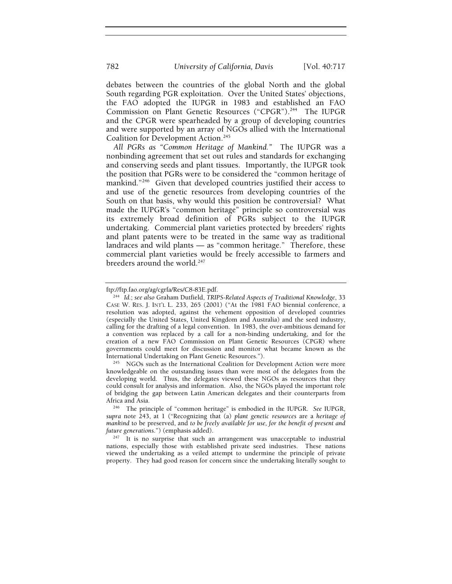debates between the countries of the global North and the global South regarding PGR exploitation. Over the United States' objections, the FAO adopted the IUPGR in 1983 and established an FAO Commission on Plant Genetic Resources ("CPGR").<sup>244</sup> The IUPGR and the CPGR were spearheaded by a group of developing countries and were supported by an array of NGOs allied with the International Coalition for Development Action.245

*All PGRs as "Common Heritage of Mankind."* The IUPGR was a nonbinding agreement that set out rules and standards for exchanging and conserving seeds and plant tissues. Importantly, the IUPGR took the position that PGRs were to be considered the "common heritage of mankind."246 Given that developed countries justified their access to and use of the genetic resources from developing countries of the South on that basis, why would this position be controversial? What made the IUPGR's "common heritage" principle so controversial was its extremely broad definition of PGRs subject to the IUPGR undertaking. Commercial plant varieties protected by breeders' rights and plant patents were to be treated in the same way as traditional landraces and wild plants — as "common heritage." Therefore, these commercial plant varieties would be freely accessible to farmers and breeders around the world.<sup>247</sup>

knowledgeable on the outstanding issues than were most of the delegates from the developing world. Thus, the delegates viewed these NGOs as resources that they could consult for analysis and information. Also, the NGOs played the important role of bridging the gap between Latin American delegates and their counterparts from Africa and Asia. 246 The principle of "common heritage" is embodied in the IUPGR. *See* IUPGR,

*supra* note 243, at 1 ("Recognizing that (a) *plant genetic resources* are a *heritage of mankind* to be preserved, and *to be freely available for use, for the benefit of present and future generations*.") (emphasis added).<br><sup>247</sup> It is no surprise that such an arrangement was unacceptable to industrial

nations, especially those with established private seed industries. These nations viewed the undertaking as a veiled attempt to undermine the principle of private property. They had good reason for concern since the undertaking literally sought to

ftp://ftp.fao.org/ag/cgrfa/Res/C8-83E.pdf. 244 *Id.*; *see also* Graham Dutfield, *TRIPS-Related Aspects of Traditional Knowledge*, 33 CASE W. RES. J. INT'L L. 233, 265 (2001) ("At the 1981 FAO biennial conference, a resolution was adopted, against the vehement opposition of developed countries (especially the United States, United Kingdom and Australia) and the seed industry, calling for the drafting of a legal convention. In 1983, the over-ambitious demand for a convention was replaced by a call for a non-binding undertaking, and for the creation of a new FAO Commission on Plant Genetic Resources (CPGR) where governments could meet for discussion and monitor what became known as the International Undertaking on Plant Genetic Resources.").<br><sup>245</sup> NGOs such as the International Coalition for Development Action were more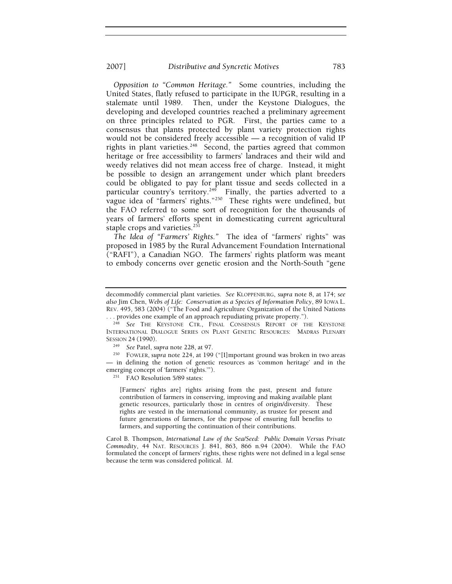*Opposition to "Common Heritage."* Some countries, including the United States, flatly refused to participate in the IUPGR, resulting in a stalemate until 1989. Then, under the Keystone Dialogues, the developing and developed countries reached a preliminary agreement on three principles related to PGR. First, the parties came to a consensus that plants protected by plant variety protection rights would not be considered freely accessible — a recognition of valid IP rights in plant varieties.<sup>248</sup> Second, the parties agreed that common heritage or free accessibility to farmers' landraces and their wild and weedy relatives did not mean access free of charge. Instead, it might be possible to design an arrangement under which plant breeders could be obligated to pay for plant tissue and seeds collected in a particular country's territory.<sup>249</sup> Finally, the parties adverted to a vague idea of "farmers' rights."<sup>250</sup> These rights were undefined, but the FAO referred to some sort of recognition for the thousands of years of farmers' efforts spent in domesticating current agricultural staple crops and varieties.<sup>251</sup>

*The Idea of "Farmers' Rights."* The idea of "farmers' rights" was proposed in 1985 by the Rural Advancement Foundation International ("RAFI"), a Canadian NGO. The farmers' rights platform was meant to embody concerns over genetic erosion and the North-South "gene

— in defining the notion of genetic resources as 'common heritage' and in the emerging concept of 'farmers' rights."").<br><sup>251</sup> FAO Resolution 5/89 states:

[Farmers' rights are] rights arising from the past, present and future contribution of farmers in conserving, improving and making available plant genetic resources, particularly those in centres of origin/diversity. These rights are vested in the international community, as trustee for present and future generations of farmers, for the purpose of ensuring full benefits to farmers, and supporting the continuation of their contributions.

Carol B. Thompson, *International Law of the Sea/Seed: Public Domain Versus Private Commodity*, 44 NAT. RESOURCES J. 841, 863, 866 n.94 (2004). While the FAO formulated the concept of farmers' rights, these rights were not defined in a legal sense because the term was considered political. *Id*.

decommodify commercial plant varieties. *See* KLOPPENBURG, *supra* note 8, at 174; *see also* Jim Chen, *Webs of Life: Conservation as a Species of Information Policy*, 89 IOWA L. REV. 495, 583 (2004) ("The Food and Agriculture Organization of the United Nations

<sup>. . .</sup> provides one example of an approach repudiating private property."). 248 *See* THE KEYSTONE CTR., FINAL CONSENSUS REPORT OF THE KEYSTONE INTERNATIONAL DIALOGUE SERIES ON PLANT GENETIC RESOURCES: MADRAS PLENARY SESSION 24 (1990).<br><sup>249</sup> See Patel, *supra* note 228, at 97.<br><sup>250</sup> FOWLER, *supra* note 224, at 199 ("[I]mportant ground was broken in two areas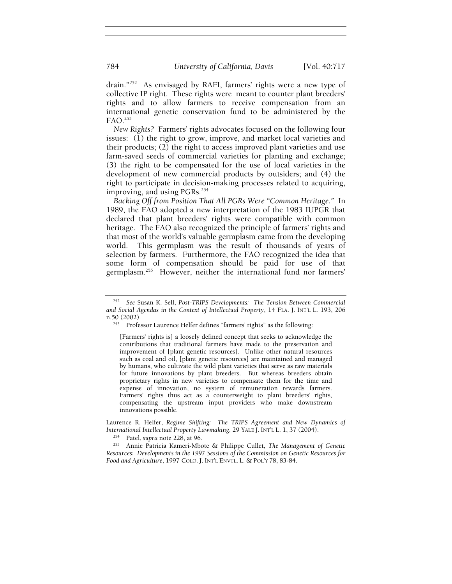drain."252 As envisaged by RAFI, farmers' rights were a new type of collective IP right. These rights were meant to counter plant breeders' rights and to allow farmers to receive compensation from an international genetic conservation fund to be administered by the  $FAO.<sup>253</sup>$ 

*New Rights?* Farmers' rights advocates focused on the following four issues: (1) the right to grow, improve, and market local varieties and their products; (2) the right to access improved plant varieties and use farm-saved seeds of commercial varieties for planting and exchange; (3) the right to be compensated for the use of local varieties in the development of new commercial products by outsiders; and (4) the right to participate in decision-making processes related to acquiring, improving, and using PGRs.<sup>254</sup>

*Backing Off from Position That All PGRs Were "Common Heritage."* In 1989, the FAO adopted a new interpretation of the 1983 IUPGR that declared that plant breeders' rights were compatible with common heritage. The FAO also recognized the principle of farmers' rights and that most of the world's valuable germplasm came from the developing world. This germplasm was the result of thousands of years of selection by farmers. Furthermore, the FAO recognized the idea that some form of compensation should be paid for use of that germplasm.255 However, neither the international fund nor farmers'

Laurence R. Helfer, Regime Shifting: The TRIPS Agreement and New Dynamics of *International Intellectual Property Lawmaking*, 29 YALE J. INT'L L. 1, 37 (2004).<br><sup>254</sup> Patel, *supra* note 228, at 96. <br><sup>255</sup> Annie Patricia Kameri-Mbote & Philippe Cullet, *The Management of Genetic* 

*Resources: Developments in the 1997 Sessions of the Commission on Genetic Resources for Food and Agriculture*, 1997 COLO. J. INT'L ENVTL. L. & POL'Y 78, 83-84.

<sup>252</sup> *See* Susan K. Sell, *Post-TRIPS Developments: The Tension Between Commercial*  and Social Agendas in the Context of Intellectual Property, 14 FLA. J. INT'L L. 193, 206 n.50 (2002).

<sup>&</sup>lt;sup>253</sup> Professor Laurence Helfer defines "farmers' rights" as the following:

<sup>[</sup>Farmers' rights is] a loosely defined concept that seeks to acknowledge the contributions that traditional farmers have made to the preservation and improvement of [plant genetic resources]. Unlike other natural resources such as coal and oil, [plant genetic resources] are maintained and managed by humans, who cultivate the wild plant varieties that serve as raw materials for future innovations by plant breeders. But whereas breeders obtain proprietary rights in new varieties to compensate them for the time and expense of innovation, no system of remuneration rewards farmers. Farmers' rights thus act as a counterweight to plant breeders' rights, compensating the upstream input providers who make downstream innovations possible.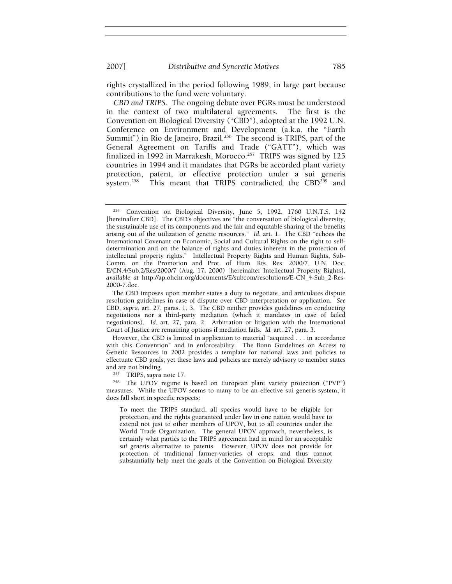rights crystallized in the period following 1989, in large part because contributions to the fund were voluntary.

*CBD and TRIPS.* The ongoing debate over PGRs must be understood in the context of two multilateral agreements. The first is the Convention on Biological Diversity ("CBD"), adopted at the 1992 U.N. Conference on Environment and Development (a.k.a. the "Earth Summit") in Rio de Janeiro, Brazil.<sup>256</sup> The second is TRIPS, part of the General Agreement on Tariffs and Trade ("GATT"), which was finalized in 1992 in Marrakesh, Morocco.257 TRIPS was signed by 125 countries in 1994 and it mandates that PGRs be accorded plant variety protection, patent, or effective protection under a sui generis system.<sup>258</sup> This meant that TRIPS contradicted the CBD<sup>259</sup> and This meant that TRIPS contradicted the CBD<sup>259</sup> and

However, the CBD is limited in application to material "acquired . . . in accordance with this Convention" and in enforceability. The Bonn Guidelines on Access to Genetic Resources in 2002 provides a template for national laws and policies to effectuate CBD goals, yet these laws and policies are merely advisory to member states

and are not binding.<br><sup>257</sup> TRIPS, supra note 17.<br><sup>258</sup> The UPOV regime is based on European plant variety protection ("PVP") measures. While the UPOV seems to many to be an effective sui generis system, it does fall short in specific respects:

To meet the TRIPS standard, all species would have to be eligible for protection, and the rights guaranteed under law in one nation would have to extend not just to other members of UPOV, but to all countries under the World Trade Organization. The general UPOV approach, nevertheless, is certainly what parties to the TRIPS agreement had in mind for an acceptable *sui generis* alternative to patents. However, UPOV does not provide for protection of traditional farmer-varieties of crops, and thus cannot substantially help meet the goals of the Convention on Biological Diversity

<sup>256</sup> Convention on Biological Diversity, June 5, 1992, 1760 U.N.T.S. 142 [hereinafter CBD]. The CBD's objectives are "the conversation of biological diversity, the sustainable use of its components and the fair and equitable sharing of the benefits arising out of the utilization of genetic resources." *Id.* art. 1. The CBD "echoes the International Covenant on Economic, Social and Cultural Rights on the right to selfdetermination and on the balance of rights and duties inherent in the protection of intellectual property rights." Intellectual Property Rights and Human Rights, Sub-Comm. on the Promotion and Prot. of Hum. Rts. Res. 2000/7, U.N. Doc. E/CN.4/Sub.2/Res/2000/7 (Aug. 17, 2000) [hereinafter Intellectual Property Rights], *available at* http://ap.ohchr.org/documents/E/subcom/resolutions/E-CN\_4-Sub\_2-Res-2000-7.doc.

The CBD imposes upon member states a duty to negotiate, and articulates dispute resolution guidelines in case of dispute over CBD interpretation or application. *See* CBD, *supra*, art. 27, paras. 1, 3. The CBD neither provides guidelines on conducting negotiations nor a third-party mediation (which it mandates in case of failed negotiations). *Id.* art. 27, para. 2. Arbitration or litigation with the International Court of Justice are remaining options if mediation fails. *Id.* art. 27, para. 3.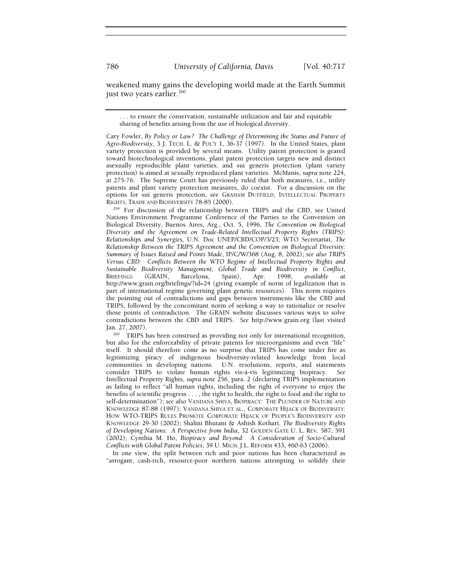weakened many gains the developing world made at the Earth Summit just two years earlier.<sup>260</sup>

. . . to ensure the conservation, sustainable utilization and fair and equitable sharing of benefits arising from the use of biological diversity.

Cary Fowler, *By Policy or Law? The Challenge of Determining the Status and Future of Agro-Biodiversity*, 3 J. TECH. L. & POL'Y 1, 36-37 (1997). In the United States, plant variety protection is provided by several means. Utility patent protection is geared toward biotechnological inventions, plant patent protection targets new and distinct asexually reproducible plant varieties, and sui generis protection (plant variety protection) is aimed at sexually reproduced plant varieties. McManis, *supra* note 224, at 275-76. The Supreme Court has previously ruled that both measures, i.e., utility patents and plant variety protection measures, do coexist. For a discussion on the options for sui generis protection, see GRAHAM DUTFIELD, INTELLECTUAL PROPERTY

<sup>259</sup> For discussion of the relationship between TRIPS and the CBD, see United Nations Environment Programme Conference of the Parties to the Convention on Biological Diversity, Buenos Aires, Arg., Oct. 5, 1996, *The Convention on Biological Diversity and the Agreement on Trade-Related Intellectual Property Rights (TRIPS): Relationships and Synergies*, U.N. Doc UNEP/CBD/COP/3/23; WTO Secretariat, *The Relationship Between the TRIPS Agreement and the Convention on Biological Diversity: Summary of Issues Raised and Points Made*, IP/C/W/368 (Aug. 8, 2002); *see also TRIPS Versus CBD: Conflicts Between the WTO Regime of Intellectual Property Rights and Sustainable Biodiversity Management, Global Trade and Biodiversity in Conflict*, BRIEFINGS (GRAIN, Barcelona, Spain), Apr. 1998, *available at* http://www.grain.org/briefings/?id=24 (giving example of norm of legalization that is part of international regime governing plant genetic resources). This norm requires the pointing out of contradictions and gaps between instruments like the CBD and TRIPS, followed by the concomitant norm of seeking a way to rationalize or resolve those points of contradiction. The GRAIN website discusses various ways to solve contradictions between the CBD and TRIPS. *See* http://www.grain.org (last visited

<sup>260</sup> TRIPS has been construed as providing not only for international recognition, but also for the enforceability of private patents for microorganisms and even "life" itself. It should therefore come as no surprise that TRIPS has come under fire as legitimizing piracy of indigenous biodiversity-related knowledge from local communities in developing nations. U.N. resolutions, reports, and statements consider TRIPS to violate human rights vis-à-vis legitimizing biopiracy. *See* Intellectual Property Rights, *supra* note 256, para. 2 (declaring TRIPS implementation as failing to reflect "all human rights, including the right of everyone to enjoy the benefits of scientific progress . . . , the right to health, the right to food and the right to self-determination"); *see also* VANDANA SHIVA, BIOPIRACY: THE PLUNDER OF NATURE AND KNOWLEDGE 87-88 (1997); VANDANA SHIVA ET AL., CORPORATE HIJACK OF BIODIVERSITY: HOW WTO-TRIPS RULES PROMOTE CORPORATE HIJACK OF PEOPLE'S BIODIVERSITY AND KNOWLEDGE 29-30 (2002); Shalini Bhutani & Ashish Kothari, *The Biodiversity Rights of Developing Nations: A Perspective from India*, 32 GOLDEN GATE U. L. REV. 587, 591 (2002); Cynthia M. Ho, *Biopiracy and Beyond: A Consideration of Socio-Cultural Conflicts with Global Patent Policies*, 39 U. MICH. J.L. REFORM 433, 460-63 (2006).

In one view, the split between rich and poor nations has been characterized as "arrogant, cash-rich, resource-poor northern nations attempting to solidify their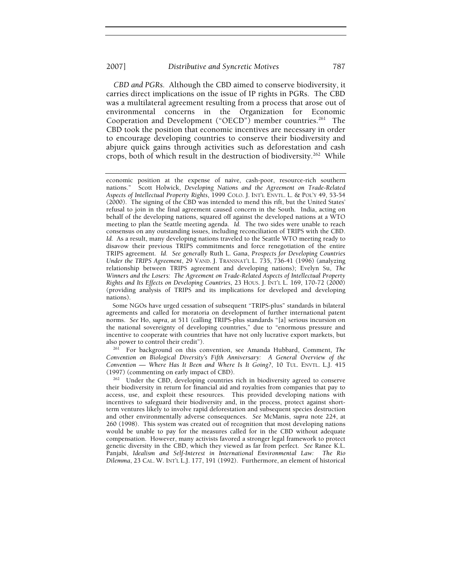*CBD and PGRs.* Although the CBD aimed to conserve biodiversity, it carries direct implications on the issue of IP rights in PGRs. The CBD was a multilateral agreement resulting from a process that arose out of environmental concerns in the Organization for Economic Cooperation and Development ("OECD") member countries.<sup>261</sup> The CBD took the position that economic incentives are necessary in order to encourage developing countries to conserve their biodiversity and abjure quick gains through activities such as deforestation and cash crops, both of which result in the destruction of biodiversity.262 While

economic position at the expense of naive, cash-poor, resource-rich southern nations." Scott Holwick, *Developing Nations and the Agreement on Trade-Related Aspects of Intellectual Property Rights*, 1999 COLO. J. INT'L ENVTL. L. & POL'Y 49, 53-54 (2000). The signing of the CBD was intended to mend this rift, but the United States' refusal to join in the final agreement caused concern in the South. India, acting on behalf of the developing nations, squared off against the developed nations at a WTO meeting to plan the Seattle meeting agenda. *Id.* The two sides were unable to reach consensus on any outstanding issues, including reconciliation of TRIPS with the CBD. *Id.* As a result, many developing nations traveled to the Seattle WTO meeting ready to disavow their previous TRIPS commitments and force renegotiation of the entire TRIPS agreement. *Id. See generally* Ruth L. Gana, *Prospects for Developing Countries Under the TRIPS Agreement*, 29 VAND. J. TRANSNAT'L L. 735, 736-41 (1996) (analyzing relationship between TRIPS agreement and developing nations); Evelyn Su, *The Winners and the Losers: The Agreement on Trade-Related Aspects of Intellectual Property Rights and Its Effects on Developing Countries*, 23 HOUS. J. INT'L L. 169, 170-72 (2000) (providing analysis of TRIPS and its implications for developed and developing nations).

Some NGOs have urged cessation of subsequent "TRIPS-plus" standards in bilateral agreements and called for moratoria on development of further international patent norms. *See* Ho, *supra*, at 511 (calling TRIPS-plus standards "[a] serious incursion on the national sovereignty of developing countries," due to "enormous pressure and incentive to cooperate with countries that have not only lucrative export markets, but also power to control their credit"). 261 For background on this convention, see Amanda Hubbard, Comment, *The* 

*Convention on Biological Diversity's Fifth Anniversary: A General Overview of the Convention — Where Has It Been and Where Is It Going?*, 10 TUL. ENVTL. L.J. 415

<sup>&</sup>lt;sup>262</sup> Under the CBD, developing countries rich in biodiversity agreed to conserve their biodiversity in return for financial aid and royalties from companies that pay to access, use, and exploit these resources. This provided developing nations with incentives to safeguard their biodiversity and, in the process, protect against shortterm ventures likely to involve rapid deforestation and subsequent species destruction and other environmentally adverse consequences. *See* McManis, *supra* note 224, at 260 (1998). This system was created out of recognition that most developing nations would be unable to pay for the measures called for in the CBD without adequate compensation. However, many activists favored a stronger legal framework to protect genetic diversity in the CBD, which they viewed as far from perfect. *See* Ranee K.L. Panjabi, *Idealism and Self-Interest in International Environmental Law: The Rio Dilemma*, 23 CAL. W. INT'L L.J. 177, 191 (1992). Furthermore, an element of historical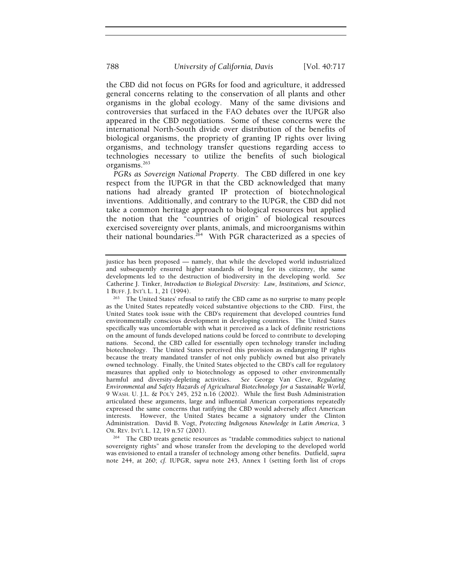the CBD did not focus on PGRs for food and agriculture, it addressed general concerns relating to the conservation of all plants and other organisms in the global ecology. Many of the same divisions and controversies that surfaced in the FAO debates over the IUPGR also appeared in the CBD negotiations. Some of these concerns were the international North-South divide over distribution of the benefits of biological organisms, the propriety of granting IP rights over living organisms, and technology transfer questions regarding access to technologies necessary to utilize the benefits of such biological organisms.263

*PGRs as Sovereign National Property.* The CBD differed in one key respect from the IUPGR in that the CBD acknowledged that many nations had already granted IP protection of biotechnological inventions. Additionally, and contrary to the IUPGR, the CBD did not take a common heritage approach to biological resources but applied the notion that the "countries of origin" of biological resources exercised sovereignty over plants, animals, and microorganisms within their national boundaries.<sup>264</sup> With PGR characterized as a species of

OR. REV. INT'L L. 12, 19 n.57 (2001).<br><sup>264</sup> The CBD treats genetic resources as "tradable commodities subject to national sovereignty rights" and whose transfer from the developing to the developed world was envisioned to entail a transfer of technology among other benefits. Dutfield, *supra* note 244, at 260; *cf.* IUPGR, *supra* note 243, Annex I (setting forth list of crops

justice has been proposed — namely, that while the developed world industrialized and subsequently ensured higher standards of living for its citizenry, the same developments led to the destruction of biodiversity in the developing world. *See* Catherine J. Tinker, *Introduction to Biological Diversity: Law, Institutions, and Science*,

<sup>&</sup>lt;sup>263</sup> The United States' refusal to ratify the CBD came as no surprise to many people as the United States repeatedly voiced substantive objections to the CBD. First, the United States took issue with the CBD's requirement that developed countries fund environmentally conscious development in developing countries. The United States specifically was uncomfortable with what it perceived as a lack of definite restrictions on the amount of funds developed nations could be forced to contribute to developing nations. Second, the CBD called for essentially open technology transfer including biotechnology. The United States perceived this provision as endangering IP rights because the treaty mandated transfer of not only publicly owned but also privately owned technology. Finally, the United States objected to the CBD's call for regulatory measures that applied only to biotechnology as opposed to other environmentally harmful and diversity-depleting activities. *See* George Van Cleve, *Regulating Environmental and Safety Hazards of Agricultural Biotechnology for a Sustainable World*, 9 WASH. U. J.L. & POL'Y 245, 252 n.16 (2002). While the first Bush Administration articulated these arguments, large and influential American corporations repeatedly expressed the same concerns that ratifying the CBD would adversely affect American interests. However, the United States became a signatory under the Clinton Administration. David B. Vogt, *Protecting Indigenous Knowledge in Latin America*, 3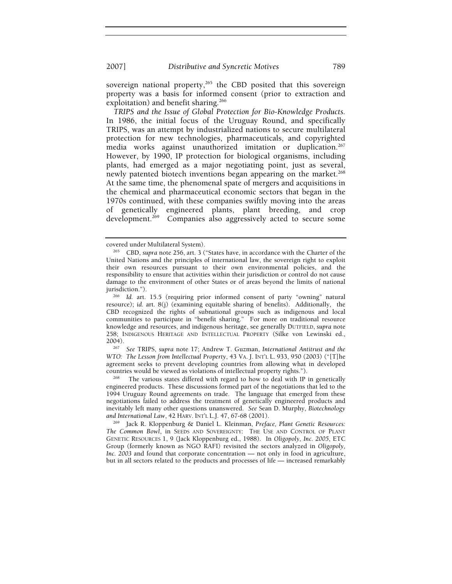sovereign national property, $265$  the CBD posited that this sovereign property was a basis for informed consent (prior to extraction and exploitation) and benefit sharing.<sup>266</sup>

*TRIPS and the Issue of Global Protection for Bio-Knowledge Products.* In 1986, the initial focus of the Uruguay Round, and specifically TRIPS, was an attempt by industrialized nations to secure multilateral protection for new technologies, pharmaceuticals, and copyrighted media works against unauthorized imitation or duplication.<sup>267</sup> However, by 1990, IP protection for biological organisms, including plants, had emerged as a major negotiating point, just as several, newly patented biotech inventions began appearing on the market.<sup>268</sup> At the same time, the phenomenal spate of mergers and acquisitions in the chemical and pharmaceutical economic sectors that began in the 1970s continued, with these companies swiftly moving into the areas of genetically engineered plants, plant breeding, and crop development.<sup>269</sup> Companies also aggressively acted to secure some

*WTO: The Lesson from Intellectual Property*, 43 VA. J. INT'L L. 933, 950 (2003) ("[T]he agreement seeks to prevent developing countries from allowing what in developed countries would be viewed as violations of intellectual property rights."). 268 The various states differed with regard to how to deal with IP in genetically

engineered products. These discussions formed part of the negotiations that led to the 1994 Uruguay Round agreements on trade. The language that emerged from these negotiations failed to address the treatment of genetically engineered products and inevitably left many other questions unanswered. *See* Sean D. Murphy, *Biotechnology and International Law*, 42 HARV. INT'L L.J. 47, 67-68 (2001). 269 Jack R. Kloppenburg & Daniel L. Kleinman, *Preface, Plant Genetic Resources:* 

*The Common Bowl*, in SEEDS AND SOVEREIGNTY: THE USE AND CONTROL OF PLANT GENETIC RESOURCES 1, 9 (Jack Kloppenburg ed., 1988). In *Oligopoly, Inc. 2005*, ETC Group (formerly known as NGO RAFI) revisited the sectors analyzed in *Oligopoly, Inc. 2003* and found that corporate concentration — not only in food in agriculture, but in all sectors related to the products and processes of life — increased remarkably

covered under Multilateral System). 265 CBD, *supra* note 256, art. 3 ("States have, in accordance with the Charter of the United Nations and the principles of international law, the sovereign right to exploit their own resources pursuant to their own environmental policies, and the responsibility to ensure that activities within their jurisdiction or control do not cause damage to the environment of other States or of areas beyond the limits of national jurisdiction."). 266 *Id.* art. 15.5 (requiring prior informed consent of party "owning" natural

resource); *id.* art. 8(j) (examining equitable sharing of benefits). Additionally, the CBD recognized the rights of subnational groups such as indigenous and local communities to participate in "benefit sharing." For more on traditional resource knowledge and resources, and indigenous heritage, see generally DUTFIELD, *supra* note 258; INDIGENOUS HERITAGE AND INTELLECTUAL PROPERTY (Silke von Lewinski ed., 2004). 267 *See* TRIPS, *supra* note 17; Andrew T. Guzman, *International Antitrust and the*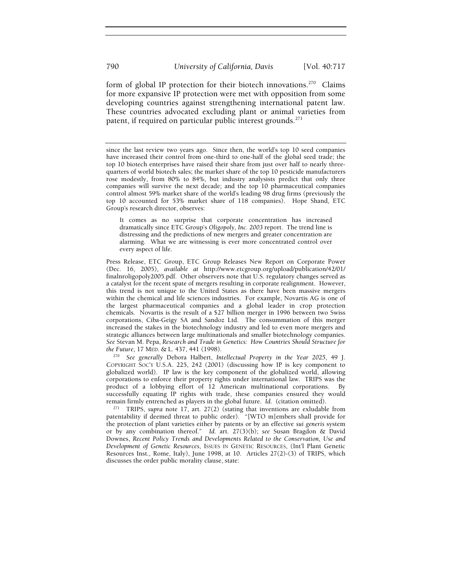form of global IP protection for their biotech innovations.<sup>270</sup> Claims for more expansive IP protection were met with opposition from some developing countries against strengthening international patent law. These countries advocated excluding plant or animal varieties from patent, if required on particular public interest grounds.<sup>271</sup>

It comes as no surprise that corporate concentration has increased dramatically since ETC Group's *Oligopoly, Inc. 2003* report. The trend line is distressing and the predictions of new mergers and greater concentration are alarming. What we are witnessing is ever more concentrated control over every aspect of life.

Press Release, ETC Group, ETC Group Releases New Report on Corporate Power (Dec. 16, 2005), *available at* http://www.etcgroup.org/upload/publication/42/01/ finalnroligopoly2005.pdf. Other observers note that U.S. regulatory changes served as a catalyst for the recent spate of mergers resulting in corporate realignment. However, this trend is not unique to the United States as there have been massive mergers within the chemical and life sciences industries. For example, Novartis AG is one of the largest pharmaceutical companies and a global leader in crop protection chemicals. Novartis is the result of a \$27 billion merger in 1996 between two Swiss corporations, Ciba-Geigy SA and Sandoz Ltd. The consummation of this merger increased the stakes in the biotechnology industry and led to even more mergers and strategic alliances between large multinationals and smaller biotechnology companies. *See* Stevan M. Pepa, *Research and Trade in Genetics: How Countries Should Structure for* 

<sup>270</sup> See generally Debora Halbert, *Intellectual Property in the Year 2025*, 49 J. COPYRIGHT SOC'Y U.S.A. 225, 242 (2001) (discussing how IP is key component to globalized world).IP law is the key component of the globalized world, allowing corporations to enforce their property rights under international law. TRIPS was the product of a lobbying effort of 12 American multinational corporations. By successfully equating IP rights with trade, these companies ensured they would remain firmly entrenched as players in the global future. Id. (citation omitted).

<sup>271</sup> TRIPS, *supra* note 17, art. 27(2) (stating that inventions are exludable from patentability if deemed threat to public order). "[WTO m]embers shall provide for the protection of plant varieties either by patents or by an effective *sui generis* system or by any combination thereof." *Id*. art. 27(3)(b); *see* Susan Bragdon & David Downes, *Recent Policy Trends and Developments Related to the Conservation, Use and Development of Genetic Resources*, ISSUES IN GENETIC RESOURCES, (Int'l Plant Genetic Resources Inst., Rome, Italy), June 1998, at 10. Articles 27(2)-(3) of TRIPS, which discusses the order public morality clause, state:

since the last review two years ago. Since then, the world's top 10 seed companies have increased their control from one-third to one-half of the global seed trade; the top 10 biotech enterprises have raised their share from just over half to nearly threequarters of world biotech sales; the market share of the top 10 pesticide manufacturers rose modestly, from 80% to 84%, but industry analysists predict that only three companies will survive the next decade; and the top 10 pharmaceutical companies control almost 59% market share of the world's leading 98 drug firms (previously the top 10 accounted for 53% market share of 118 companies). Hope Shand, ETC Group's research director, observes: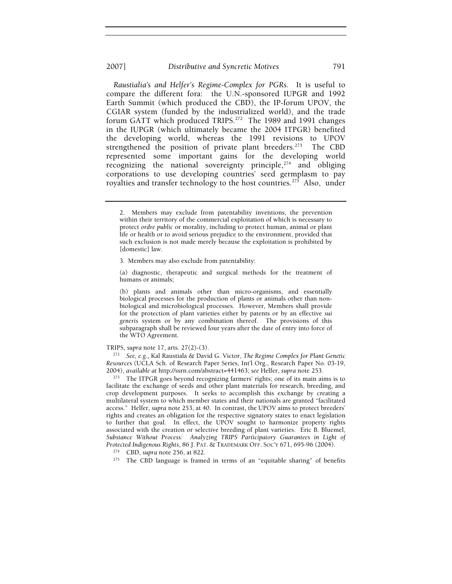*Raustialia's and Helfer's Regime-Complex for PGRs.* It is useful to compare the different fora: the U.N.-sponsored IUPGR and 1992 Earth Summit (which produced the CBD), the IP-forum UPOV, the CGIAR system (funded by the industrialized world), and the trade forum GATT which produced TRIPS.272 The 1989 and 1991 changes in the IUPGR (which ultimately became the 2004 ITPGR) benefited the developing world, whereas the 1991 revisions to UPOV strengthened the position of private plant breeders.<sup>273</sup> The CBD represented some important gains for the developing world recognizing the national sovereignty principle, $274$  and obliging corporations to use developing countries' seed germplasm to pay royalties and transfer technology to the host countries.<sup>275</sup> Also, under

3. Members may also exclude from patentability:

(a) diagnostic, therapeutic and surgical methods for the treatment of humans or animals;

(b) plants and animals other than micro-organisms, and essentially biological processes for the production of plants or animals other than nonbiological and microbiological processes. However, Members shall provide for the protection of plant varieties either by patents or by an effective *sui generis* system or by any combination thereof. The provisions of this subparagraph shall be reviewed four years after the date of entry into force of the WTO Agreement.

TRIPS, *supra* note 17, arts. 27(2)-(3). 272 *See, e.g.*, Kal Raustiala & David G. Victor, *The Regime Complex for Plant Genetic Resources* (UCLA Sch. of Research Paper Series, Int'l Org., Research Paper No. 03-19,

<sup>273</sup> The ITPGR goes beyond recognizing farmers' rights; one of its main aims is to facilitate the exchange of seeds and other plant materials for research, breeding, and crop development purposes. It seeks to accomplish this exchange by creating a multilateral system to which member states and their nationals are granted "facilitated access." Helfer, *supra* note 253, at 40. In contrast, the UPOV aims to protect breeders' rights and creates an obligation for the respective signatory states to enact legislation to further that goal. In effect, the UPOV sought to harmonize property rights associated with the creation or selective breeding of plant varieties. Eric B. Bluemel, *Substance Without Process: Analyzing TRIPS Participatory Guarantees in Light of Protected Indigenous Rights*, 86 J. PAT. & TRADEMARK OFF. SOC'Y 671, 695-96 (2004).<br><sup>274</sup> CBD, *supra* note 256, at 822.<br><sup>275</sup> The CBD language is framed in terms of an "equitable sharing" of benefits

<sup>2.</sup> Members may exclude from patentability inventions, the prevention within their territory of the commercial exploitation of which is necessary to protect *ordre public* or morality, including to protect human, animal or plant life or health or to avoid serious prejudice to the environment, provided that such exclusion is not made merely because the exploitation is prohibited by [domestic] law.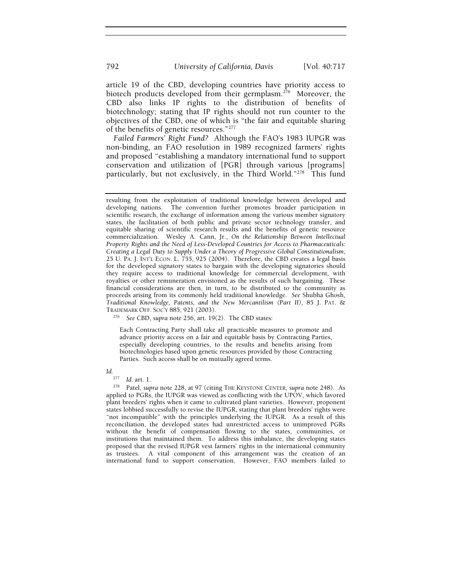article 19 of the CBD, developing countries have priority access to biotech products developed from their germplasm.<sup>276</sup> Moreover, the CBD also links IP rights to the distribution of benefits of biotechnology; stating that IP rights should not run counter to the objectives of the CBD, one of which is "the fair and equitable sharing of the benefits of genetic resources."277

*Failed Farmers' Right Fund?* Although the FAO's 1983 IUPGR was non-binding, an FAO resolution in 1989 recognized farmers' rights and proposed "establishing a mandatory international fund to support conservation and utilization of [PGR] through various [programs] particularly, but not exclusively, in the Third World."<sup>278</sup> This fund

<sup>276</sup> See CBD, *supra* note 256, art. 19(2). The CBD states:

Each Contracting Party shall take all practicable measures to promote and advance priority access on a fair and equitable basis by Contracting Parties, especially developing countries, to the results and benefits arising from biotechnologies based upon genetic resources provided by those Contracting Parties. Such access shall be on mutually agreed terms.

 $Id.$ <sup>277</sup>

<sup>277</sup> *Id*. art. 1. 278 Patel, *supra* note 228, at 97 (citing THE KEYSTONE CENTER, *supra* note 248). As applied to PGRs, the IUPGR was viewed as conflicting with the UPOV, which favored plant breeders' rights when it came to cultivated plant varieties. However, proponent states lobbied successfully to revise the IUPGR, stating that plant breeders' rights were "not incompatible" with the principles underlying the IUPGR. As a result of this reconciliation, the developed states had unrestricted access to unimproved PGRs without the benefit of compensation flowing to the states, communities, or institutions that maintained them. To address this imbalance, the developing states proposed that the revised IUPGR vest farmers' rights in the international community as trustees. A vital component of this arrangement was the creation of an international fund to support conservation. However, FAO members failed to

resulting from the exploitation of traditional knowledge between developed and developing nations. The convention further promotes broader participation in scientific research, the exchange of information among the various member signatory states, the facilitation of both public and private sector technology transfer, and equitable sharing of scientific research results and the benefits of genetic resource commercialization. Wesley A. Cann, Jr., *On the Relationship Between Intellectual Property Rights and the Need of Less-Developed Countries for Access to Pharmaceuticals: Creating a Legal Duty to Supply Under a Theory of Progressive Global Constitutionalism*, 25 U. PA. J. INT'L ECON. L. 755, 925 (2004). Therefore, the CBD creates a legal basis for the developed signatory states to bargain with the developing signatories should they require access to traditional knowledge for commercial development, with royalties or other remuneration envisioned as the results of such bargaining. These financial considerations are then, in turn, to be distributed to the community as proceeds arising from its commonly held traditional knowledge. *See* Shubha Ghosh, *Traditional Knowledge, Patents, and the New Mercantilism (Part II)*, 85 J. PAT. &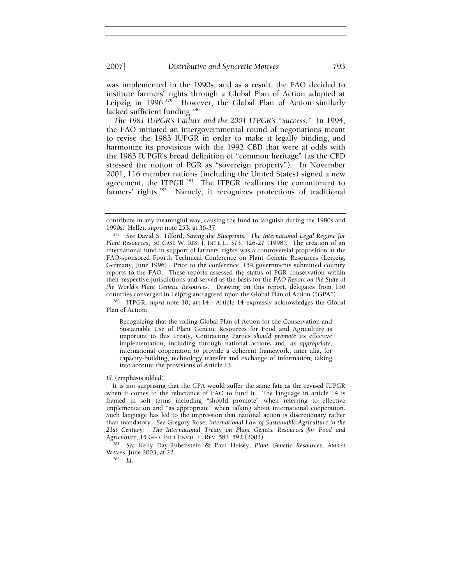was implemented in the 1990s, and as a result, the FAO decided to institute farmers' rights through a Global Plan of Action adopted at Leipzig in 1996.<sup>279</sup> However, the Global Plan of Action similarly lacked sufficient funding.<sup>280</sup>

*The 1981 IUPGR's Failure and the 2001 ITPGR's "Success."* In 1994, the FAO initiated an intergovernmental round of negotiations meant to revise the 1983 IUPGR in order to make it legally binding, and harmonize its provisions with the 1992 CBD that were at odds with the 1983 IUPGR's broad definition of "common heritage" (as the CBD stressed the notion of PGR as "sovereign property"). In November 2001, 116 member nations (including the United States) signed a new agreement, the ITPGR.<sup>281</sup> The ITPGR reaffirms the commitment to farmers' rights.<sup>282</sup> Namely, it recognizes protections of traditional

Recognizing that the rolling Global Plan of Action for the Conservation and Sustainable Use of Plant Genetic Resources for Food and Agriculture is important to this Treaty, Contracting Parties *should promote* its effective implementation, including through national actions and, *as appropriate*, international cooperation to provide a coherent framework, inter alia, for capacity-building, technology transfer and exchange of information, taking into account the provisions of Article 13.

Id. (emphasis added).

It is not surprising that the GPA would suffer the same fate as the revised IUPGR when it comes to the reluctance of FAO to fund it. The language in article 14 is framed in soft terms including "should promote" when referring to effective implementation and "as appropriate" when talking about international cooperation. Such language has led to the impression that national action is discretionary rather than mandatory. *See* Gregory Rose, *International Law of Sustainable Agriculture in the 21st Century: The International Treaty on Plant Genetic Resources for Food and* 

<sup>281</sup> See Kelly Day-Rubenstein & Paul Heisey, Plant Genetic Resources, AMBER WAVES, June 2003, at 22.<br><sup>282</sup> *Id.* 

contribute in any meaningful way, causing the fund to languish during the 1980s and 1990s. Helfer, *supra* note 253, at 36-37. 279 *See* David S. Tilford, *Saving the Blueprints: The International Legal Regime for* 

*Plant Resources*, 30 CASE W. RES. J. INT'L L. 373, 426-27 (1998). The creation of an international fund in support of farmers' rights was a controversial proposition at the FAO-sponsored Fourth Technical Conference on Plant Genetic Resources (Leipzig, Germany, June 1996). Prior to the conference, 154 governments submitted country reports to the FAO. These reports assessed the status of PGR conservation within their respective jurisdictions and served as the basis for the *FAO Report on the State of the World's Plant Genetic Resources*. Drawing on this report, delegates from 150

<sup>&</sup>lt;sup>280</sup> ITPGR, *supra* note 10, art.14. Article 14 expressly acknowledges the Global Plan of Action: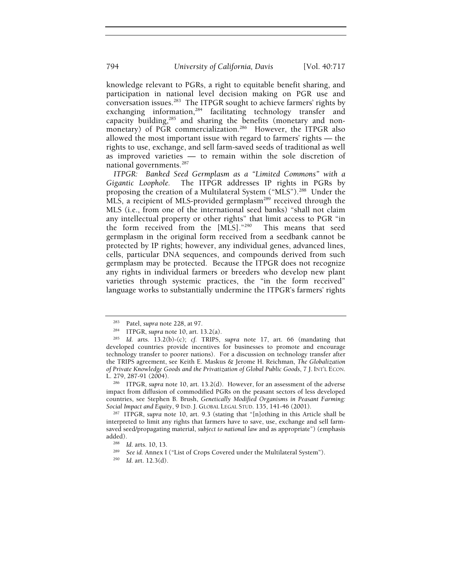knowledge relevant to PGRs, a right to equitable benefit sharing, and participation in national level decision making on PGR use and conversation issues.283 The ITPGR sought to achieve farmers' rights by exchanging information,<sup>284</sup> facilitating technology transfer and capacity building,<sup>285</sup> and sharing the benefits (monetary and nonmonetary) of PGR commercialization.<sup>286</sup> However, the ITPGR also allowed the most important issue with regard to farmers' rights — the rights to use, exchange, and sell farm-saved seeds of traditional as well as improved varieties — to remain within the sole discretion of national governments.<sup>287</sup>

*ITPGR: Banked Seed Germplasm as a "Limited Commons" with a Gigantic Loophole.* The ITPGR addresses IP rights in PGRs by proposing the creation of a Multilateral System ("MLS").<sup>288</sup> Under the MLS, a recipient of MLS-provided germplasm<sup>289</sup> received through the MLS (i.e., from one of the international seed banks) "shall not claim any intellectual property or other rights" that limit access to PGR "in the form received from the [MLS]."290 This means that seed germplasm in the original form received from a seedbank cannot be protected by IP rights; however, any individual genes, advanced lines, cells, particular DNA sequences, and compounds derived from such germplasm may be protected. Because the ITPGR does not recognize any rights in individual farmers or breeders who develop new plant varieties through systemic practices, the "in the form received" language works to substantially undermine the ITPGR's farmers' rights

<sup>283</sup> Patel, *supra* note 228, at 97. 284 ITPGR, *supra* note 10, art. 13.2(a). 285 *Id*. arts. 13.2(b)-(c); *cf.* TRIPS, *supra* note 17, art. 66 (mandating that developed countries provide incentives for businesses to promote and encourage technology transfer to poorer nations). For a discussion on technology transfer after the TRIPS agreement, see Keith E. Maskus & Jerome H. Reichman, *The Globalization of Private Knowledge Goods and the Privatization of Global Public Goods*, 7 J. INT'L ECON.

<sup>&</sup>lt;sup>286</sup> ITPGR, *supra* note 10, art. 13.2(d). However, for an assessment of the adverse impact from diffusion of commodified PGRs on the peasant sectors of less developed countries, see Stephen B. Brush, *Genetically Modified Organisms in Peasant Farming: Social Impact and Equity*, 9 IND. J. GLOBAL LEGAL STUD. 135, 141-46 (2001). 287 ITPGR, *supra* note 10, art. 9.3 (stating that "[n]othing in this Article shall be

interpreted to limit any rights that farmers have to save, use, exchange and sell farmsaved seed/propagating material, *subject to national law* and as appropriate") (emphasis added). 288 *Id*. arts. 10, 13. 289 *See id.* Annex I ("List of Crops Covered under the Multilateral System"). 290 *Id*. art. 12.3(d).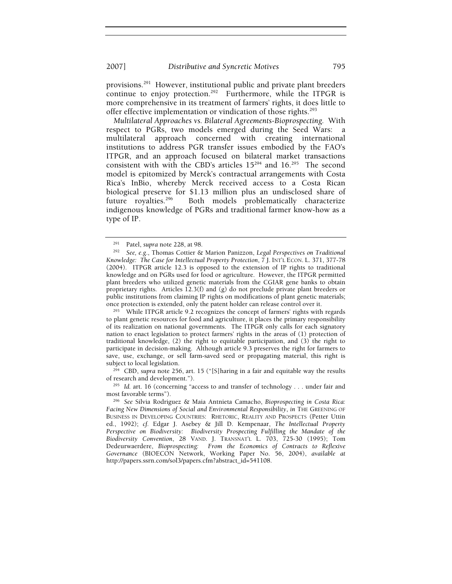provisions.291 However, institutional public and private plant breeders continue to enjoy protection.<sup>292</sup> Furthermore, while the ITPGR is more comprehensive in its treatment of farmers' rights, it does little to offer effective implementation or vindication of those rights.293

*Multilateral Approaches vs. Bilateral Agreements-Bioprospecting.* With respect to PGRs, two models emerged during the Seed Wars: a multilateral approach concerned with creating international institutions to address PGR transfer issues embodied by the FAO's ITPGR, and an approach focused on bilateral market transactions consistent with with the CBD's articles 15294 and 16.295 The second model is epitomized by Merck's contractual arrangements with Costa Rica's InBio, whereby Merck received access to a Costa Rican biological preserve for \$1.13 million plus an undisclosed share of future royalties.<sup>296</sup> Both models problematically characterize indigenous knowledge of PGRs and traditional farmer know-how as a type of IP.

to plant genetic resources for food and agriculture, it places the primary responsibility of its realization on national governments. The ITPGR only calls for each signatory nation to enact legislation to protect farmers' rights in the areas of (1) protection of traditional knowledge, (2) the right to equitable participation, and (3) the right to participate in decision-making. Although article 9.3 preserves the right for farmers to save, use, exchange, or sell farm-saved seed or propagating material, this right is

subject to local legislation. 294 CBD, *supra* note 256, art. 15 ("[S]haring in a fair and equitable way the results

of research and development.").<br><sup>295</sup> *Id.* art. 16 (concerning "access to and transfer of technology . . . under fair and most favorable terms").

<sup>296</sup> See Silvia Rodriguez & Maia Antnieta Camacho, *Bioprospecting in Costa Rica*: *Facing New Dimensions of Social and Environmental Responsibility*, *in* THE GREENING OF BUSINESS IN DEVELOPING COUNTRIES: RHETORIC, REALITY AND PROSPECTS (Petter Uttin ed., 1992); *cf.* Edgar J. Asebey & Jill D. Kempenaar, *The Intellectual Property Perspective on Biodiversity: Biodiversity Prospecting Fulfilling the Mandate of the Biodiversity Convention*, 28 VAND. J. TRANSNAT'L L. 703, 725-30 (1995); Tom Dedeurwaerdere, *Bioprospecting: From the Economics of Contracts to Reflexive Governance* (BIOECON Network, Working Paper No. 56, 2004), *available at*  http://papers.ssrn.com/sol3/papers.cfm?abstract\_id=541108.

<sup>291</sup> Patel, *supra* note 228, at 98. 292 *See, e.g*., Thomas Cottier & Marion Panizzon, *Legal Perspectives on Traditional Knowledge: The Case for Intellectual Property Protection*, 7 J. INT'L ECON. L. 371, 377-78 (2004). ITPGR article 12.3 is opposed to the extension of IP rights to traditional knowledge and on PGRs used for food or agriculture. However, the ITPGR permitted plant breeders who utilized genetic materials from the CGIAR gene banks to obtain proprietary rights. Articles 12.3(f) and (g) do not preclude private plant breeders or public institutions from claiming IP rights on modifications of plant genetic materials; once protection is extended, only the patent holder can release control over it.<br><sup>293</sup> While ITPGR article 9.2 recognizes the concept of farmers' rights with regards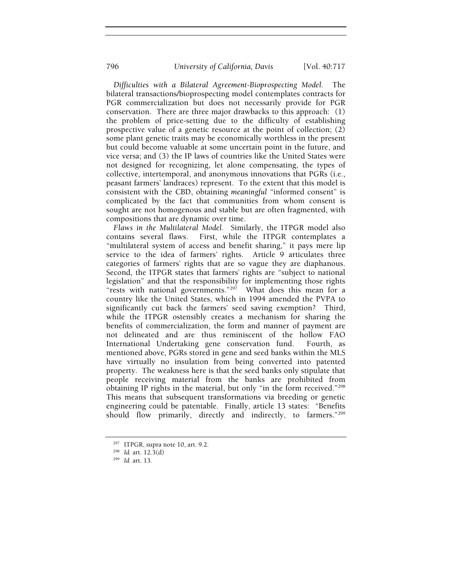*Difficulties with a Bilateral Agreement-Bioprospecting Model.* The bilateral transactions/bioprospecting model contemplates contracts for PGR commercialization but does not necessarily provide for PGR conservation. There are three major drawbacks to this approach: (1) the problem of price-setting due to the difficulty of establishing prospective value of a genetic resource at the point of collection; (2) some plant genetic traits may be economically worthless in the present but could become valuable at some uncertain point in the future, and vice versa; and (3) the IP laws of countries like the United States were not designed for recognizing, let alone compensating, the types of collective, intertemporal, and anonymous innovations that PGRs (i.e., peasant farmers' landraces) represent. To the extent that this model is consistent with the CBD, obtaining *meaningful* "informed consent" is complicated by the fact that communities from whom consent is sought are not homogenous and stable but are often fragmented, with compositions that are dynamic over time.

*Flaws in the Multilateral Model.* Similarly, the ITPGR model also contains several flaws. First, while the ITPGR contemplates a "multilateral system of access and benefit sharing," it pays mere lip service to the idea of farmers' rights. Article 9 articulates three categories of farmers' rights that are so vague they are diaphanous. Second, the ITPGR states that farmers' rights are "subject to national legislation" and that the responsibility for implementing those rights "rests with national governments."<sup>297</sup> What does this mean for a country like the United States, which in 1994 amended the PVPA to significantly cut back the farmers' seed saving exemption? Third, while the ITPGR ostensibly creates a mechanism for sharing the benefits of commercialization, the form and manner of payment are not delineated and are thus reminiscent of the hollow FAO International Undertaking gene conservation fund. Fourth, as mentioned above, PGRs stored in gene and seed banks within the MLS have virtually no insulation from being converted into patented property. The weakness here is that the seed banks only stipulate that people receiving material from the banks are prohibited from obtaining IP rights in the material, but only "in the form received."298 This means that subsequent transformations via breeding or genetic engineering could be patentable. Finally, article 13 states: "Benefits should flow primarily, directly and indirectly, to farmers."299

<sup>297</sup> ITPGR, supra note 10, art. 9.2. 298 *Id.* art. 12.3(d) 299 *Id.* art. 13.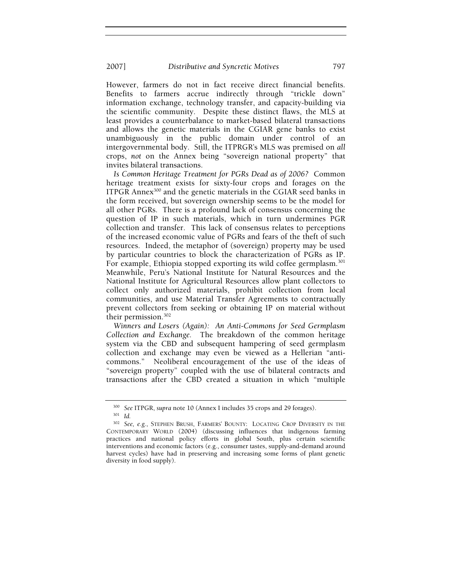However, farmers do not in fact receive direct financial benefits. Benefits to farmers accrue indirectly through "trickle down" information exchange, technology transfer, and capacity-building via the scientific community. Despite these distinct flaws, the MLS at least provides a counterbalance to market-based bilateral transactions and allows the genetic materials in the CGIAR gene banks to exist unambiguously in the public domain under control of an intergovernmental body. Still, the ITPRGR's MLS was premised on *all* crops, *not* on the Annex being "sovereign national property" that invites bilateral transactions.

*Is Common Heritage Treatment for PGRs Dead as of 2006?* Common heritage treatment exists for sixty-four crops and forages on the ITPGR Annex300 and the genetic materials in the CGIAR seed banks in the form received, but sovereign ownership seems to be the model for all other PGRs. There is a profound lack of consensus concerning the question of IP in such materials, which in turn undermines PGR collection and transfer. This lack of consensus relates to perceptions of the increased economic value of PGRs and fears of the theft of such resources. Indeed, the metaphor of (sovereign) property may be used by particular countries to block the characterization of PGRs as IP. For example, Ethiopia stopped exporting its wild coffee germplasm.<sup>301</sup> Meanwhile, Peru's National Institute for Natural Resources and the National Institute for Agricultural Resources allow plant collectors to collect only authorized materials, prohibit collection from local communities, and use Material Transfer Agreements to contractually prevent collectors from seeking or obtaining IP on material without their permission.<sup>302</sup>

*Winners and Losers (Again): An Anti-Commons for Seed Germplasm Collection and Exchange.* The breakdown of the common heritage system via the CBD and subsequent hampering of seed germplasm collection and exchange may even be viewed as a Hellerian "anticommons." Neoliberal encouragement of the use of the ideas of "sovereign property" coupled with the use of bilateral contracts and transactions after the CBD created a situation in which "multiple

<sup>300</sup> *See* ITPGR, *supra* note 10 (Annex I includes 35 crops and 29 forages). 301 *Id.*

<sup>302</sup> *See, e.g.*, STEPHEN BRUSH, FARMERS' BOUNTY: LOCATING CROP DIVERSITY IN THE CONTEMPORARY WORLD (2004) (discussing influences that indigenous farming practices and national policy efforts in global South, plus certain scientific interventions and economic factors (e.g., consumer tastes, supply-and-demand around harvest cycles) have had in preserving and increasing some forms of plant genetic diversity in food supply).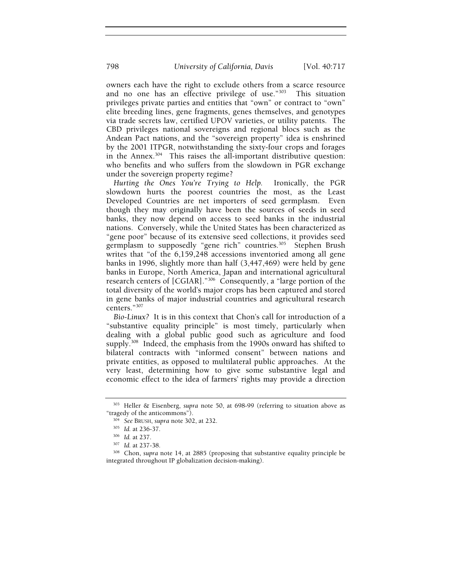owners each have the right to exclude others from a scarce resource and no one has an effective privilege of use."303 This situation privileges private parties and entities that "own" or contract to "own" elite breeding lines, gene fragments, genes themselves, and genotypes via trade secrets law, certified UPOV varieties, or utility patents. The CBD privileges national sovereigns and regional blocs such as the Andean Pact nations, and the "sovereign property" idea is enshrined by the 2001 ITPGR, notwithstanding the sixty-four crops and forages in the Annex.<sup>304</sup> This raises the all-important distributive question: who benefits and who suffers from the slowdown in PGR exchange under the sovereign property regime?

*Hurting the Ones You're Trying to Help.* Ironically, the PGR slowdown hurts the poorest countries the most, as the Least Developed Countries are net importers of seed germplasm. Even though they may originally have been the sources of seeds in seed banks, they now depend on access to seed banks in the industrial nations. Conversely, while the United States has been characterized as "gene poor" because of its extensive seed collections, it provides seed germplasm to supposedly "gene rich" countries.<sup>305</sup> Stephen Brush writes that "of the 6,159,248 accessions inventoried among all gene banks in 1996, slightly more than half (3,447,469) were held by gene banks in Europe, North America, Japan and international agricultural research centers of [CGIAR]."306 Consequently, a "large portion of the total diversity of the world's major crops has been captured and stored in gene banks of major industrial countries and agricultural research centers."307

*Bio-Linux?* It is in this context that Chon's call for introduction of a "substantive equality principle" is most timely, particularly when dealing with a global public good such as agriculture and food supply.<sup>308</sup> Indeed, the emphasis from the 1990s onward has shifted to bilateral contracts with "informed consent" between nations and private entities, as opposed to multilateral public approaches. At the very least, determining how to give some substantive legal and economic effect to the idea of farmers' rights may provide a direction

<sup>303</sup> Heller & Eisenberg, *supra* note 50, at 698-99 (referring to situation above as "tragedy of the anticommons"). 304 *See* BRUSH, *supra* note 302, at 232.

<sup>&</sup>lt;sup>306</sup> Id. at 237.<br><sup>307</sup> Id. at 237-38.<br><sup>308</sup> Chon, *supra* note 14, at 2885 (proposing that substantive equality principle be integrated throughout IP globalization decision-making).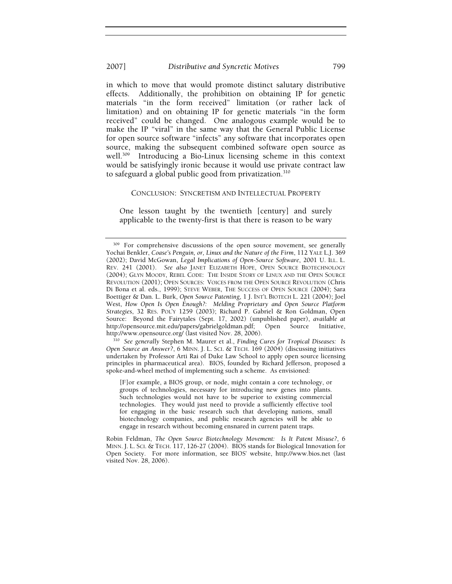in which to move that would promote distinct salutary distributive effects. Additionally, the prohibition on obtaining IP for genetic materials "in the form received" limitation (or rather lack of limitation) and on obtaining IP for genetic materials "in the form received" could be changed. One analogous example would be to make the IP "viral" in the same way that the General Public License for open source software "infects" any software that incorporates open source, making the subsequent combined software open source as well.<sup>309</sup> Introducing a Bio-Linux licensing scheme in this context would be satisfyingly ironic because it would use private contract law to safeguard a global public good from privatization.<sup>310</sup>

## CONCLUSION: SYNCRETISM AND INTELLECTUAL PROPERTY

One lesson taught by the twentieth [century] and surely applicable to the twenty-first is that there is reason to be wary

*Open Source an Answer?*, 6 MINN. J. L. SCI. & TECH. 169 (2004) (discussing initiatives undertaken by Professor Arti Rai of Duke Law School to apply open source licensing principles in pharmaceutical area). BIOS, founded by Richard Jefferson, proposed a spoke-and-wheel method of implementing such a scheme. As envisioned:

[F]or example, a BIOS group, or node, might contain a core technology, or groups of technologies, necessary for introducing new genes into plants. Such technologies would not have to be superior to existing commercial technologies. They would just need to provide a sufficiently effective tool for engaging in the basic research such that developing nations, small biotechnology companies, and public research agencies will be able to engage in research without becoming ensnared in current patent traps.

Robin Feldman, *The Open Source Biotechnology Movement: Is It Patent Misuse?*, 6 MINN. J. L. SCI. & TECH. 117, 126-27 (2004). BIOS stands for Biological Innovation for Open Society. For more information, see BIOS' website, http://www.bios.net (last visited Nov. 28, 2006).

<sup>&</sup>lt;sup>309</sup> For comprehensive discussions of the open source movement, see generally Yochai Benkler, *Coase's Penguin, or, Linux and the Nature of the Firm*, 112 YALE L.J. 369 (2002); David McGowan, *Legal Implications of Open-Source Software*, 2001 U. ILL. L. REV. 241 (2001). *See also* JANET ELIZABETH HOPE, OPEN SOURCE BIOTECHNOLOGY (2004); GLYN MOODY, REBEL CODE: THE INSIDE STORY OF LINUX AND THE OPEN SOURCE REVOLUTION (2001); OPEN SOURCES: VOICES FROM THE OPEN SOURCE REVOLUTION (Chris Di Bona et al. eds., 1999); STEVE WEBER, THE SUCCESS OF OPEN SOURCE (2004); Sara Boettiger & Dan. L. Burk, *Open Source Patenting*, 1 J. INT'L BIOTECH L. 221 (2004); Joel West, *How Open Is Open Enough?: Melding Proprietary and Open Source Platform Strategies*, 32 RES. POL'Y 1259 (2003); Richard P. Gabriel & Ron Goldman, Open Source: Beyond the Fairytales (Sept. 17, 2002) (unpublished paper), *available at* http://opensource.mit.edu/papers/gabrielgoldman.pdf; Open Source Initiative, http://www.opensource.org/ (last visited Nov. 28, 2006). 310 *See generally* Stephen M. Maurer et al., *Finding Cures for Tropical Diseases: Is*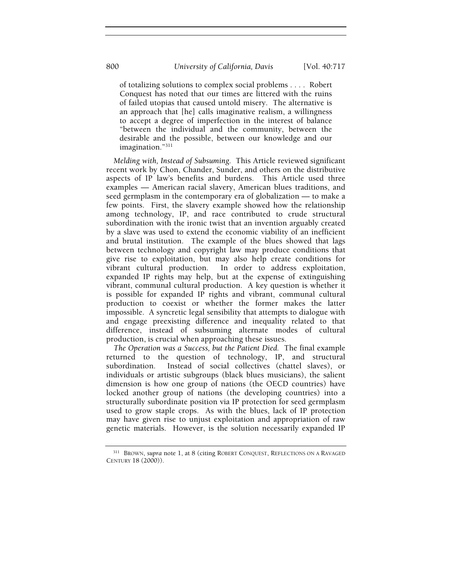of totalizing solutions to complex social problems . . . . Robert Conquest has noted that our times are littered with the ruins of failed utopias that caused untold misery. The alternative is an approach that [he] calls imaginative realism, a willingness to accept a degree of imperfection in the interest of balance "between the individual and the community, between the desirable and the possible, between our knowledge and our imagination."311

*Melding with, Instead of Subsuming.* This Article reviewed significant recent work by Chon, Chander, Sunder, and others on the distributive aspects of IP law's benefits and burdens. This Article used three examples — American racial slavery, American blues traditions, and seed germplasm in the contemporary era of globalization — to make a few points. First, the slavery example showed how the relationship among technology, IP, and race contributed to crude structural subordination with the ironic twist that an invention arguably created by a slave was used to extend the economic viability of an inefficient and brutal institution. The example of the blues showed that lags between technology and copyright law may produce conditions that give rise to exploitation, but may also help create conditions for vibrant cultural production. In order to address exploitation, expanded IP rights may help, but at the expense of extinguishing vibrant, communal cultural production. A key question is whether it is possible for expanded IP rights and vibrant, communal cultural production to coexist or whether the former makes the latter impossible. A syncretic legal sensibility that attempts to dialogue with and engage preexisting difference and inequality related to that difference, instead of subsuming alternate modes of cultural production, is crucial when approaching these issues.

*The Operation was a Success, but the Patient Died.* The final example returned to the question of technology, IP, and structural subordination. Instead of social collectives (chattel slaves), or individuals or artistic subgroups (black blues musicians), the salient dimension is how one group of nations (the OECD countries) have locked another group of nations (the developing countries) into a structurally subordinate position via IP protection for seed germplasm used to grow staple crops. As with the blues, lack of IP protection may have given rise to unjust exploitation and appropriation of raw genetic materials. However, is the solution necessarily expanded IP

<sup>&</sup>lt;sup>311</sup> BROWN, *supra* note 1, at 8 (citing ROBERT CONQUEST, REFLECTIONS ON A RAVAGED CENTURY 18 (2000)).